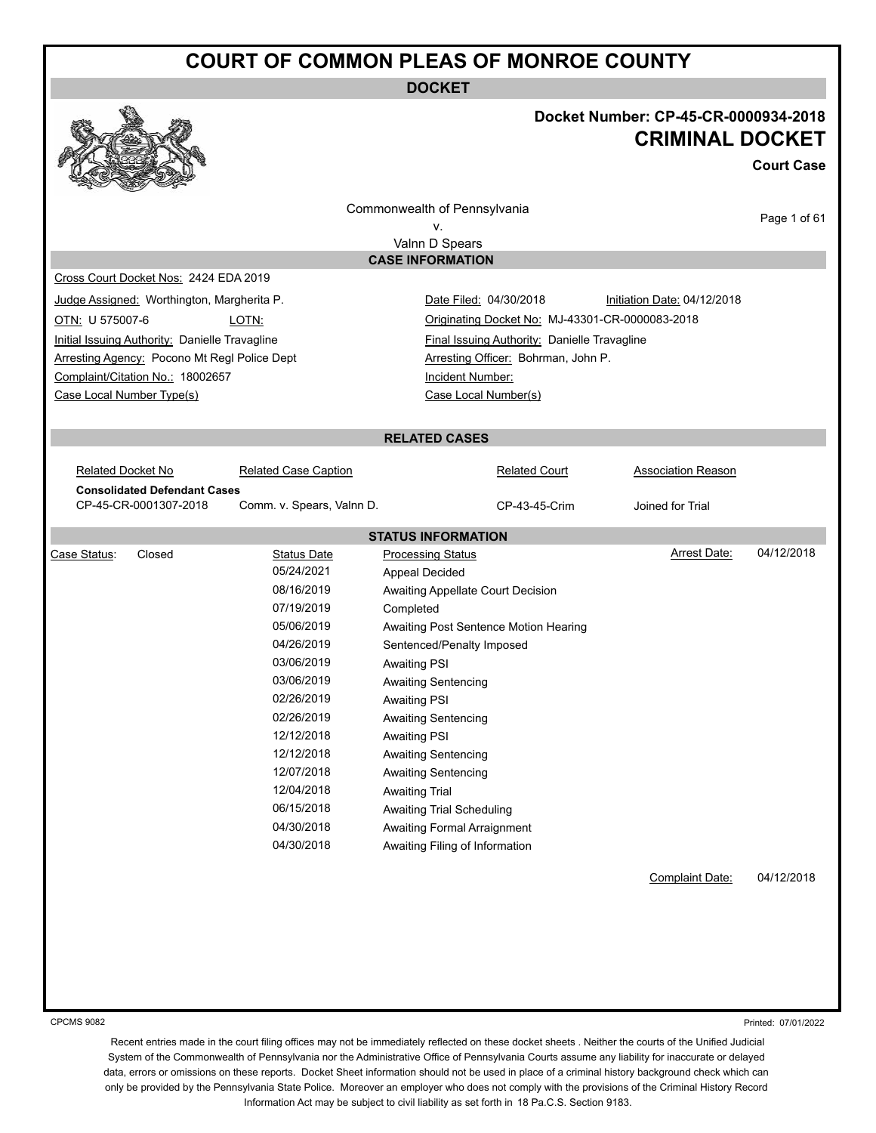**DOCKET**



#### **Docket Number: CP-45-CR-0000934-2018 CRIMINAL DOCKET**

**Court Case** Page 1 of 61 Commonwealth of Pennsylvania v. Valnn D Spears **CASE INFORMATION** Cross Court Docket Nos: 2424 EDA 2019 Judge Assigned: Worthington, Margherita P. Date Filed: 04/30/2018 Initiation Date: 04/12/2018 OTN: U 575007-6 LOTN: Originating Docket No: MJ-43301-CR-0000083-2018 Initial Issuing Authority: Danielle Travagline Final Issuing Authority: Danielle Travagline Arresting Agency: Pocono Mt Regl Police Dept **Arresting Officer: Bohrman, John P.** Complaint/Citation No.: 18002657 Incident Number: Case Local Number Type(s) Case Local Number(s) **RELATED CASES** Related Docket No **Related Case Caption Related Court** Related Court **Association Reason Consolidated Defendant Cases** CP-45-CR-0001307-2018 Comm. v. Spears, Valnn D. CP-43-45-Crim Joined for Trial **STATUS INFORMATION** Case Status: Closed Status Date Processing Status Arrest Date: 04/12/2018 05/24/2021 Appeal Decided 08/16/2019 Awaiting Appellate Court Decision 07/19/2019 Completed 05/06/2019 Awaiting Post Sentence Motion Hearing 04/26/2019 Sentenced/Penalty Imposed 03/06/2019 Awaiting PSI 03/06/2019 Awaiting Sentencing 02/26/2019 Awaiting PSI 02/26/2019 Awaiting Sentencing 12/12/2018 Awaiting PSI 12/12/2018 Awaiting Sentencing 12/07/2018 Awaiting Sentencing 12/04/2018 Awaiting Trial 06/15/2018 Awaiting Trial Scheduling 04/30/2018 Awaiting Formal Arraignment 04/30/2018 Awaiting Filing of Information Complaint Date: 04/12/2018

CPCMS 9082

Printed: 07/01/2022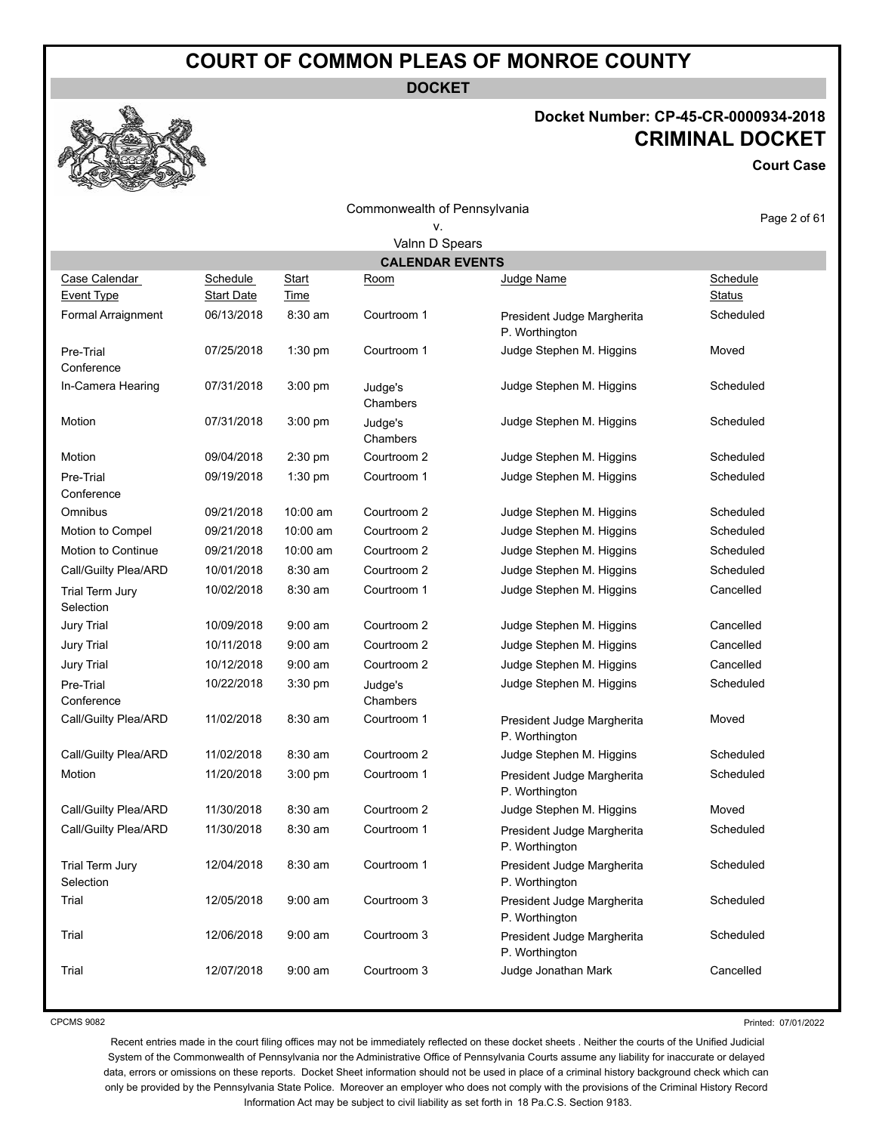**DOCKET**

#### **Docket Number: CP-45-CR-0000934-2018 CRIMINAL DOCKET**

**Court Case**

Commonwealth of Pennsylvania

## v.

Page 2 of 61

| Valnn D Spears                      |                               |                      |                     |                                              |                    |  |  |
|-------------------------------------|-------------------------------|----------------------|---------------------|----------------------------------------------|--------------------|--|--|
|                                     | <b>CALENDAR EVENTS</b>        |                      |                     |                                              |                    |  |  |
| Case Calendar<br>Event Type         | Schedule<br><b>Start Date</b> | <b>Start</b><br>Time | <u>Room</u>         | Judge Name                                   | Schedule<br>Status |  |  |
| Formal Arraignment                  | 06/13/2018                    | 8:30 am              | Courtroom 1         | President Judge Margherita<br>P. Worthington | Scheduled          |  |  |
| Pre-Trial<br>Conference             | 07/25/2018                    | $1:30$ pm            | Courtroom 1         | Judge Stephen M. Higgins                     | Moved              |  |  |
| In-Camera Hearing                   | 07/31/2018                    | $3:00$ pm            | Judge's<br>Chambers | Judge Stephen M. Higgins                     | Scheduled          |  |  |
| Motion                              | 07/31/2018                    | $3:00$ pm            | Judge's<br>Chambers | Judge Stephen M. Higgins                     | Scheduled          |  |  |
| Motion                              | 09/04/2018                    | $2:30$ pm            | Courtroom 2         | Judge Stephen M. Higgins                     | Scheduled          |  |  |
| Pre-Trial<br>Conference             | 09/19/2018                    | $1:30$ pm            | Courtroom 1         | Judge Stephen M. Higgins                     | Scheduled          |  |  |
| Omnibus                             | 09/21/2018                    | 10:00 am             | Courtroom 2         | Judge Stephen M. Higgins                     | Scheduled          |  |  |
| Motion to Compel                    | 09/21/2018                    | 10:00 am             | Courtroom 2         | Judge Stephen M. Higgins                     | Scheduled          |  |  |
| Motion to Continue                  | 09/21/2018                    | 10:00 am             | Courtroom 2         | Judge Stephen M. Higgins                     | Scheduled          |  |  |
| Call/Guilty Plea/ARD                | 10/01/2018                    | $8:30$ am            | Courtroom 2         | Judge Stephen M. Higgins                     | Scheduled          |  |  |
| Trial Term Jury<br>Selection        | 10/02/2018                    | 8:30 am              | Courtroom 1         | Judge Stephen M. Higgins                     | Cancelled          |  |  |
| <b>Jury Trial</b>                   | 10/09/2018                    | $9:00$ am            | Courtroom 2         | Judge Stephen M. Higgins                     | Cancelled          |  |  |
| <b>Jury Trial</b>                   | 10/11/2018                    | $9:00$ am            | Courtroom 2         | Judge Stephen M. Higgins                     | Cancelled          |  |  |
| <b>Jury Trial</b>                   | 10/12/2018                    | $9:00$ am            | Courtroom 2         | Judge Stephen M. Higgins                     | Cancelled          |  |  |
| Pre-Trial<br>Conference             | 10/22/2018                    | $3:30$ pm            | Judge's<br>Chambers | Judge Stephen M. Higgins                     | Scheduled          |  |  |
| Call/Guilty Plea/ARD                | 11/02/2018                    | 8:30 am              | Courtroom 1         | President Judge Margherita<br>P. Worthington | Moved              |  |  |
| Call/Guilty Plea/ARD                | 11/02/2018                    | 8:30 am              | Courtroom 2         | Judge Stephen M. Higgins                     | Scheduled          |  |  |
| Motion                              | 11/20/2018                    | $3:00$ pm            | Courtroom 1         | President Judge Margherita<br>P. Worthington | Scheduled          |  |  |
| Call/Guilty Plea/ARD                | 11/30/2018                    | 8:30 am              | Courtroom 2         | Judge Stephen M. Higgins                     | Moved              |  |  |
| Call/Guilty Plea/ARD                | 11/30/2018                    | 8:30 am              | Courtroom 1         | President Judge Margherita<br>P. Worthington | Scheduled          |  |  |
| <b>Trial Term Jury</b><br>Selection | 12/04/2018                    | 8:30 am              | Courtroom 1         | President Judge Margherita<br>P. Worthington | Scheduled          |  |  |
| Trial                               | 12/05/2018                    | $9:00$ am            | Courtroom 3         | President Judge Margherita<br>P. Worthington | Scheduled          |  |  |
| Trial                               | 12/06/2018                    | $9:00$ am            | Courtroom 3         | President Judge Margherita<br>P. Worthington | Scheduled          |  |  |
| Trial                               | 12/07/2018                    | $9:00$ am            | Courtroom 3         | Judge Jonathan Mark                          | Cancelled          |  |  |

CPCMS 9082

Printed: 07/01/2022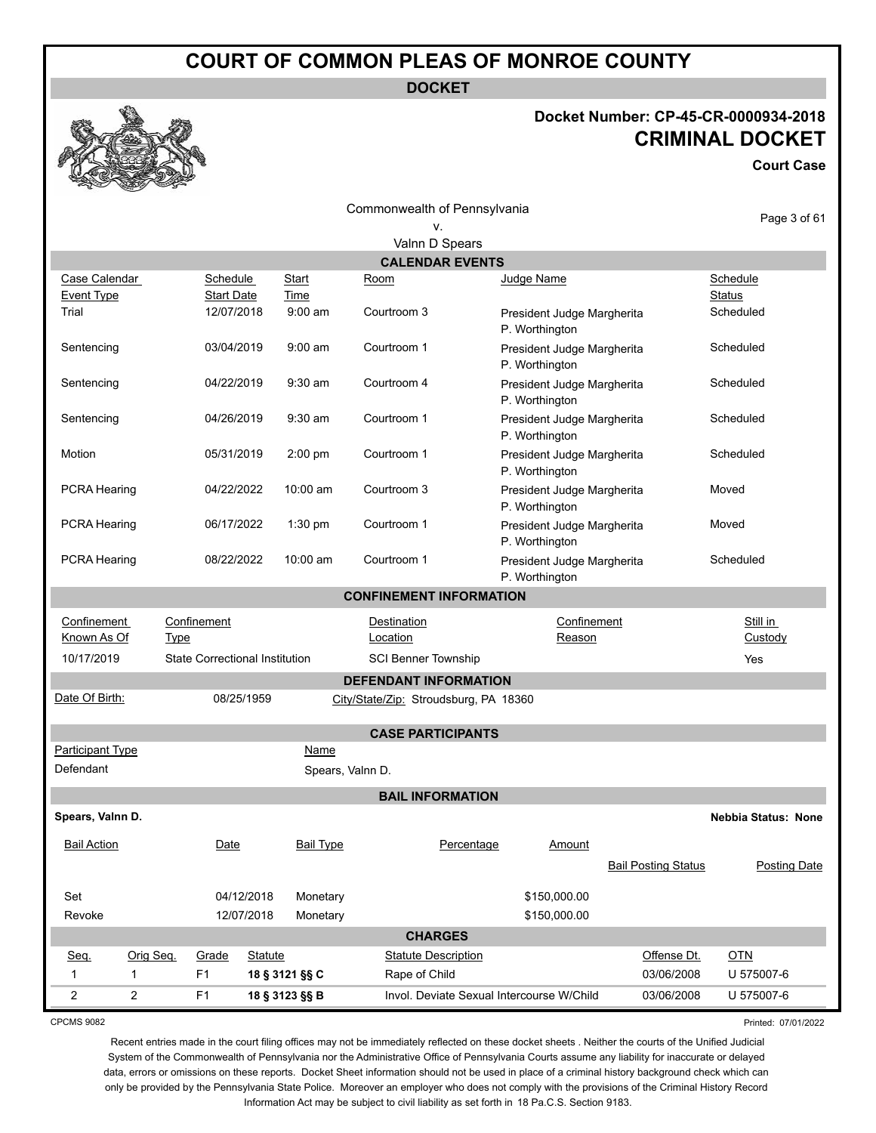**DOCKET**

#### **Docket Number: CP-45-CR-0000934-2018 CRIMINAL DOCKET**

**Court Case**



|                                                       |              |                                       |                   |                |                  |                         | Commonwealth of Pennsylvania          |                                              |               |                            |               |                            |
|-------------------------------------------------------|--------------|---------------------------------------|-------------------|----------------|------------------|-------------------------|---------------------------------------|----------------------------------------------|---------------|----------------------------|---------------|----------------------------|
|                                                       |              |                                       |                   |                |                  |                         | v.                                    |                                              |               |                            |               | Page 3 of 61               |
|                                                       |              |                                       |                   |                |                  |                         | Valnn D Spears                        |                                              |               |                            |               |                            |
|                                                       |              |                                       |                   |                |                  |                         | <b>CALENDAR EVENTS</b>                |                                              |               |                            |               |                            |
| Case Calendar                                         |              |                                       | <b>Schedule</b>   |                | <b>Start</b>     | Room                    |                                       | Judge Name                                   |               |                            | Schedule      |                            |
| <b>Event Type</b>                                     |              |                                       | <b>Start Date</b> |                | Time             |                         |                                       |                                              |               |                            | <b>Status</b> |                            |
| Trial                                                 |              |                                       | 12/07/2018        |                | $9:00$ am        | Courtroom 3             |                                       | President Judge Margherita<br>P. Worthington |               |                            | Scheduled     |                            |
| Sentencing                                            |              |                                       | 03/04/2019        |                | $9:00$ am        | Courtroom 1             |                                       | President Judge Margherita<br>P. Worthington |               |                            | Scheduled     |                            |
| Sentencing                                            |              |                                       | 04/22/2019        |                | $9:30$ am        | Courtroom 4             |                                       | President Judge Margherita<br>P. Worthington |               |                            | Scheduled     |                            |
| Sentencing                                            |              |                                       | 04/26/2019        |                | $9:30$ am        | Courtroom 1             |                                       | President Judge Margherita<br>P. Worthington |               |                            | Scheduled     |                            |
| Motion                                                |              |                                       | 05/31/2019        |                | 2:00 pm          | Courtroom 1             |                                       | President Judge Margherita<br>P. Worthington |               |                            | Scheduled     |                            |
| PCRA Hearing                                          |              |                                       | 04/22/2022        |                | 10:00 am         | Courtroom 3             |                                       | President Judge Margherita<br>P. Worthington |               |                            | Moved         |                            |
| <b>PCRA Hearing</b>                                   |              |                                       | 06/17/2022        |                | 1:30 pm          | Courtroom 1             |                                       | President Judge Margherita<br>P. Worthington |               |                            | Moved         |                            |
| <b>PCRA Hearing</b>                                   |              |                                       | 08/22/2022        |                | 10:00 am         | Courtroom 1             |                                       | President Judge Margherita<br>P. Worthington |               |                            | Scheduled     |                            |
|                                                       |              |                                       |                   |                |                  |                         | <b>CONFINEMENT INFORMATION</b>        |                                              |               |                            |               |                            |
| Still in<br>Confinement<br>Confinement<br>Confinement |              |                                       |                   |                |                  |                         |                                       |                                              |               |                            |               |                            |
| Known As Of                                           |              | Type                                  |                   |                |                  | Destination<br>Location |                                       |                                              | Reason        |                            |               | Custody                    |
| 10/17/2019                                            |              | <b>State Correctional Institution</b> |                   |                |                  |                         | <b>SCI Benner Township</b>            |                                              |               |                            | Yes           |                            |
|                                                       |              |                                       |                   |                |                  |                         | <b>DEFENDANT INFORMATION</b>          |                                              |               |                            |               |                            |
| Date Of Birth:                                        |              |                                       | 08/25/1959        |                |                  |                         | City/State/Zip: Stroudsburg, PA 18360 |                                              |               |                            |               |                            |
|                                                       |              |                                       |                   |                |                  |                         | <b>CASE PARTICIPANTS</b>              |                                              |               |                            |               |                            |
| Participant Type                                      |              |                                       |                   |                | Name             |                         |                                       |                                              |               |                            |               |                            |
| Defendant                                             |              |                                       |                   |                | Spears, Valnn D. |                         |                                       |                                              |               |                            |               |                            |
|                                                       |              |                                       |                   |                |                  |                         | <b>BAIL INFORMATION</b>               |                                              |               |                            |               |                            |
| Spears, Valnn D.                                      |              |                                       |                   |                |                  |                         |                                       |                                              |               |                            |               | <b>Nebbia Status: None</b> |
| <b>Bail Action</b>                                    |              |                                       | Date              |                | <b>Bail Type</b> |                         | Percentage                            |                                              | <b>Amount</b> |                            |               |                            |
|                                                       |              |                                       |                   |                |                  |                         |                                       |                                              |               | <b>Bail Posting Status</b> |               | Posting Date               |
| Set                                                   |              |                                       | 04/12/2018        |                | Monetary         |                         |                                       |                                              | \$150,000.00  |                            |               |                            |
| Revoke                                                |              |                                       | 12/07/2018        |                | Monetary         |                         |                                       |                                              | \$150,000.00  |                            |               |                            |
|                                                       |              |                                       |                   |                |                  |                         | <b>CHARGES</b>                        |                                              |               |                            |               |                            |
| Seq.                                                  | Orig Seq.    |                                       | Grade             | <b>Statute</b> |                  |                         | <b>Statute Description</b>            |                                              |               | Offense Dt.                | <b>OTN</b>    |                            |
| $\mathbf{1}$                                          | $\mathbf{1}$ | F <sub>1</sub>                        |                   |                | 18 § 3121 §§ C   |                         | Rape of Child                         |                                              |               | 03/06/2008                 | U 575007-6    |                            |

2 2 F1 **18 § 3123 §§ B** Invol. Deviate Sexual Intercourse W/Child 03/06/2008 U 575007-6

CPCMS 9082

Printed: 07/01/2022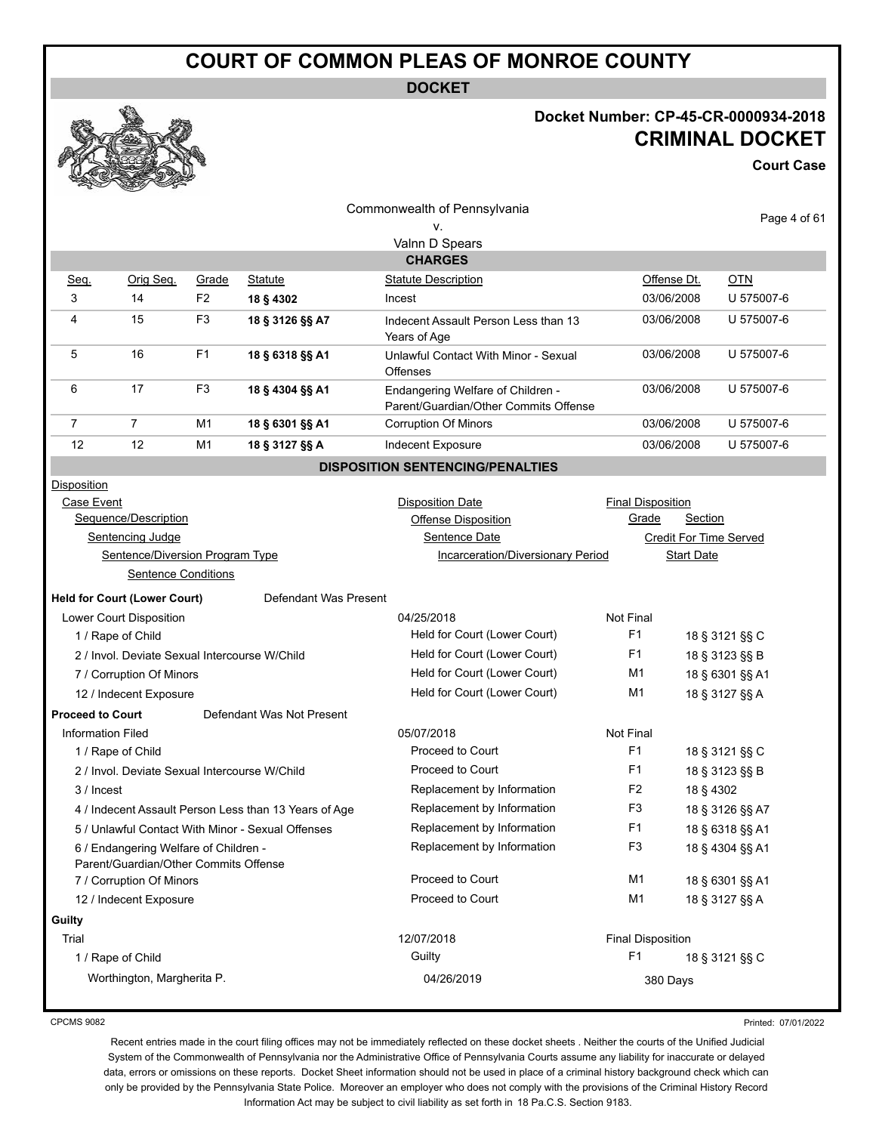**DOCKET**

#### **Docket Number: CP-45-CR-0000934-2018 CRIMINAL DOCKET**

**Court Case**

|                                                                                |                                               |                            |                                                       | Commonwealth of Pennsylvania                                               |                          |                   |                        |
|--------------------------------------------------------------------------------|-----------------------------------------------|----------------------------|-------------------------------------------------------|----------------------------------------------------------------------------|--------------------------|-------------------|------------------------|
|                                                                                |                                               |                            |                                                       | ۷.                                                                         |                          |                   | Page 4 of 61           |
|                                                                                |                                               |                            |                                                       | Valnn D Spears                                                             |                          |                   |                        |
|                                                                                |                                               |                            |                                                       | <b>CHARGES</b>                                                             |                          |                   |                        |
| Seq.                                                                           | Orig Seg.                                     | Grade                      | <b>Statute</b>                                        | <b>Statute Description</b>                                                 |                          | Offense Dt.       | <b>OTN</b>             |
| 3                                                                              | 14                                            | F <sub>2</sub>             | 18 § 4302                                             | Incest                                                                     |                          | 03/06/2008        | U 575007-6             |
| 4                                                                              | 15                                            | F <sub>3</sub>             | 18 § 3126 §§ A7                                       | Indecent Assault Person Less than 13<br>Years of Age                       |                          | 03/06/2008        | U 575007-6             |
| 5                                                                              | 16                                            | F <sub>1</sub>             | 18 § 6318 §§ A1                                       | Unlawful Contact With Minor - Sexual<br><b>Offenses</b>                    |                          | 03/06/2008        | U 575007-6             |
| 6                                                                              | 17                                            | F <sub>3</sub>             | 18 § 4304 §§ A1                                       | Endangering Welfare of Children -<br>Parent/Guardian/Other Commits Offense |                          | 03/06/2008        | U 575007-6             |
| 7                                                                              | 7                                             | M1                         | 18 § 6301 §§ A1                                       | <b>Corruption Of Minors</b>                                                |                          | 03/06/2008        | U 575007-6             |
| 12                                                                             | 12                                            | M1                         | 18 § 3127 §§ A                                        | Indecent Exposure                                                          |                          | 03/06/2008        | U 575007-6             |
|                                                                                |                                               |                            |                                                       | <b>DISPOSITION SENTENCING/PENALTIES</b>                                    |                          |                   |                        |
| <b>Disposition</b>                                                             |                                               |                            |                                                       |                                                                            |                          |                   |                        |
| Case Event                                                                     |                                               |                            |                                                       | <b>Disposition Date</b>                                                    | <b>Final Disposition</b> |                   |                        |
|                                                                                | Sequence/Description                          |                            |                                                       | <b>Offense Disposition</b>                                                 | Grade                    | <b>Section</b>    |                        |
|                                                                                | Sentencing Judge                              |                            |                                                       | Sentence Date                                                              |                          |                   | Credit For Time Served |
|                                                                                | Sentence/Diversion Program Type               |                            |                                                       | Incarceration/Diversionary Period                                          |                          | <b>Start Date</b> |                        |
|                                                                                | <b>Sentence Conditions</b>                    |                            |                                                       |                                                                            |                          |                   |                        |
|                                                                                | <b>Held for Court (Lower Court)</b>           |                            | Defendant Was Present                                 |                                                                            |                          |                   |                        |
|                                                                                | Lower Court Disposition                       |                            |                                                       | 04/25/2018                                                                 | Not Final                |                   |                        |
|                                                                                | 1 / Rape of Child                             |                            |                                                       | Held for Court (Lower Court)                                               | F1                       |                   | 18 § 3121 §§ C         |
|                                                                                | 2 / Invol. Deviate Sexual Intercourse W/Child |                            |                                                       | Held for Court (Lower Court)                                               | F1                       | 18 § 3123 §§ B    |                        |
|                                                                                | 7 / Corruption Of Minors                      |                            |                                                       | Held for Court (Lower Court)                                               | M1                       |                   | 18 § 6301 §§ A1        |
|                                                                                | 12 / Indecent Exposure                        |                            |                                                       | Held for Court (Lower Court)                                               | M1                       |                   | 18 § 3127 §§ A         |
| <b>Proceed to Court</b>                                                        |                                               |                            | Defendant Was Not Present                             |                                                                            |                          |                   |                        |
| <b>Information Filed</b>                                                       |                                               |                            |                                                       | 05/07/2018                                                                 | Not Final                |                   |                        |
|                                                                                | 1 / Rape of Child                             |                            |                                                       | Proceed to Court                                                           | F1                       |                   | 18 § 3121 §§ C         |
|                                                                                | 2 / Invol. Deviate Sexual Intercourse W/Child |                            |                                                       | Proceed to Court                                                           | F1                       |                   | 18 § 3123 §§ B         |
| 3 / Incest                                                                     |                                               |                            |                                                       | Replacement by Information                                                 | F <sub>2</sub>           | 18 § 4302         |                        |
|                                                                                |                                               |                            | 4 / Indecent Assault Person Less than 13 Years of Age | Replacement by Information                                                 | F <sub>3</sub>           |                   | 18 § 3126 §§ A7        |
|                                                                                |                                               |                            | 5 / Unlawful Contact With Minor - Sexual Offenses     | Replacement by Information                                                 | F1                       |                   | 18 § 6318 §§ A1        |
| 6 / Endangering Welfare of Children -<br>Parent/Guardian/Other Commits Offense |                                               | Replacement by Information | F <sub>3</sub>                                        |                                                                            | 18 § 4304 §§ A1          |                   |                        |
|                                                                                | 7 / Corruption Of Minors                      |                            |                                                       | Proceed to Court                                                           | M <sub>1</sub>           |                   | 18 § 6301 §§ A1        |
|                                                                                | 12 / Indecent Exposure                        |                            |                                                       | Proceed to Court                                                           | M <sub>1</sub>           |                   | 18 § 3127 §§ A         |
| Guilty                                                                         |                                               |                            |                                                       |                                                                            |                          |                   |                        |
| Trial                                                                          |                                               |                            |                                                       | 12/07/2018                                                                 | <b>Final Disposition</b> |                   |                        |
|                                                                                | 1 / Rape of Child                             |                            |                                                       | Guilty                                                                     | F <sub>1</sub>           |                   | 18 § 3121 §§ C         |
|                                                                                | Worthington, Margherita P.                    |                            |                                                       | 04/26/2019                                                                 | 380 Days                 |                   |                        |

CPCMS 9082

Printed: 07/01/2022

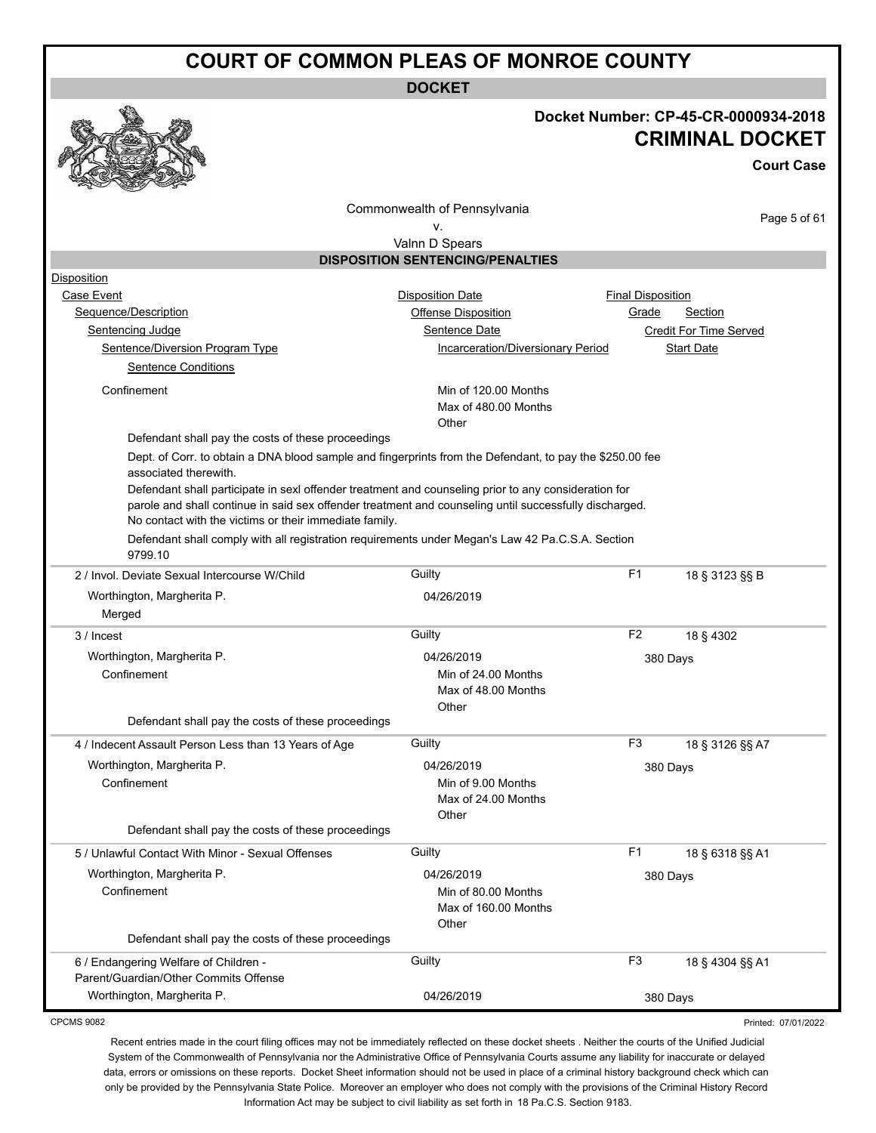**DOCKET**



#### **Docket Number: CP-45-CR-0000934-2018 CRIMINAL DOCKET**

**Court Case**

Commonwealth of Pennsylvania

Page 5 of 61

v. Valnn D Spears

#### **DISPOSITION SENTENCING/PENALTIES**

| Disposition                                                                                                                                                                                                                                                              |                                             |                          |                        |
|--------------------------------------------------------------------------------------------------------------------------------------------------------------------------------------------------------------------------------------------------------------------------|---------------------------------------------|--------------------------|------------------------|
| Case Event                                                                                                                                                                                                                                                               | <b>Disposition Date</b>                     | <b>Final Disposition</b> |                        |
| Sequence/Description                                                                                                                                                                                                                                                     | <b>Offense Disposition</b>                  | Grade                    | Section                |
| <b>Sentencing Judge</b>                                                                                                                                                                                                                                                  | Sentence Date                               |                          | Credit For Time Served |
| Sentence/Diversion Program Type                                                                                                                                                                                                                                          | Incarceration/Diversionary Period           |                          | <b>Start Date</b>      |
| <b>Sentence Conditions</b>                                                                                                                                                                                                                                               |                                             |                          |                        |
| Confinement                                                                                                                                                                                                                                                              | Min of 120.00 Months                        |                          |                        |
|                                                                                                                                                                                                                                                                          | Max of 480.00 Months                        |                          |                        |
|                                                                                                                                                                                                                                                                          | Other                                       |                          |                        |
| Defendant shall pay the costs of these proceedings                                                                                                                                                                                                                       |                                             |                          |                        |
| Dept. of Corr. to obtain a DNA blood sample and fingerprints from the Defendant, to pay the \$250.00 fee<br>associated therewith.                                                                                                                                        |                                             |                          |                        |
| Defendant shall participate in sexl offender treatment and counseling prior to any consideration for<br>parole and shall continue in said sex offender treatment and counseling until successfully discharged.<br>No contact with the victims or their immediate family. |                                             |                          |                        |
| Defendant shall comply with all registration requirements under Megan's Law 42 Pa.C.S.A. Section                                                                                                                                                                         |                                             |                          |                        |
| 9799.10<br>2 / Invol. Deviate Sexual Intercourse W/Child                                                                                                                                                                                                                 | Guilty                                      | F1                       | 18 § 3123 §§ B         |
|                                                                                                                                                                                                                                                                          |                                             |                          |                        |
| Worthington, Margherita P.                                                                                                                                                                                                                                               | 04/26/2019                                  |                          |                        |
| Merged                                                                                                                                                                                                                                                                   |                                             |                          |                        |
| 3 / Incest                                                                                                                                                                                                                                                               | Guilty                                      | F <sub>2</sub>           | 18 § 4302              |
| Worthington, Margherita P.                                                                                                                                                                                                                                               | 04/26/2019                                  | 380 Days                 |                        |
| Confinement                                                                                                                                                                                                                                                              | Min of 24.00 Months                         |                          |                        |
|                                                                                                                                                                                                                                                                          | Max of 48.00 Months                         |                          |                        |
| Defendant shall pay the costs of these proceedings                                                                                                                                                                                                                       | Other                                       |                          |                        |
|                                                                                                                                                                                                                                                                          |                                             |                          |                        |
| 4 / Indecent Assault Person Less than 13 Years of Age                                                                                                                                                                                                                    | Guilty                                      | F <sub>3</sub>           | 18 § 3126 §§ A7        |
| Worthington, Margherita P.                                                                                                                                                                                                                                               | 04/26/2019                                  | 380 Days                 |                        |
| Confinement                                                                                                                                                                                                                                                              | Min of 9.00 Months                          |                          |                        |
|                                                                                                                                                                                                                                                                          | Max of 24.00 Months<br>Other                |                          |                        |
| Defendant shall pay the costs of these proceedings                                                                                                                                                                                                                       |                                             |                          |                        |
| 5 / Unlawful Contact With Minor - Sexual Offenses                                                                                                                                                                                                                        | Guilty                                      | F <sub>1</sub>           | 18 § 6318 §§ A1        |
|                                                                                                                                                                                                                                                                          |                                             |                          |                        |
| Worthington, Margherita P.                                                                                                                                                                                                                                               | 04/26/2019                                  | 380 Days                 |                        |
| Confinement                                                                                                                                                                                                                                                              | Min of 80.00 Months<br>Max of 160.00 Months |                          |                        |
|                                                                                                                                                                                                                                                                          | Other                                       |                          |                        |
| Defendant shall pay the costs of these proceedings                                                                                                                                                                                                                       |                                             |                          |                        |
|                                                                                                                                                                                                                                                                          |                                             |                          |                        |
| 6 / Endangering Welfare of Children -                                                                                                                                                                                                                                    | Guilty                                      | F <sub>3</sub>           | 18 § 4304 §§ A1        |
| Parent/Guardian/Other Commits Offense                                                                                                                                                                                                                                    |                                             |                          |                        |

CPCMS 9082

Printed: 07/01/2022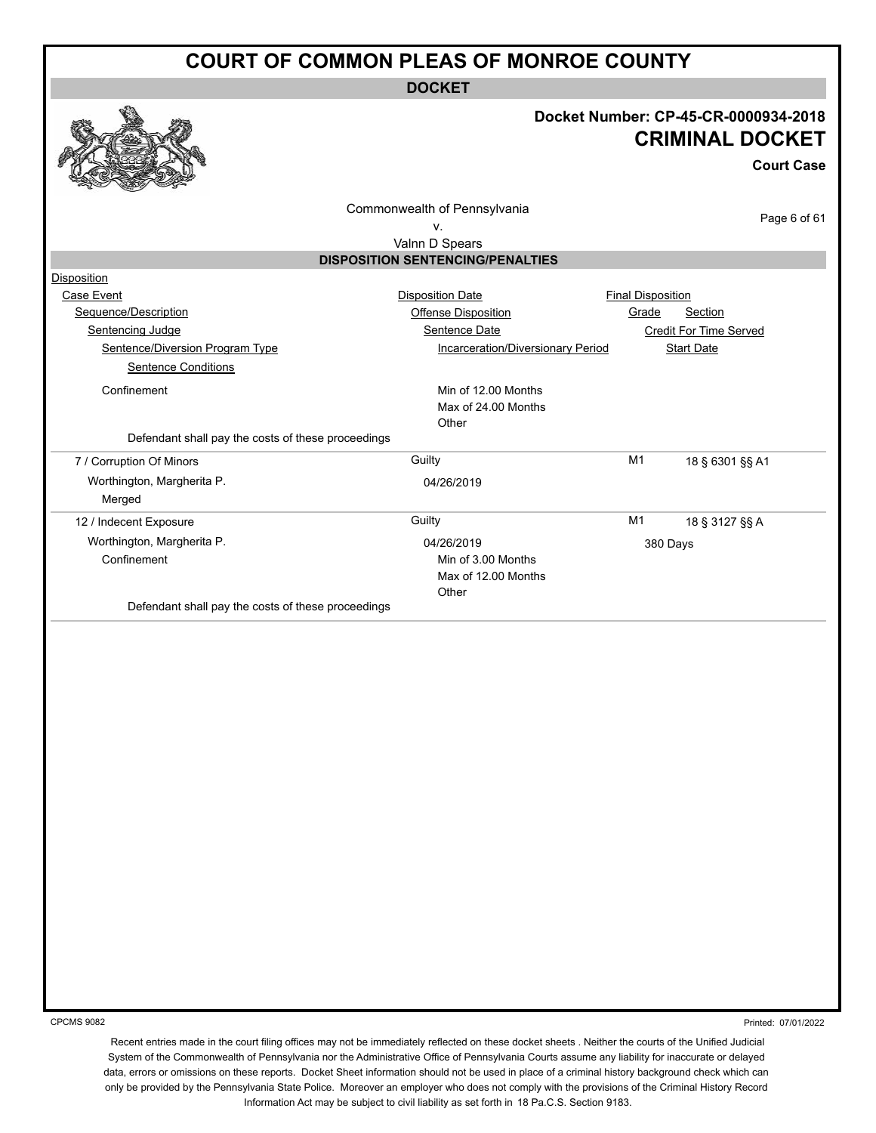**DOCKET**



#### **Docket Number: CP-45-CR-0000934-2018 CRIMINAL DOCKET**

**Court Case**

Commonwealth of Pennsylvania

Page 6 of 61

#### v. Valnn D Spears

| $\sim$                                  |  |
|-----------------------------------------|--|
| <b>DISPOSITION SENTENCING/PENALTIES</b> |  |

| Disposition                                        |                                   |                          |                        |
|----------------------------------------------------|-----------------------------------|--------------------------|------------------------|
| Case Event                                         | <b>Disposition Date</b>           | <b>Final Disposition</b> |                        |
| Sequence/Description                               | Offense Disposition               | Grade                    | Section                |
| Sentencing Judge                                   | Sentence Date                     |                          | Credit For Time Served |
| Sentence/Diversion Program Type                    | Incarceration/Diversionary Period |                          | <b>Start Date</b>      |
| <b>Sentence Conditions</b>                         |                                   |                          |                        |
| Confinement                                        | Min of 12.00 Months               |                          |                        |
|                                                    | Max of 24.00 Months               |                          |                        |
|                                                    | Other                             |                          |                        |
| Defendant shall pay the costs of these proceedings |                                   |                          |                        |
| 7 / Corruption Of Minors                           | Guilty                            | M1                       | 18 § 6301 §§ A1        |
| Worthington, Margherita P.                         | 04/26/2019                        |                          |                        |
| Merged                                             |                                   |                          |                        |
| 12 / Indecent Exposure                             | Guilty                            | M1                       | 18 § 3127 §§ A         |
| Worthington, Margherita P.                         | 04/26/2019                        | 380 Days                 |                        |
| Confinement                                        | Min of 3.00 Months                |                          |                        |
|                                                    | Max of 12.00 Months               |                          |                        |
|                                                    | Other                             |                          |                        |
| Defendant shall pay the costs of these proceedings |                                   |                          |                        |

CPCMS 9082

Printed: 07/01/2022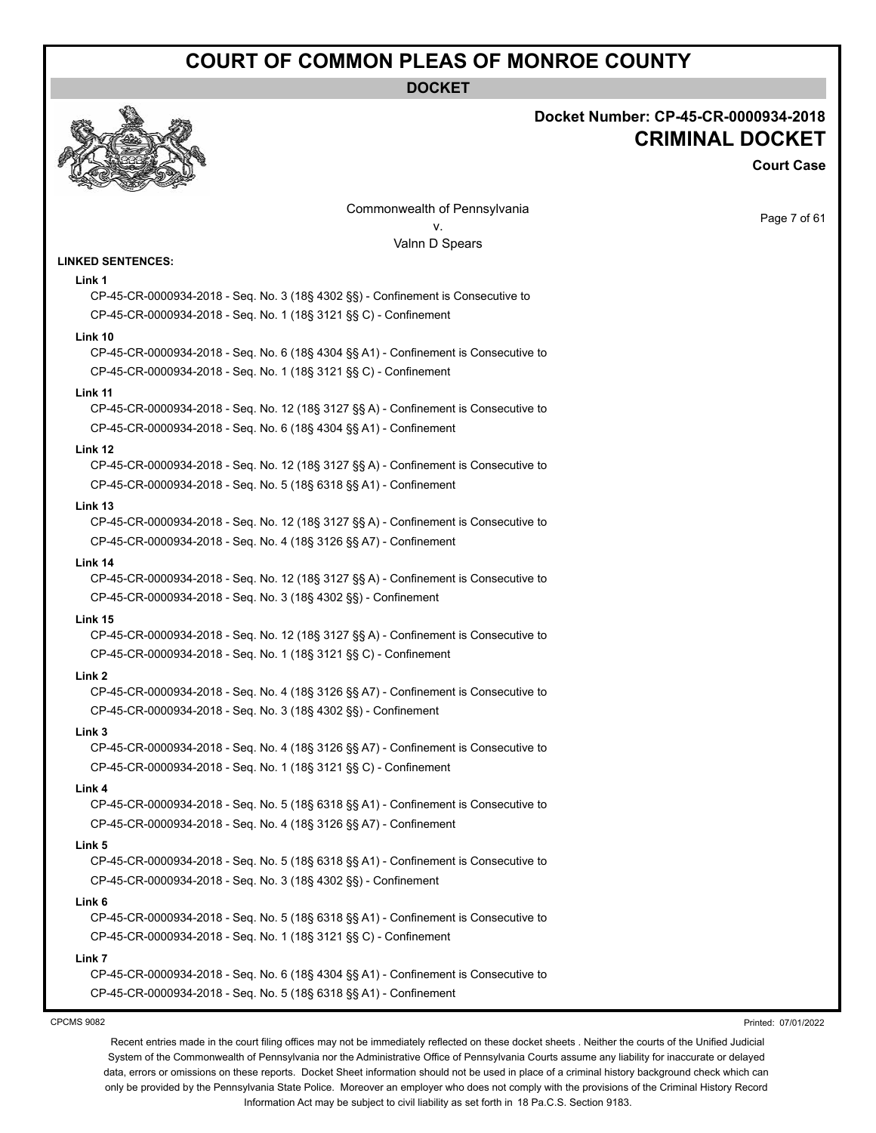**DOCKET**

**Docket Number: CP-45-CR-0000934-2018**

**CRIMINAL DOCKET**

**Court Case**



#### Page 7 of 61 Commonwealth of Pennsylvania v. Valnn D Spears **LINKED SENTENCES: Link 1** CP-45-CR-0000934-2018 - Seq. No. 3 (18§ 4302 §§) - Confinement is Consecutive to CP-45-CR-0000934-2018 - Seq. No. 1 (18§ 3121 §§ C) - Confinement **Link 10** CP-45-CR-0000934-2018 - Seq. No. 6 (18§ 4304 §§ A1) - Confinement is Consecutive to CP-45-CR-0000934-2018 - Seq. No. 1 (18§ 3121 §§ C) - Confinement **Link 11** CP-45-CR-0000934-2018 - Seq. No. 12 (18§ 3127 §§ A) - Confinement is Consecutive to CP-45-CR-0000934-2018 - Seq. No. 6 (18§ 4304 §§ A1) - Confinement **Link 12** CP-45-CR-0000934-2018 - Seq. No. 12 (18§ 3127 §§ A) - Confinement is Consecutive to CP-45-CR-0000934-2018 - Seq. No. 5 (18§ 6318 §§ A1) - Confinement **Link 13** CP-45-CR-0000934-2018 - Seq. No. 12 (18§ 3127 §§ A) - Confinement is Consecutive to CP-45-CR-0000934-2018 - Seq. No. 4 (18§ 3126 §§ A7) - Confinement **Link 14** CP-45-CR-0000934-2018 - Seq. No. 12 (18§ 3127 §§ A) - Confinement is Consecutive to CP-45-CR-0000934-2018 - Seq. No. 3 (18§ 4302 §§) - Confinement **Link 15** CP-45-CR-0000934-2018 - Seq. No. 12 (18§ 3127 §§ A) - Confinement is Consecutive to CP-45-CR-0000934-2018 - Seq. No. 1 (18§ 3121 §§ C) - Confinement **Link 2** CP-45-CR-0000934-2018 - Seq. No. 4 (18§ 3126 §§ A7) - Confinement is Consecutive to CP-45-CR-0000934-2018 - Seq. No. 3 (18§ 4302 §§) - Confinement **Link 3** CP-45-CR-0000934-2018 - Seq. No. 4 (18§ 3126 §§ A7) - Confinement is Consecutive to CP-45-CR-0000934-2018 - Seq. No. 1 (18§ 3121 §§ C) - Confinement **Link 4** CP-45-CR-0000934-2018 - Seq. No. 5 (18§ 6318 §§ A1) - Confinement is Consecutive to CP-45-CR-0000934-2018 - Seq. No. 4 (18§ 3126 §§ A7) - Confinement **Link 5** CP-45-CR-0000934-2018 - Seq. No. 5 (18§ 6318 §§ A1) - Confinement is Consecutive to CP-45-CR-0000934-2018 - Seq. No. 3 (18§ 4302 §§) - Confinement **Link 6** CP-45-CR-0000934-2018 - Seq. No. 5 (18§ 6318 §§ A1) - Confinement is Consecutive to CP-45-CR-0000934-2018 - Seq. No. 1 (18§ 3121 §§ C) - Confinement **Link 7** CP-45-CR-0000934-2018 - Seq. No. 6 (18§ 4304 §§ A1) - Confinement is Consecutive to CP-45-CR-0000934-2018 - Seq. No. 5 (18§ 6318 §§ A1) - Confinement

CPCMS 9082

Printed: 07/01/2022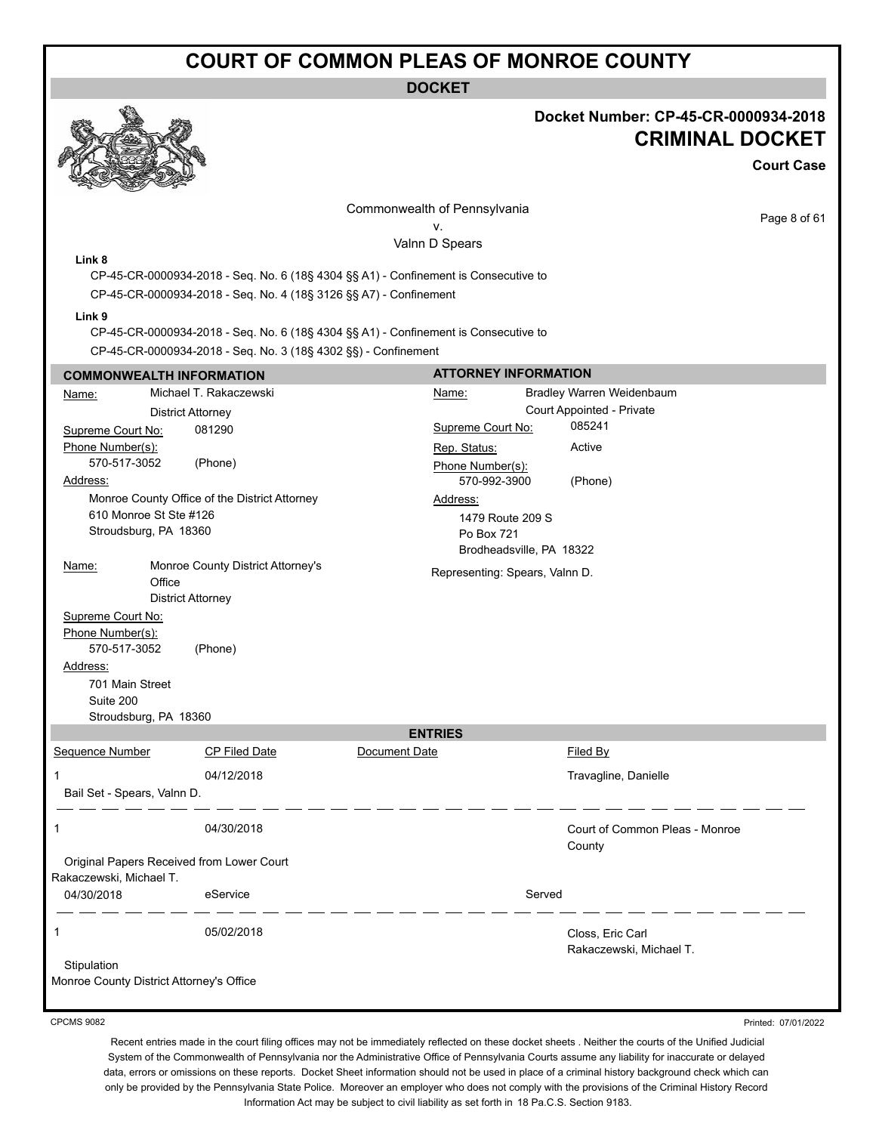#### **DOCKET**



#### **Docket Number: CP-45-CR-0000934-2018 CRIMINAL DOCKET**

**Court Case**

Commonwealth of Pennsylvania v.

Page 8 of 61

Valnn D Spears

#### **Link 8**

CP-45-CR-0000934-2018 - Seq. No. 6 (18§ 4304 §§ A1) - Confinement is Consecutive to CP-45-CR-0000934-2018 - Seq. No. 4 (18§ 3126 §§ A7) - Confinement

#### **Link 9**

CP-45-CR-0000934-2018 - Seq. No. 6 (18§ 4304 §§ A1) - Confinement is Consecutive to

CP-45-CR-0000934-2018 - Seq. No. 3 (18§ 4302 §§) - Confinement

#### **COMMONWEALTH INFORMATION** Name: Michael T. Rakaczewski District Attorney Supreme Court No: 081290 Phone Number(s): 570-517-3052 (Phone) Address: Monroe County Office of the District Attorney 610 Monroe St Ste #126 Stroudsburg, PA 18360 Name: Monroe County District Attorney's **Office** District Attorney Supreme Court No: Phone Number(s): 570-517-3052 (Phone) Address: 701 Main Street Suite 200 Stroudsburg, PA 18360 **ATTORNEY INFORMATION** Name: Bradley Warren Weidenbaum Court Appointed - Private Supreme Court No: 085241 Rep. Status: Active Phone Number(s): 570-992-3900 (Phone) Address: 1479 Route 209 S Po Box 721 Brodheadsville, PA 18322 Representing: Spears, Valnn D. **ENTRIES** Sequence Number CP Filed Date Document Date **Document Date** Filed By 1 04/12/2018 Travagline, Danielle Bail Set - Spears, Valnn D. 1 04/30/2018 Court of Common Pleas - Monroe **County** Original Papers Received from Lower Court Rakaczewski, Michael T. 04/30/2018 eService Served 1 05/02/2018 Closs, Eric Carl Rakaczewski, Michael T. **Stipulation** Monroe County District Attorney's Office

CPCMS 9082

Printed: 07/01/2022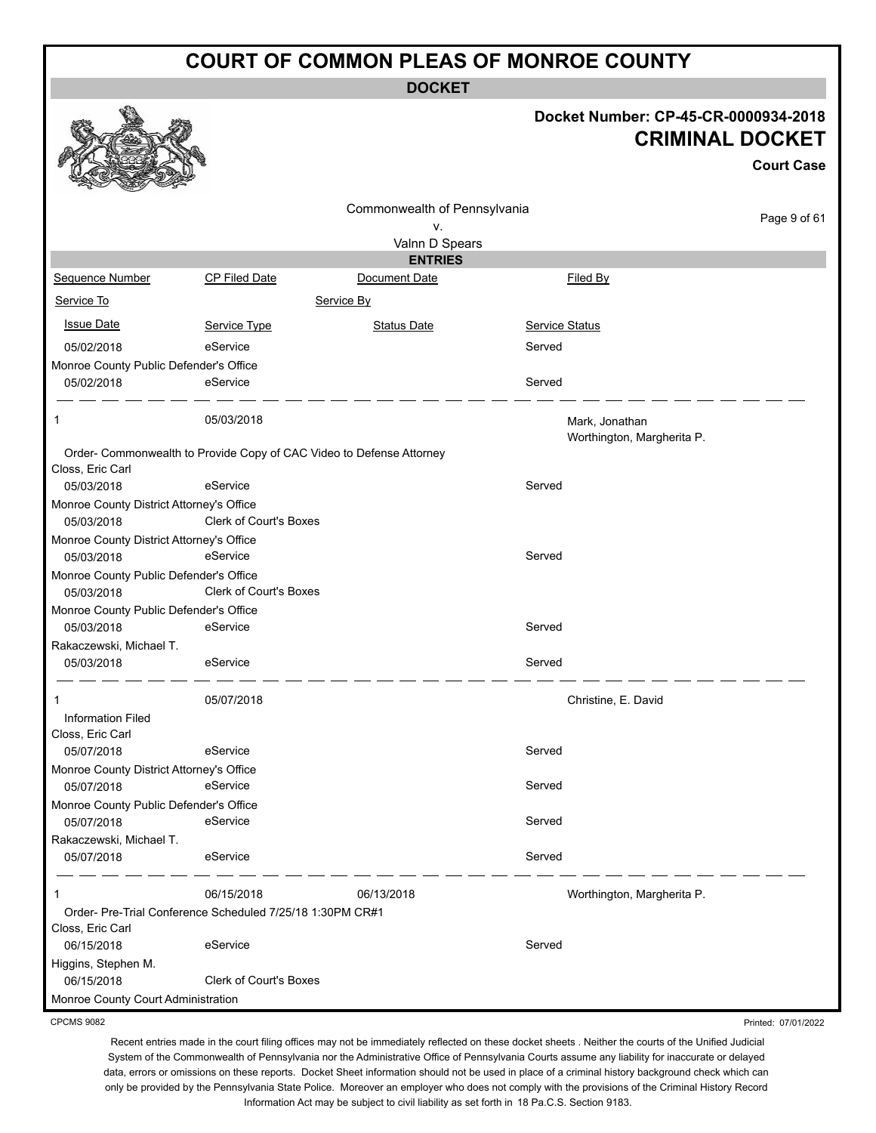**DOCKET**

#### **Docket Number: CP-45-CR-0000934-2018 CRIMINAL DOCKET**

Printed: 07/01/2022

|                                                        |                                                                      |                                    |                                              | <b>Court Case</b> |
|--------------------------------------------------------|----------------------------------------------------------------------|------------------------------------|----------------------------------------------|-------------------|
|                                                        |                                                                      | Commonwealth of Pennsylvania<br>٧. |                                              | Page 9 of 61      |
|                                                        |                                                                      | Valnn D Spears                     |                                              |                   |
|                                                        |                                                                      | <b>ENTRIES</b>                     |                                              |                   |
| Sequence Number                                        | <b>CP Filed Date</b>                                                 | Document Date                      | Filed By                                     |                   |
| Service To                                             |                                                                      | Service By                         |                                              |                   |
| <b>Issue Date</b>                                      | Service Type                                                         | Status Date                        | <b>Service Status</b>                        |                   |
| 05/02/2018                                             | eService                                                             |                                    | Served                                       |                   |
| Monroe County Public Defender's Office                 |                                                                      |                                    |                                              |                   |
| 05/02/2018                                             | eService                                                             |                                    | Served                                       |                   |
| 1                                                      | 05/03/2018                                                           |                                    | Mark, Jonathan<br>Worthington, Margherita P. |                   |
|                                                        | Order- Commonwealth to Provide Copy of CAC Video to Defense Attorney |                                    |                                              |                   |
| Closs, Eric Carl                                       |                                                                      |                                    |                                              |                   |
| 05/03/2018                                             | eService                                                             |                                    | Served                                       |                   |
| Monroe County District Attorney's Office<br>05/03/2018 | <b>Clerk of Court's Boxes</b>                                        |                                    |                                              |                   |
| Monroe County District Attorney's Office               |                                                                      |                                    |                                              |                   |
| 05/03/2018                                             | eService                                                             |                                    | Served                                       |                   |
| Monroe County Public Defender's Office                 |                                                                      |                                    |                                              |                   |
| 05/03/2018                                             | Clerk of Court's Boxes                                               |                                    |                                              |                   |
| Monroe County Public Defender's Office                 |                                                                      |                                    |                                              |                   |
| 05/03/2018                                             | eService                                                             |                                    | Served                                       |                   |
| Rakaczewski, Michael T.                                |                                                                      |                                    |                                              |                   |
| 05/03/2018                                             | eService                                                             |                                    | Served                                       |                   |
|                                                        | 05/07/2018                                                           |                                    | Christine, E. David                          |                   |
| <b>Information Filed</b>                               |                                                                      |                                    |                                              |                   |
| Closs, Eric Carl                                       |                                                                      |                                    |                                              |                   |
| 05/07/2018                                             | eService                                                             |                                    | Served                                       |                   |
| Monroe County District Attorney's Office               |                                                                      |                                    |                                              |                   |
| 05/07/2018                                             | eService                                                             |                                    | Served                                       |                   |
| Monroe County Public Defender's Office<br>05/07/2018   | eService                                                             |                                    | Served                                       |                   |
| Rakaczewski, Michael T.                                |                                                                      |                                    |                                              |                   |
| 05/07/2018                                             | eService                                                             |                                    | Served                                       |                   |
| 1                                                      | 06/15/2018                                                           | 06/13/2018                         | Worthington, Margherita P.                   |                   |
|                                                        | Order- Pre-Trial Conference Scheduled 7/25/18 1:30PM CR#1            |                                    |                                              |                   |
| Closs, Eric Carl                                       |                                                                      |                                    |                                              |                   |
| 06/15/2018                                             | eService                                                             |                                    | Served                                       |                   |
| Higgins, Stephen M.<br>06/15/2018                      | Clerk of Court's Boxes                                               |                                    |                                              |                   |
| Monroe County Court Administration                     |                                                                      |                                    |                                              |                   |

CPCMS 9082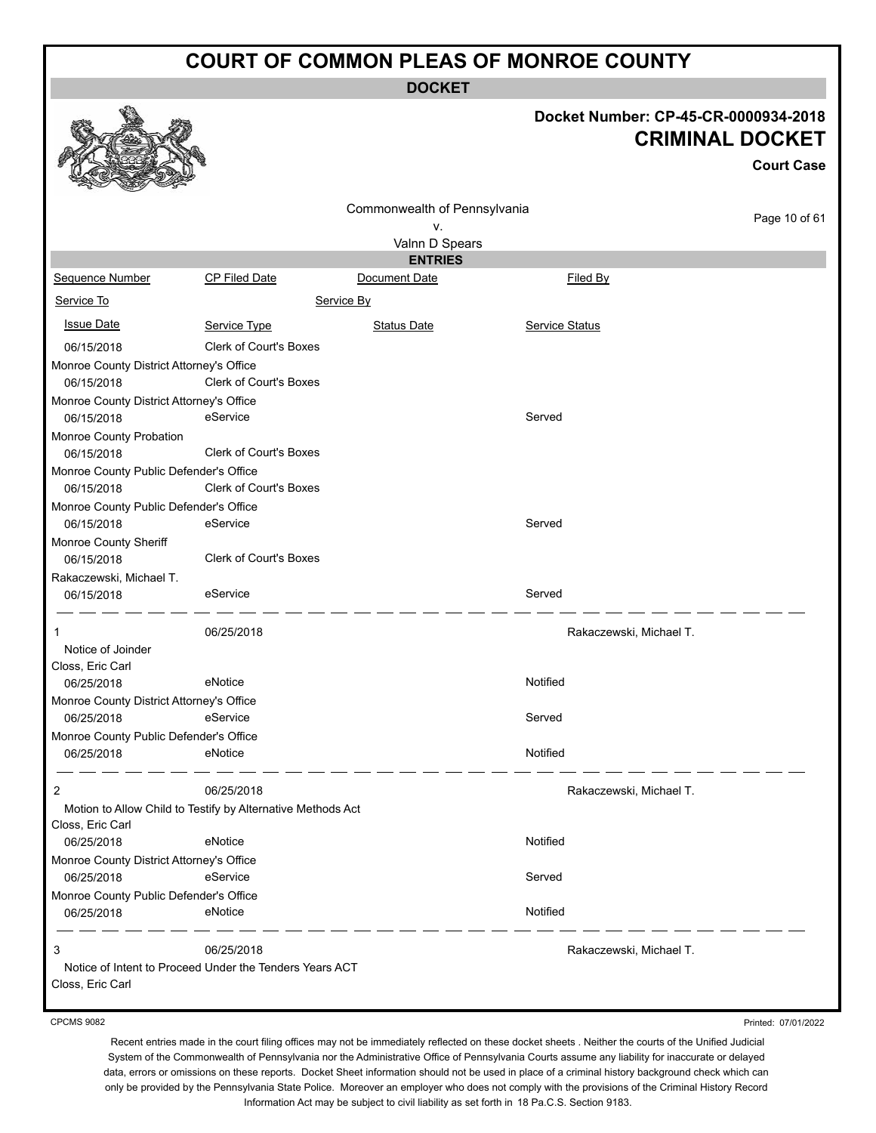**DOCKET**

# **Docket Number: CP-45-CR-0000934-2018**

|                                          |                                                             |                              | Docket Number: CP-45-CR-0000934-2018 | <b>CRIMINAL DOCKET</b> |
|------------------------------------------|-------------------------------------------------------------|------------------------------|--------------------------------------|------------------------|
|                                          |                                                             |                              |                                      | <b>Court Case</b>      |
|                                          |                                                             | Commonwealth of Pennsylvania |                                      |                        |
|                                          |                                                             | ٧.                           |                                      | Page 10 of 61          |
|                                          |                                                             | Valnn D Spears               |                                      |                        |
|                                          |                                                             | <b>ENTRIES</b>               |                                      |                        |
| Sequence Number                          | CP Filed Date                                               | Document Date                | Filed By                             |                        |
| Service To                               |                                                             | Service By                   |                                      |                        |
| <b>Issue Date</b>                        | Service Type                                                | <b>Status Date</b>           | Service Status                       |                        |
| 06/15/2018                               | <b>Clerk of Court's Boxes</b>                               |                              |                                      |                        |
| Monroe County District Attorney's Office |                                                             |                              |                                      |                        |
| 06/15/2018                               | Clerk of Court's Boxes                                      |                              |                                      |                        |
| Monroe County District Attorney's Office |                                                             |                              |                                      |                        |
| 06/15/2018                               | eService                                                    |                              | Served                               |                        |
| Monroe County Probation                  |                                                             |                              |                                      |                        |
| 06/15/2018                               | <b>Clerk of Court's Boxes</b>                               |                              |                                      |                        |
| Monroe County Public Defender's Office   |                                                             |                              |                                      |                        |
| 06/15/2018                               | <b>Clerk of Court's Boxes</b>                               |                              |                                      |                        |
| Monroe County Public Defender's Office   |                                                             |                              |                                      |                        |
| 06/15/2018                               | eService                                                    |                              | Served                               |                        |
| Monroe County Sheriff                    |                                                             |                              |                                      |                        |
| 06/15/2018                               | Clerk of Court's Boxes                                      |                              |                                      |                        |
| Rakaczewski, Michael T.                  |                                                             |                              |                                      |                        |
| 06/15/2018                               | eService                                                    |                              | Served                               |                        |
| 1                                        | 06/25/2018                                                  |                              | Rakaczewski, Michael T.              |                        |
| Notice of Joinder                        |                                                             |                              |                                      |                        |
| Closs, Eric Carl                         |                                                             |                              |                                      |                        |
| 06/25/2018                               | eNotice                                                     |                              | Notified                             |                        |
| Monroe County District Attorney's Office |                                                             |                              |                                      |                        |
| 06/25/2018                               | eService                                                    |                              | Served                               |                        |
| Monroe County Public Defender's Office   |                                                             |                              |                                      |                        |
| 06/25/2018                               | eNotice                                                     |                              | Notified                             |                        |
| 2                                        | 06/25/2018                                                  |                              | Rakaczewski, Michael T.              |                        |
|                                          | Motion to Allow Child to Testify by Alternative Methods Act |                              |                                      |                        |
| Closs, Eric Carl                         |                                                             |                              |                                      |                        |
| 06/25/2018                               | eNotice                                                     |                              | Notified                             |                        |
| Monroe County District Attorney's Office |                                                             |                              |                                      |                        |
| 06/25/2018                               | eService                                                    |                              | Served                               |                        |
| Monroe County Public Defender's Office   |                                                             |                              |                                      |                        |
| 06/25/2018                               | eNotice                                                     |                              | Notified                             |                        |
| 3                                        | 06/25/2018                                                  |                              | Rakaczewski, Michael T.              |                        |
| Closs, Eric Carl                         | Notice of Intent to Proceed Under the Tenders Years ACT     |                              |                                      |                        |

CPCMS 9082

 $\mathbf{A}$ 

Printed: 07/01/2022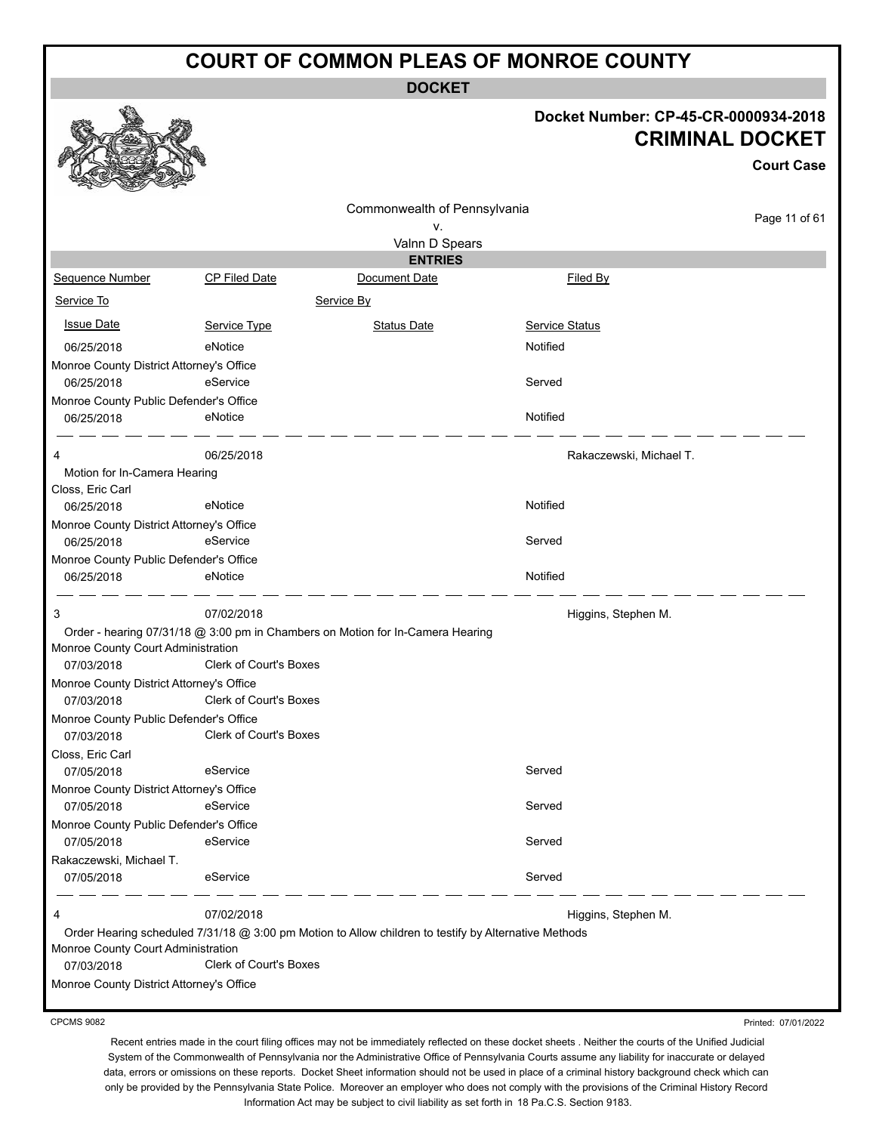**DOCKET**

#### **Docket Number: CP-45-CR-0000934-2018 CRIMINAL DOCKET**

**Court Case**

Page 11 of 61

|                                                      |                               | Commonwealth of Pennsylvania                                                   |                         |
|------------------------------------------------------|-------------------------------|--------------------------------------------------------------------------------|-------------------------|
|                                                      |                               | ν.                                                                             |                         |
|                                                      |                               | Valnn D Spears                                                                 |                         |
|                                                      |                               | <b>ENTRIES</b>                                                                 |                         |
| <b>Sequence Number</b>                               | <b>CP Filed Date</b>          | Document Date                                                                  | Filed By                |
| Service To                                           |                               | Service By                                                                     |                         |
| <u>Issue Date</u>                                    | Service Type                  | <b>Status Date</b>                                                             | <b>Service Status</b>   |
| 06/25/2018                                           | eNotice                       |                                                                                | Notified                |
| Monroe County District Attorney's Office             |                               |                                                                                |                         |
| 06/25/2018                                           | eService                      |                                                                                | Served                  |
| Monroe County Public Defender's Office               |                               |                                                                                |                         |
| 06/25/2018                                           | eNotice                       |                                                                                | Notified                |
| 4                                                    | 06/25/2018                    |                                                                                | Rakaczewski, Michael T. |
| Motion for In-Camera Hearing                         |                               |                                                                                |                         |
| Closs, Eric Carl                                     |                               |                                                                                |                         |
| 06/25/2018                                           | eNotice                       |                                                                                | Notified                |
| Monroe County District Attorney's Office             |                               |                                                                                |                         |
| 06/25/2018                                           | eService                      |                                                                                | Served                  |
| Monroe County Public Defender's Office               |                               |                                                                                |                         |
| 06/25/2018                                           | eNotice                       |                                                                                | Notified                |
| 3                                                    | 07/02/2018                    |                                                                                | Higgins, Stephen M.     |
|                                                      |                               | Order - hearing 07/31/18 @ 3:00 pm in Chambers on Motion for In-Camera Hearing |                         |
| Monroe County Court Administration                   |                               |                                                                                |                         |
| 07/03/2018                                           | <b>Clerk of Court's Boxes</b> |                                                                                |                         |
| Monroe County District Attorney's Office             | <b>Clerk of Court's Boxes</b> |                                                                                |                         |
| 07/03/2018                                           |                               |                                                                                |                         |
| Monroe County Public Defender's Office<br>07/03/2018 | <b>Clerk of Court's Boxes</b> |                                                                                |                         |
| Closs, Eric Carl                                     |                               |                                                                                |                         |
| 07/05/2018                                           | eService                      |                                                                                | Served                  |
| Monroe County District Attorney's Office             |                               |                                                                                |                         |
| 07/05/2018                                           | eService                      |                                                                                | Served                  |
| Monroe County Public Defender's Office               |                               |                                                                                |                         |
| 07/05/2018                                           | eService                      |                                                                                | Served                  |
|                                                      |                               |                                                                                |                         |
|                                                      |                               |                                                                                | Served                  |
| Rakaczewski, Michael T.<br>07/05/2018                | eService                      |                                                                                |                         |

07/03/2018 Clerk of Court's Boxes

Monroe County District Attorney's Office

CPCMS 9082

Printed: 07/01/2022

Recent entries made in the court filing offices may not be immediately reflected on these docket sheets . Neither the courts of the Unified Judicial System of the Commonwealth of Pennsylvania nor the Administrative Office of Pennsylvania Courts assume any liability for inaccurate or delayed data, errors or omissions on these reports. Docket Sheet information should not be used in place of a criminal history background check which can only be provided by the Pennsylvania State Police. Moreover an employer who does not comply with the provisions of the Criminal History Record



#### Information Act may be subject to civil liability as set forth in 18 Pa.C.S. Section 9183.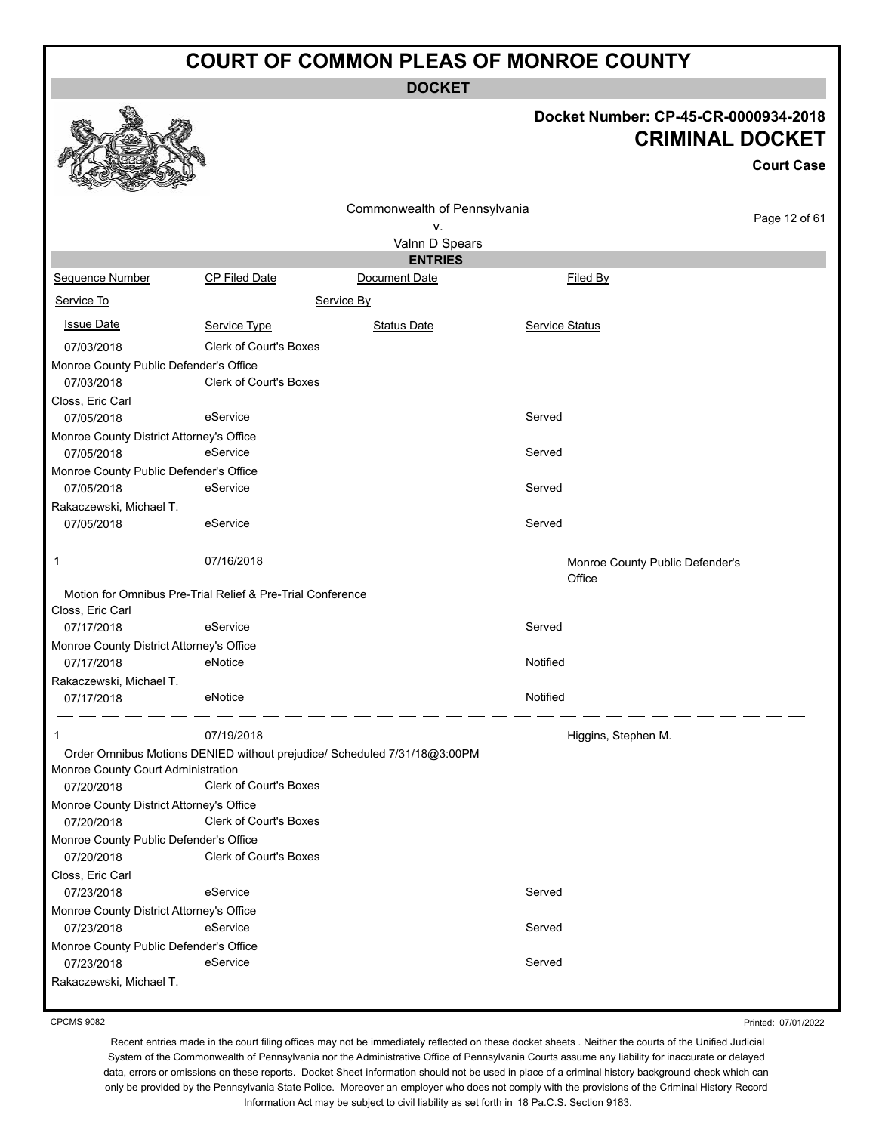**DOCKET**

#### **Docket Number: CP-45-CR-0000934-2018 CRIMINAL DOCKET**

**Court Case**

Page 12 of 61

|                                                        |                                                                          |                              | <b>URIMINAL</b>                           |  |
|--------------------------------------------------------|--------------------------------------------------------------------------|------------------------------|-------------------------------------------|--|
|                                                        |                                                                          | Commonwealth of Pennsylvania |                                           |  |
|                                                        |                                                                          | ν.                           |                                           |  |
|                                                        |                                                                          | Valnn D Spears               |                                           |  |
|                                                        |                                                                          | <b>ENTRIES</b>               |                                           |  |
| Sequence Number                                        | <b>CP Filed Date</b>                                                     | Document Date                | Filed By                                  |  |
| Service To                                             |                                                                          | Service By                   |                                           |  |
| <b>Issue Date</b>                                      | Service Type                                                             | <b>Status Date</b>           | <b>Service Status</b>                     |  |
| 07/03/2018                                             | Clerk of Court's Boxes                                                   |                              |                                           |  |
| Monroe County Public Defender's Office                 |                                                                          |                              |                                           |  |
| 07/03/2018                                             | <b>Clerk of Court's Boxes</b>                                            |                              |                                           |  |
| Closs, Eric Carl                                       |                                                                          |                              |                                           |  |
| 07/05/2018                                             | eService                                                                 |                              | Served                                    |  |
| Monroe County District Attorney's Office<br>07/05/2018 | eService                                                                 |                              | Served                                    |  |
| Monroe County Public Defender's Office<br>07/05/2018   | eService                                                                 |                              | Served                                    |  |
| Rakaczewski, Michael T.                                |                                                                          |                              |                                           |  |
| 07/05/2018                                             | eService                                                                 |                              | Served                                    |  |
| 1                                                      | 07/16/2018                                                               |                              | Monroe County Public Defender's<br>Office |  |
|                                                        | Motion for Omnibus Pre-Trial Relief & Pre-Trial Conference               |                              |                                           |  |
| Closs, Eric Carl                                       |                                                                          |                              |                                           |  |
| 07/17/2018                                             | eService                                                                 |                              | Served                                    |  |
| Monroe County District Attorney's Office<br>07/17/2018 | eNotice                                                                  |                              | Notified                                  |  |
| Rakaczewski, Michael T.                                |                                                                          |                              |                                           |  |
| 07/17/2018                                             | eNotice                                                                  |                              | Notified                                  |  |
| 1                                                      | 07/19/2018                                                               |                              | Higgins, Stephen M.                       |  |
|                                                        | Order Omnibus Motions DENIED without prejudice/ Scheduled 7/31/18@3:00PM |                              |                                           |  |
| Monroe County Court Administration                     |                                                                          |                              |                                           |  |
| 07/20/2018                                             | Clerk of Court's Boxes                                                   |                              |                                           |  |
| Monroe County District Attorney's Office               |                                                                          |                              |                                           |  |
| 07/20/2018                                             | <b>Clerk of Court's Boxes</b>                                            |                              |                                           |  |
| Monroe County Public Defender's Office                 | <b>Clerk of Court's Boxes</b>                                            |                              |                                           |  |
| 07/20/2018                                             |                                                                          |                              |                                           |  |
| Closs, Eric Carl<br>07/23/2018                         | eService                                                                 |                              | Served                                    |  |
| Monroe County District Attorney's Office               |                                                                          |                              |                                           |  |
| 07/23/2018                                             | eService                                                                 |                              | Served                                    |  |
| Monroe County Public Defender's Office                 |                                                                          |                              |                                           |  |
| 07/23/2018                                             | eService                                                                 |                              | Served                                    |  |

Rakaczewski, Michael T.

Printed: 07/01/2022

Recent entries made in the court filing offices may not be immediately reflected on these docket sheets . Neither the courts of the Unified Judicial System of the Commonwealth of Pennsylvania nor the Administrative Office of Pennsylvania Courts assume any liability for inaccurate or delayed data, errors or omissions on these reports. Docket Sheet information should not be used in place of a criminal history background check which can only be provided by the Pennsylvania State Police. Moreover an employer who does not comply with the provisions of the Criminal History Record Information Act may be subject to civil liability as set forth in 18 Pa.C.S. Section 9183.



#### CPCMS 9082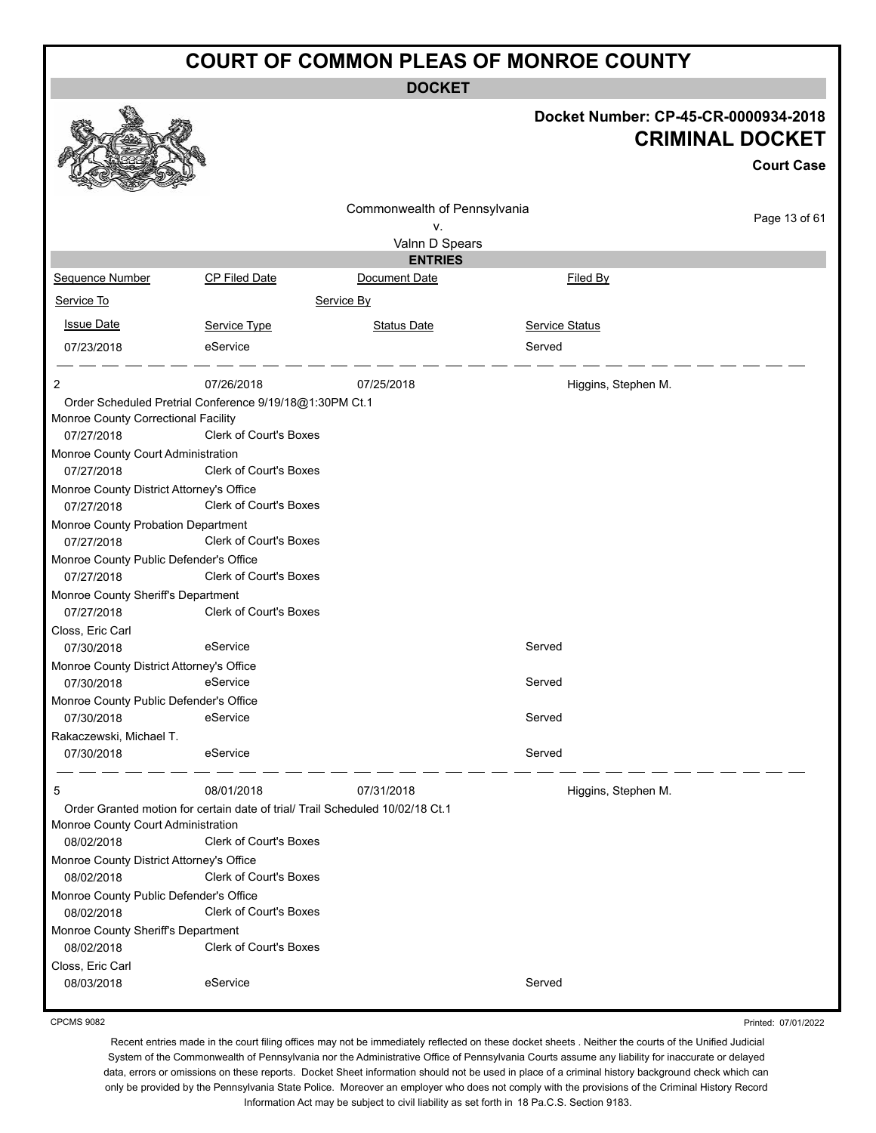**DOCKET**

|                                                                                                                                                                                                       |                                                                                                                                       | DUUNE I                      |                                                                                     |  |
|-------------------------------------------------------------------------------------------------------------------------------------------------------------------------------------------------------|---------------------------------------------------------------------------------------------------------------------------------------|------------------------------|-------------------------------------------------------------------------------------|--|
|                                                                                                                                                                                                       |                                                                                                                                       |                              | Docket Number: CP-45-CR-0000934-2018<br><b>CRIMINAL DOCKET</b><br><b>Court Case</b> |  |
|                                                                                                                                                                                                       |                                                                                                                                       |                              |                                                                                     |  |
|                                                                                                                                                                                                       |                                                                                                                                       | Commonwealth of Pennsylvania |                                                                                     |  |
|                                                                                                                                                                                                       |                                                                                                                                       | ۷.                           | Page 13 of 61                                                                       |  |
|                                                                                                                                                                                                       |                                                                                                                                       | Valnn D Spears               |                                                                                     |  |
|                                                                                                                                                                                                       |                                                                                                                                       | <b>ENTRIES</b>               |                                                                                     |  |
| Sequence Number                                                                                                                                                                                       | <b>CP Filed Date</b>                                                                                                                  | Document Date                | Filed By                                                                            |  |
| Service To                                                                                                                                                                                            |                                                                                                                                       | Service By                   |                                                                                     |  |
| <b>Issue Date</b>                                                                                                                                                                                     | Service Type                                                                                                                          | <b>Status Date</b>           | Service Status                                                                      |  |
| 07/23/2018                                                                                                                                                                                            | eService                                                                                                                              |                              | Served                                                                              |  |
| 2                                                                                                                                                                                                     | 07/26/2018                                                                                                                            | 07/25/2018                   | Higgins, Stephen M.                                                                 |  |
| Monroe County Correctional Facility<br>07/27/2018<br>Monroe County Court Administration<br>07/27/2018<br>Monroe County District Attorney's Office<br>07/27/2018<br>Monroe County Probation Department | Order Scheduled Pretrial Conference 9/19/18@1:30PM Ct.1<br>Clerk of Court's Boxes<br>Clerk of Court's Boxes<br>Clerk of Court's Boxes |                              |                                                                                     |  |
| 07/27/2018                                                                                                                                                                                            | <b>Clerk of Court's Boxes</b>                                                                                                         |                              |                                                                                     |  |
| Monroe County Public Defender's Office<br>07/27/2018                                                                                                                                                  | <b>Clerk of Court's Boxes</b>                                                                                                         |                              |                                                                                     |  |
| Monroe County Sheriff's Department                                                                                                                                                                    |                                                                                                                                       |                              |                                                                                     |  |
| 07/27/2018<br>Closs, Eric Carl                                                                                                                                                                        | <b>Clerk of Court's Boxes</b>                                                                                                         |                              |                                                                                     |  |
| 07/30/2018                                                                                                                                                                                            | eService                                                                                                                              |                              | Served                                                                              |  |
| Monroe County District Attorney's Office<br>07/30/2018                                                                                                                                                | eService                                                                                                                              |                              | Served                                                                              |  |
| Monroe County Public Defender's Office<br>07/30/2018                                                                                                                                                  | eService                                                                                                                              |                              | Served                                                                              |  |
| Rakaczewski, Michael T.<br>07/30/2018                                                                                                                                                                 | eService                                                                                                                              |                              | Served                                                                              |  |
| 5                                                                                                                                                                                                     | 08/01/2018                                                                                                                            | 07/31/2018                   | Higgins, Stephen M.                                                                 |  |
| Monroe County Court Administration<br>08/02/2018                                                                                                                                                      | Order Granted motion for certain date of trial/ Trail Scheduled 10/02/18 Ct.1<br><b>Clerk of Court's Boxes</b>                        |                              |                                                                                     |  |
| Monroe County District Attorney's Office<br>08/02/2018                                                                                                                                                | Clerk of Court's Boxes                                                                                                                |                              |                                                                                     |  |
| Monroe County Public Defender's Office<br>08/02/2018                                                                                                                                                  | Clerk of Court's Boxes                                                                                                                |                              |                                                                                     |  |
| Monroe County Sheriff's Department<br>08/02/2018                                                                                                                                                      | Clerk of Court's Boxes                                                                                                                |                              |                                                                                     |  |
| Closs, Eric Carl<br>08/03/2018                                                                                                                                                                        | eService                                                                                                                              |                              | Served                                                                              |  |

CPCMS 9082

Printed: 07/01/2022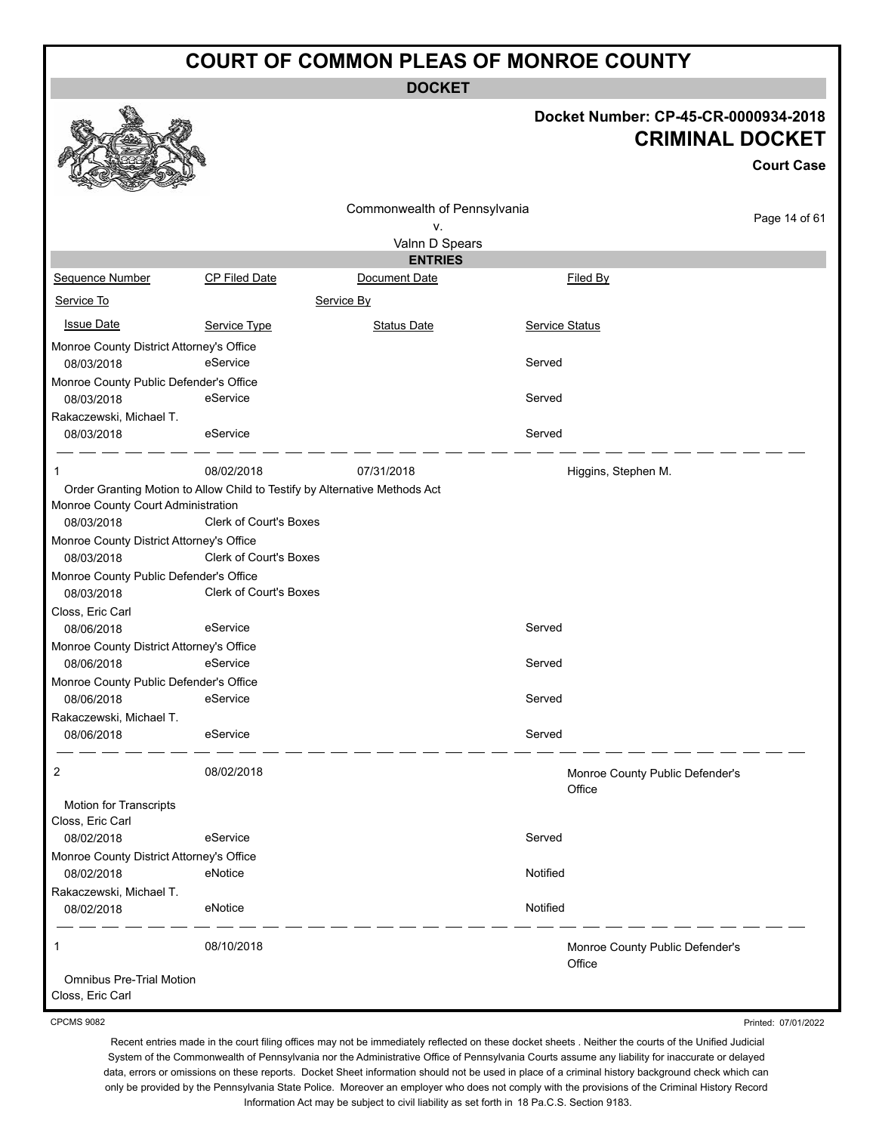**DOCKET**

#### **Docket Number: CP-45-CR-0000934-2018 CRIMINAL DOCKET**

**Court Case** Commonwealth of Pennsylvania Page 14 of 61 v. Valnn D Spears **ENTRIES** Sequence Number CP Filed Date Document Date **Document Date** Filed By Service To Service By **Issue Date Service Type** Service Type Status Date Service Status Date Service Status Service Status **Service Status** Monroe County District Attorney's Office 08/03/2018 eService Served Monroe County Public Defender's Office 08/03/2018 eService Served Rakaczewski, Michael T. 08/03/2018 eService Served  $\overline{\phantom{a}}$  and  $\overline{\phantom{a}}$  and  $\overline{\phantom{a}}$ 1 08/02/2018 07/31/2018 Higgins, Stephen M. Order Granting Motion to Allow Child to Testify by Alternative Methods Act Monroe County Court Administration 08/03/2018 Clerk of Court's Boxes Monroe County District Attorney's Office 08/03/2018 Clerk of Court's Boxes Monroe County Public Defender's Office 08/03/2018 Clerk of Court's Boxes Closs, Eric Carl 08/06/2018 eService Served Monroe County District Attorney's Office 08/06/2018 eService Served Monroe County Public Defender's Office 08/06/2018 eService Served Rakaczewski, Michael T. 08/06/2018 eService Served 2 08/02/2018 Monroe County Public Defender's **Office** Motion for Transcripts Closs, Eric Carl 08/02/2018 eService Served Monroe County District Attorney's Office 08/02/2018 eNotice enough enough enough enough enough enough enough enough enough enough Rakaczewski, Michael T. 08/02/2018 eNotice enough enough enough enough enough enough enough enough enough enough 1 08/10/2018 Monroe County Public Defender's **Office** Omnibus Pre-Trial Motion

Closs, Eric Carl

CPCMS 9082

Printed: 07/01/2022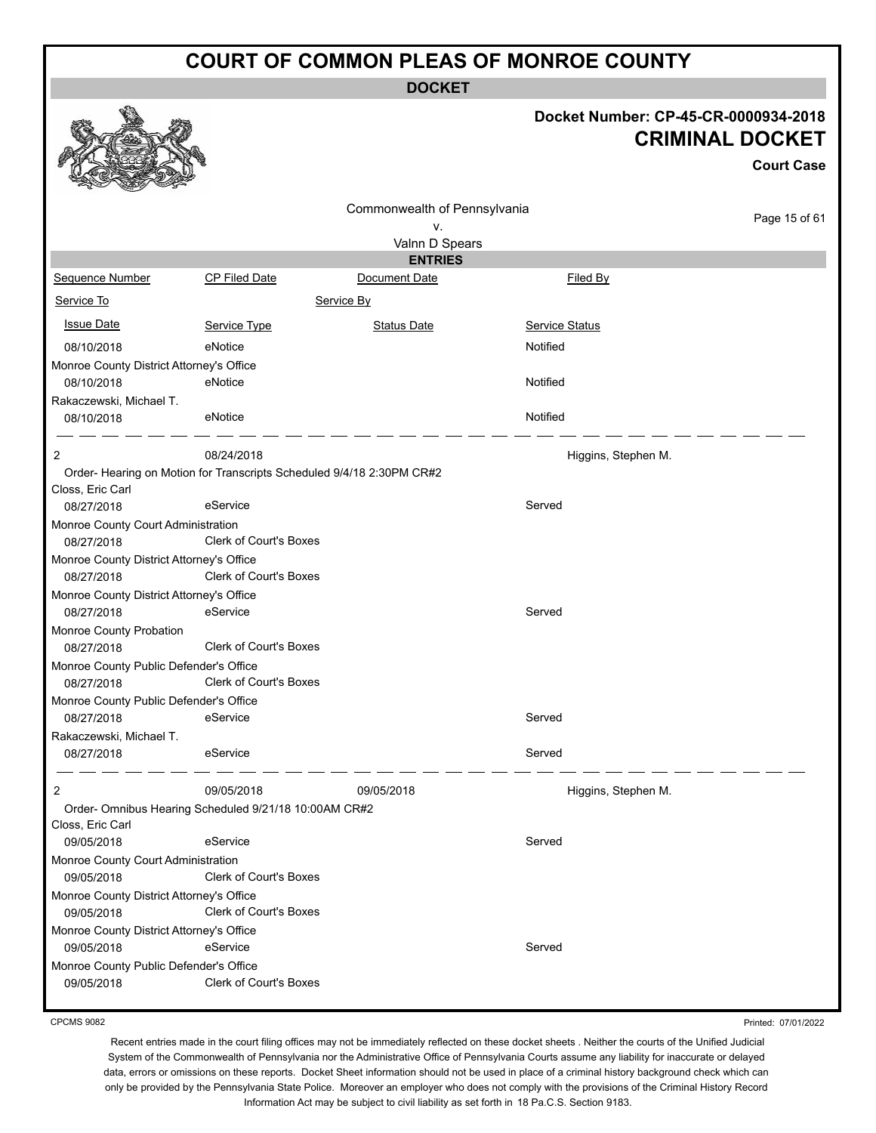**DOCKET**

#### **Docket Number: CP-45-CR-0000934-2018 CRIMINAL DOCKET**

|                                          |                                                                      | <b>CRIMINAL DOCKET</b>       |                       |                   |  |  |
|------------------------------------------|----------------------------------------------------------------------|------------------------------|-----------------------|-------------------|--|--|
|                                          |                                                                      |                              |                       | <b>Court Case</b> |  |  |
|                                          |                                                                      | Commonwealth of Pennsylvania |                       |                   |  |  |
|                                          |                                                                      | ٧.                           |                       | Page 15 of 61     |  |  |
|                                          |                                                                      | Valnn D Spears               |                       |                   |  |  |
|                                          |                                                                      | <b>ENTRIES</b>               |                       |                   |  |  |
| Sequence Number                          | <b>CP Filed Date</b>                                                 | Document Date                | Filed By              |                   |  |  |
| Service To                               |                                                                      | Service By                   |                       |                   |  |  |
| <b>Issue Date</b>                        | Service Type                                                         | <b>Status Date</b>           | <b>Service Status</b> |                   |  |  |
| 08/10/2018                               | eNotice                                                              |                              | Notified              |                   |  |  |
| Monroe County District Attorney's Office |                                                                      |                              |                       |                   |  |  |
| 08/10/2018                               | eNotice                                                              |                              | Notified              |                   |  |  |
| Rakaczewski, Michael T.                  |                                                                      |                              |                       |                   |  |  |
| 08/10/2018                               | eNotice                                                              |                              | Notified              |                   |  |  |
| 2                                        | 08/24/2018                                                           |                              | Higgins, Stephen M.   |                   |  |  |
| Closs, Eric Carl                         | Order-Hearing on Motion for Transcripts Scheduled 9/4/18 2:30PM CR#2 |                              |                       |                   |  |  |
| 08/27/2018                               | eService                                                             |                              | Served                |                   |  |  |
| Monroe County Court Administration       |                                                                      |                              |                       |                   |  |  |
| 08/27/2018                               | Clerk of Court's Boxes                                               |                              |                       |                   |  |  |
| Monroe County District Attorney's Office |                                                                      |                              |                       |                   |  |  |
| 08/27/2018                               | <b>Clerk of Court's Boxes</b>                                        |                              |                       |                   |  |  |
| Monroe County District Attorney's Office |                                                                      |                              |                       |                   |  |  |
| 08/27/2018                               | eService                                                             |                              | Served                |                   |  |  |
| Monroe County Probation                  |                                                                      |                              |                       |                   |  |  |
| 08/27/2018                               | <b>Clerk of Court's Boxes</b>                                        |                              |                       |                   |  |  |
| Monroe County Public Defender's Office   |                                                                      |                              |                       |                   |  |  |
| 08/27/2018                               | <b>Clerk of Court's Boxes</b>                                        |                              |                       |                   |  |  |
| Monroe County Public Defender's Office   |                                                                      |                              |                       |                   |  |  |
| 08/27/2018                               | eService                                                             |                              | Served                |                   |  |  |
| Rakaczewski, Michael T.                  |                                                                      |                              |                       |                   |  |  |
| 08/27/2018                               | eService                                                             |                              | Served                |                   |  |  |
| $\overline{c}$                           | 09/05/2018                                                           | 09/05/2018                   | Higgins, Stephen M.   |                   |  |  |
|                                          | Order- Omnibus Hearing Scheduled 9/21/18 10:00AM CR#2                |                              |                       |                   |  |  |
| Closs, Eric Carl                         |                                                                      |                              |                       |                   |  |  |
| 09/05/2018                               | eService                                                             |                              | Served                |                   |  |  |
| Monroe County Court Administration       |                                                                      |                              |                       |                   |  |  |
| 09/05/2018                               | Clerk of Court's Boxes                                               |                              |                       |                   |  |  |
| Monroe County District Attorney's Office |                                                                      |                              |                       |                   |  |  |
| 09/05/2018                               | Clerk of Court's Boxes                                               |                              |                       |                   |  |  |
| Monroe County District Attorney's Office |                                                                      |                              |                       |                   |  |  |
| 09/05/2018                               | eService                                                             |                              | Served                |                   |  |  |
| Monroe County Public Defender's Office   |                                                                      |                              |                       |                   |  |  |
| 09/05/2018                               | Clerk of Court's Boxes                                               |                              |                       |                   |  |  |

CPCMS 9082

Printed: 07/01/2022

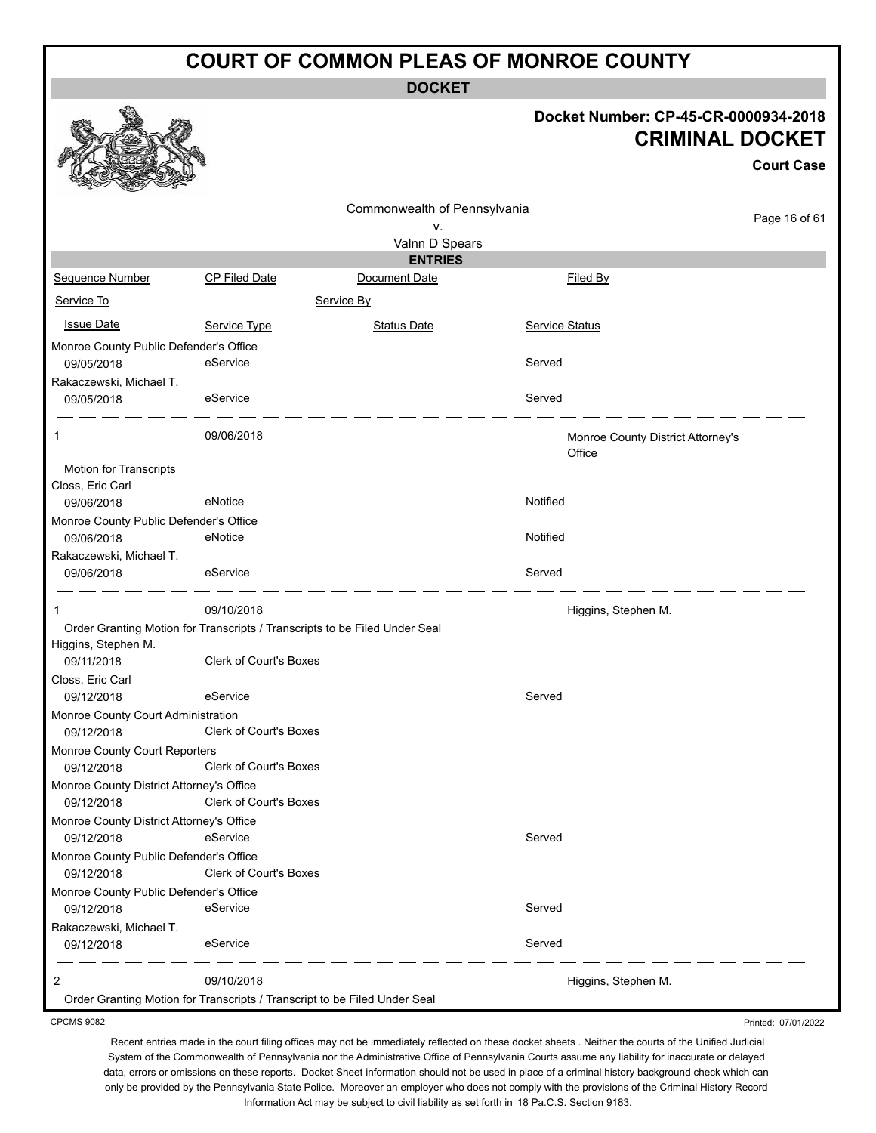**DOCKET**

#### **Docket Number: CP-45-CR-0000934-2018 CRIMINAL DOCKET**

Printed: 07/01/2022

|                                                      |                                                                            |                              |                                             | <b>Court Case</b> |
|------------------------------------------------------|----------------------------------------------------------------------------|------------------------------|---------------------------------------------|-------------------|
|                                                      |                                                                            | Commonwealth of Pennsylvania |                                             |                   |
|                                                      |                                                                            | ν.                           |                                             | Page 16 of 61     |
|                                                      |                                                                            | Valnn D Spears               |                                             |                   |
|                                                      |                                                                            | <b>ENTRIES</b>               |                                             |                   |
| Sequence Number                                      | <b>CP Filed Date</b>                                                       | Document Date                | Filed By                                    |                   |
| Service To                                           |                                                                            | Service By                   |                                             |                   |
| <b>Issue Date</b>                                    | Service Type                                                               | <b>Status Date</b>           | <b>Service Status</b>                       |                   |
| Monroe County Public Defender's Office               |                                                                            |                              |                                             |                   |
| 09/05/2018                                           | eService                                                                   |                              | Served                                      |                   |
| Rakaczewski, Michael T.                              |                                                                            |                              |                                             |                   |
| 09/05/2018                                           | eService                                                                   |                              | Served                                      |                   |
| 1                                                    | 09/06/2018                                                                 |                              | Monroe County District Attorney's<br>Office |                   |
| Motion for Transcripts                               |                                                                            |                              |                                             |                   |
| Closs, Eric Carl                                     |                                                                            |                              |                                             |                   |
| 09/06/2018                                           | eNotice                                                                    |                              | Notified                                    |                   |
| Monroe County Public Defender's Office<br>09/06/2018 | eNotice                                                                    |                              | Notified                                    |                   |
| Rakaczewski, Michael T.                              |                                                                            |                              |                                             |                   |
| 09/06/2018                                           | eService                                                                   |                              | Served                                      |                   |
| 1                                                    | 09/10/2018                                                                 |                              | Higgins, Stephen M.                         |                   |
| Higgins, Stephen M.                                  | Order Granting Motion for Transcripts / Transcripts to be Filed Under Seal |                              |                                             |                   |
| 09/11/2018                                           | <b>Clerk of Court's Boxes</b>                                              |                              |                                             |                   |
| Closs, Eric Carl                                     |                                                                            |                              |                                             |                   |
| 09/12/2018                                           | eService                                                                   |                              | Served                                      |                   |
| Monroe County Court Administration                   | Clerk of Court's Boxes                                                     |                              |                                             |                   |
| 09/12/2018                                           |                                                                            |                              |                                             |                   |
| Monroe County Court Reporters<br>09/12/2018          | Clerk of Court's Boxes                                                     |                              |                                             |                   |
| Monroe County District Attorney's Office             |                                                                            |                              |                                             |                   |
| 09/12/2018                                           | Clerk of Court's Boxes                                                     |                              |                                             |                   |
| Monroe County District Attorney's Office             |                                                                            |                              |                                             |                   |
| 09/12/2018                                           | eService                                                                   |                              | Served                                      |                   |
| Monroe County Public Defender's Office               |                                                                            |                              |                                             |                   |
| 09/12/2018                                           | Clerk of Court's Boxes                                                     |                              |                                             |                   |
| Monroe County Public Defender's Office               |                                                                            |                              |                                             |                   |
| 09/12/2018                                           | eService                                                                   |                              | Served                                      |                   |
| Rakaczewski, Michael T.                              |                                                                            |                              |                                             |                   |
| 09/12/2018                                           | eService                                                                   |                              | Served                                      |                   |
| 2                                                    | 09/10/2018                                                                 |                              | Higgins, Stephen M.                         |                   |
|                                                      | Order Granting Motion for Transcripts / Transcript to be Filed Under Seal  |                              |                                             |                   |

CPCMS 9082

微一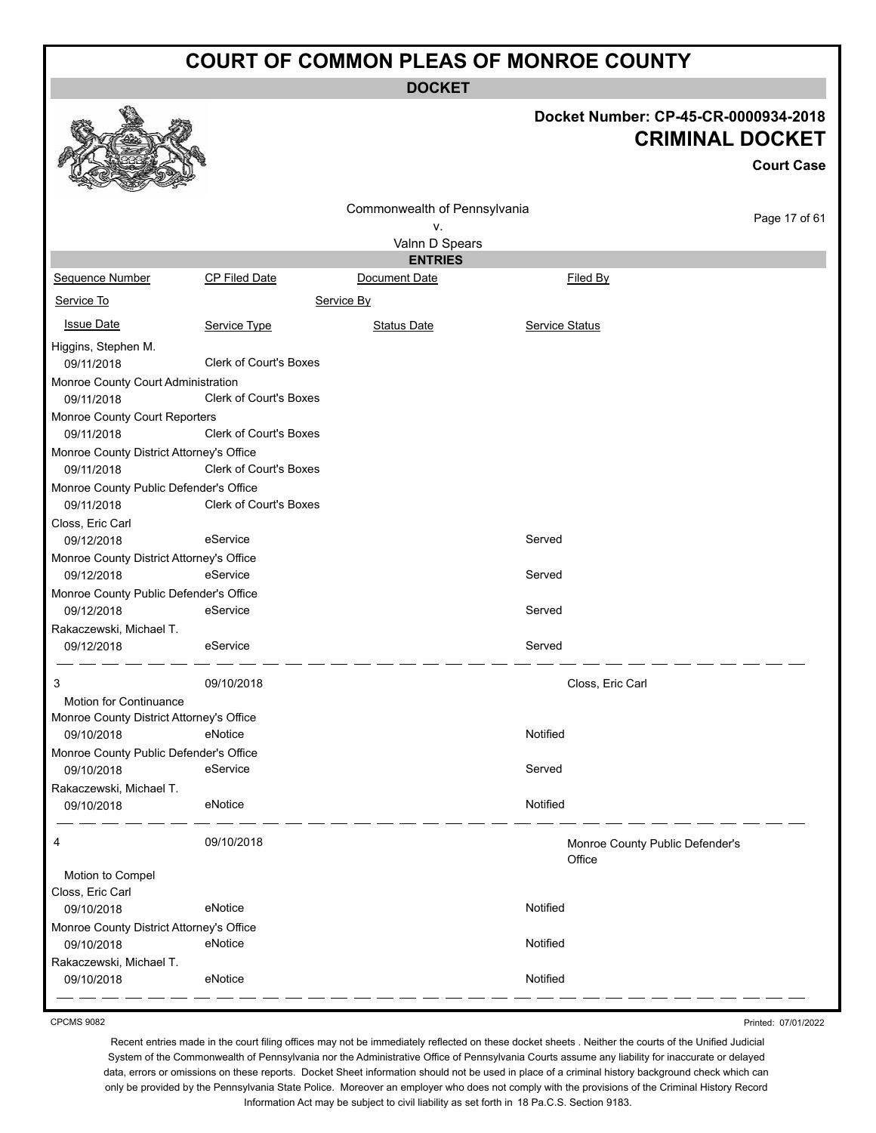**DOCKET**

# **Docket Number: CP-45-CR-0000934-2018**

|                                          |                               |                              |                       | <b>CRIMINAL DOCKET</b><br><b>Court Case</b> |
|------------------------------------------|-------------------------------|------------------------------|-----------------------|---------------------------------------------|
|                                          |                               |                              |                       |                                             |
|                                          |                               | Commonwealth of Pennsylvania |                       | Page 17 of 61                               |
|                                          |                               | ν.                           |                       |                                             |
|                                          |                               | Valnn D Spears               |                       |                                             |
|                                          |                               | <b>ENTRIES</b>               |                       |                                             |
| <b>Sequence Number</b><br>Service To     | <b>CP Filed Date</b>          | Document Date<br>Service By  | Filed By              |                                             |
|                                          |                               |                              |                       |                                             |
| <b>Issue Date</b>                        | Service Type                  | <b>Status Date</b>           | <b>Service Status</b> |                                             |
| Higgins, Stephen M.<br>09/11/2018        | <b>Clerk of Court's Boxes</b> |                              |                       |                                             |
| Monroe County Court Administration       |                               |                              |                       |                                             |
| 09/11/2018                               | Clerk of Court's Boxes        |                              |                       |                                             |
| Monroe County Court Reporters            |                               |                              |                       |                                             |
| 09/11/2018                               | <b>Clerk of Court's Boxes</b> |                              |                       |                                             |
| Monroe County District Attorney's Office |                               |                              |                       |                                             |
| 09/11/2018                               | <b>Clerk of Court's Boxes</b> |                              |                       |                                             |
| Monroe County Public Defender's Office   |                               |                              |                       |                                             |
| 09/11/2018                               | Clerk of Court's Boxes        |                              |                       |                                             |
| Closs, Eric Carl                         |                               |                              |                       |                                             |
| 09/12/2018                               | eService                      |                              | Served                |                                             |
| Monroe County District Attorney's Office |                               |                              |                       |                                             |
| 09/12/2018                               | eService                      |                              | Served                |                                             |
| Monroe County Public Defender's Office   |                               |                              |                       |                                             |
| 09/12/2018                               | eService                      |                              | Served                |                                             |
| Rakaczewski, Michael T.                  |                               |                              |                       |                                             |
| 09/12/2018                               | eService                      |                              | Served                |                                             |
| 3                                        | 09/10/2018                    |                              | Closs, Eric Carl      |                                             |
| Motion for Continuance                   |                               |                              |                       |                                             |
| Monroe County District Attorney's Office |                               |                              |                       |                                             |
| 09/10/2018                               | eNotice                       |                              | Notified              |                                             |
| Monroe County Public Defender's Office   |                               |                              |                       |                                             |
| 09/10/2018                               | eService                      |                              | Served                |                                             |
| Rakaczewski, Michael T.                  |                               |                              |                       |                                             |
| 09/10/2018                               | eNotice                       |                              | Notified              |                                             |
| 4                                        | 09/10/2018                    |                              | Office                | Monroe County Public Defender's             |
| Motion to Compel                         |                               |                              |                       |                                             |
| Closs, Eric Carl                         |                               |                              |                       |                                             |
| 09/10/2018                               | eNotice                       |                              | Notified              |                                             |
| Monroe County District Attorney's Office |                               |                              |                       |                                             |
| 09/10/2018                               | eNotice                       |                              | Notified              |                                             |
| Rakaczewski, Michael T.                  |                               |                              |                       |                                             |

CPCMS 9082

 $\mathcal{O}$ 

Recent entries made in the court filing offices may not be immediately reflected on these docket sheets . Neither the courts of the Unified Judicial System of the Commonwealth of Pennsylvania nor the Administrative Office of Pennsylvania Courts assume any liability for inaccurate or delayed data, errors or omissions on these reports. Docket Sheet information should not be used in place of a criminal history background check which can only be provided by the Pennsylvania State Police. Moreover an employer who does not comply with the provisions of the Criminal History Record Information Act may be subject to civil liability as set forth in 18 Pa.C.S. Section 9183.

09/10/2018 eNotice Notified

Printed: 07/01/2022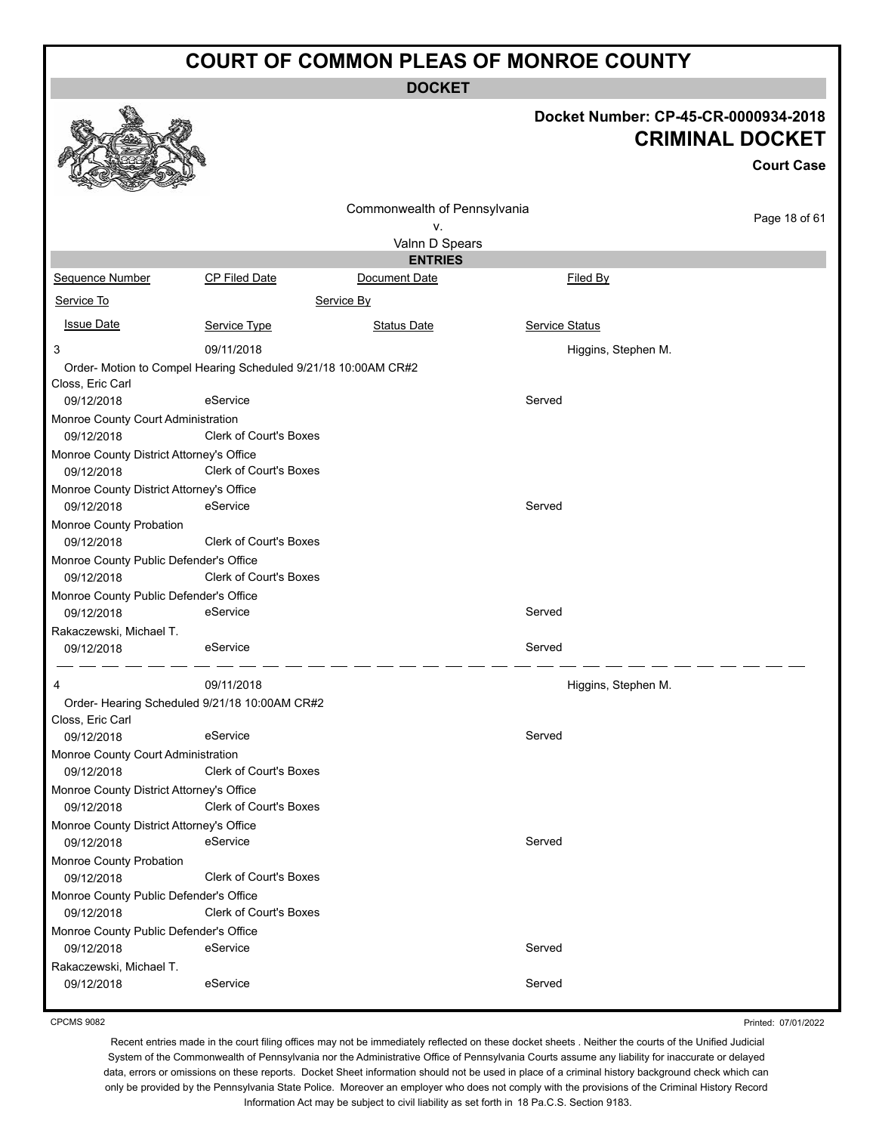**DOCKET**

# **Docket Number: CP-45-CR-0000934-2018**

|                                          |                                                                |                              | DOCKEL NUITIDEL. CF-45-CR-0000934-Z010<br><b>CRIMINAL DOCKET</b> |                   |  |
|------------------------------------------|----------------------------------------------------------------|------------------------------|------------------------------------------------------------------|-------------------|--|
|                                          |                                                                |                              |                                                                  | <b>Court Case</b> |  |
|                                          |                                                                | Commonwealth of Pennsylvania |                                                                  |                   |  |
|                                          |                                                                | ν.                           |                                                                  | Page 18 of 61     |  |
|                                          |                                                                | Valnn D Spears               |                                                                  |                   |  |
|                                          |                                                                | <b>ENTRIES</b>               |                                                                  |                   |  |
| Sequence Number                          | <b>CP Filed Date</b>                                           | Document Date                | Filed By                                                         |                   |  |
| Service To                               |                                                                | Service By                   |                                                                  |                   |  |
| <b>Issue Date</b>                        | Service Type                                                   | <b>Status Date</b>           | <b>Service Status</b>                                            |                   |  |
| 3                                        | 09/11/2018                                                     |                              | Higgins, Stephen M.                                              |                   |  |
|                                          | Order- Motion to Compel Hearing Scheduled 9/21/18 10:00AM CR#2 |                              |                                                                  |                   |  |
| Closs, Eric Carl                         |                                                                |                              |                                                                  |                   |  |
| 09/12/2018                               | eService                                                       |                              | Served                                                           |                   |  |
| Monroe County Court Administration       |                                                                |                              |                                                                  |                   |  |
| 09/12/2018                               | <b>Clerk of Court's Boxes</b>                                  |                              |                                                                  |                   |  |
| Monroe County District Attorney's Office |                                                                |                              |                                                                  |                   |  |
| 09/12/2018                               | <b>Clerk of Court's Boxes</b>                                  |                              |                                                                  |                   |  |
| Monroe County District Attorney's Office |                                                                |                              |                                                                  |                   |  |
| 09/12/2018                               | eService                                                       |                              | Served                                                           |                   |  |
| Monroe County Probation                  |                                                                |                              |                                                                  |                   |  |
| 09/12/2018                               | <b>Clerk of Court's Boxes</b>                                  |                              |                                                                  |                   |  |
| Monroe County Public Defender's Office   |                                                                |                              |                                                                  |                   |  |
| 09/12/2018                               | Clerk of Court's Boxes                                         |                              |                                                                  |                   |  |
| Monroe County Public Defender's Office   |                                                                |                              |                                                                  |                   |  |
| 09/12/2018                               | eService                                                       |                              | Served                                                           |                   |  |
| Rakaczewski, Michael T.                  |                                                                |                              |                                                                  |                   |  |
| 09/12/2018                               | eService                                                       |                              | Served                                                           |                   |  |
| 4                                        | 09/11/2018                                                     |                              | Higgins, Stephen M.                                              |                   |  |
|                                          | Order- Hearing Scheduled 9/21/18 10:00AM CR#2                  |                              |                                                                  |                   |  |
| Closs, Eric Carl                         |                                                                |                              |                                                                  |                   |  |
| 09/12/2018                               | eService                                                       |                              | Served                                                           |                   |  |
| Monroe County Court Administration       |                                                                |                              |                                                                  |                   |  |
| 09/12/2018                               | <b>Clerk of Court's Boxes</b>                                  |                              |                                                                  |                   |  |
| Monroe County District Attorney's Office |                                                                |                              |                                                                  |                   |  |
| 09/12/2018                               | Clerk of Court's Boxes                                         |                              |                                                                  |                   |  |
| Monroe County District Attorney's Office |                                                                |                              |                                                                  |                   |  |
| 09/12/2018                               | eService                                                       |                              | Served                                                           |                   |  |
| Monroe County Probation                  |                                                                |                              |                                                                  |                   |  |
| 09/12/2018                               | <b>Clerk of Court's Boxes</b>                                  |                              |                                                                  |                   |  |
| Monroe County Public Defender's Office   |                                                                |                              |                                                                  |                   |  |
| 09/12/2018                               | <b>Clerk of Court's Boxes</b>                                  |                              |                                                                  |                   |  |
| Monroe County Public Defender's Office   |                                                                |                              |                                                                  |                   |  |
| 09/12/2018                               | eService                                                       |                              | Served                                                           |                   |  |
| Rakaczewski, Michael T.                  |                                                                |                              |                                                                  |                   |  |
| 09/12/2018                               | eService                                                       |                              | Served                                                           |                   |  |

Printed: 07/01/2022

Recent entries made in the court filing offices may not be immediately reflected on these docket sheets . Neither the courts of the Unified Judicial System of the Commonwealth of Pennsylvania nor the Administrative Office of Pennsylvania Courts assume any liability for inaccurate or delayed data, errors or omissions on these reports. Docket Sheet information should not be used in place of a criminal history background check which can only be provided by the Pennsylvania State Police. Moreover an employer who does not comply with the provisions of the Criminal History Record Information Act may be subject to civil liability as set forth in 18 Pa.C.S. Section 9183.



#### CPCMS 9082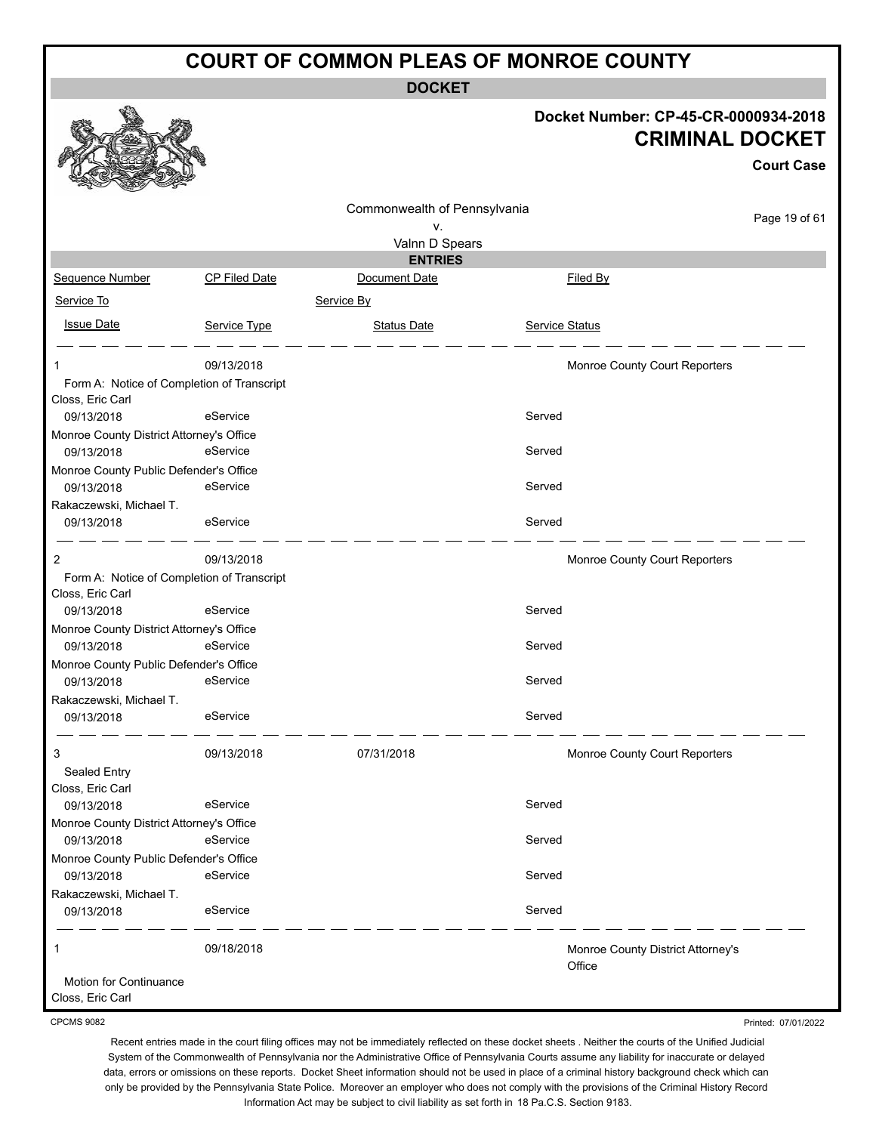**DOCKET**

#### **Docket Number: CP-45-CR-0000934-2018 CRIMINAL DOCKET**

**Court Case**

|                                                                |               | Commonwealth of Pennsylvania |                                             |               |
|----------------------------------------------------------------|---------------|------------------------------|---------------------------------------------|---------------|
|                                                                |               | ٧.                           |                                             | Page 19 of 61 |
|                                                                |               | Valnn D Spears               |                                             |               |
|                                                                |               | <b>ENTRIES</b>               |                                             |               |
| Sequence Number                                                | CP Filed Date | Document Date                | Filed By                                    |               |
| Service To                                                     |               | Service By                   |                                             |               |
| <b>Issue Date</b>                                              | Service Type  | <b>Status Date</b>           | Service Status                              |               |
| 1                                                              | 09/13/2018    |                              | Monroe County Court Reporters               |               |
| Form A: Notice of Completion of Transcript<br>Closs, Eric Carl |               |                              |                                             |               |
| 09/13/2018                                                     | eService      |                              | Served                                      |               |
| Monroe County District Attorney's Office                       |               |                              |                                             |               |
| 09/13/2018                                                     | eService      |                              | Served                                      |               |
| Monroe County Public Defender's Office                         | eService      |                              | Served                                      |               |
| 09/13/2018<br>Rakaczewski, Michael T.                          |               |                              |                                             |               |
| 09/13/2018                                                     | eService      |                              | Served                                      |               |
|                                                                |               |                              |                                             |               |
| 2                                                              | 09/13/2018    |                              | Monroe County Court Reporters               |               |
| Form A: Notice of Completion of Transcript                     |               |                              |                                             |               |
| Closs, Eric Carl                                               | eService      |                              | Served                                      |               |
| 09/13/2018                                                     |               |                              |                                             |               |
| Monroe County District Attorney's Office<br>09/13/2018         | eService      |                              | Served                                      |               |
| Monroe County Public Defender's Office                         |               |                              |                                             |               |
| 09/13/2018                                                     | eService      |                              | Served                                      |               |
| Rakaczewski, Michael T.                                        |               |                              |                                             |               |
| 09/13/2018                                                     | eService      |                              | Served                                      |               |
| 3                                                              | 09/13/2018    | 07/31/2018                   | Monroe County Court Reporters               |               |
| Sealed Entry<br>Closs, Eric Carl                               |               |                              |                                             |               |
| 09/13/2018                                                     | eService      |                              | Served                                      |               |
| Monroe County District Attorney's Office                       |               |                              |                                             |               |
| 09/13/2018                                                     | eService      |                              | Served                                      |               |
| Monroe County Public Defender's Office                         |               |                              |                                             |               |
| 09/13/2018                                                     | eService      |                              | Served                                      |               |
| Rakaczewski, Michael T.                                        |               |                              |                                             |               |
| 09/13/2018                                                     | eService      |                              | Served                                      |               |
| 1                                                              | 09/18/2018    |                              | Monroe County District Attorney's<br>Office |               |
| Motion for Continuance<br>Closs, Eric Carl                     |               |                              |                                             |               |

CPCMS 9082

Printed: 07/01/2022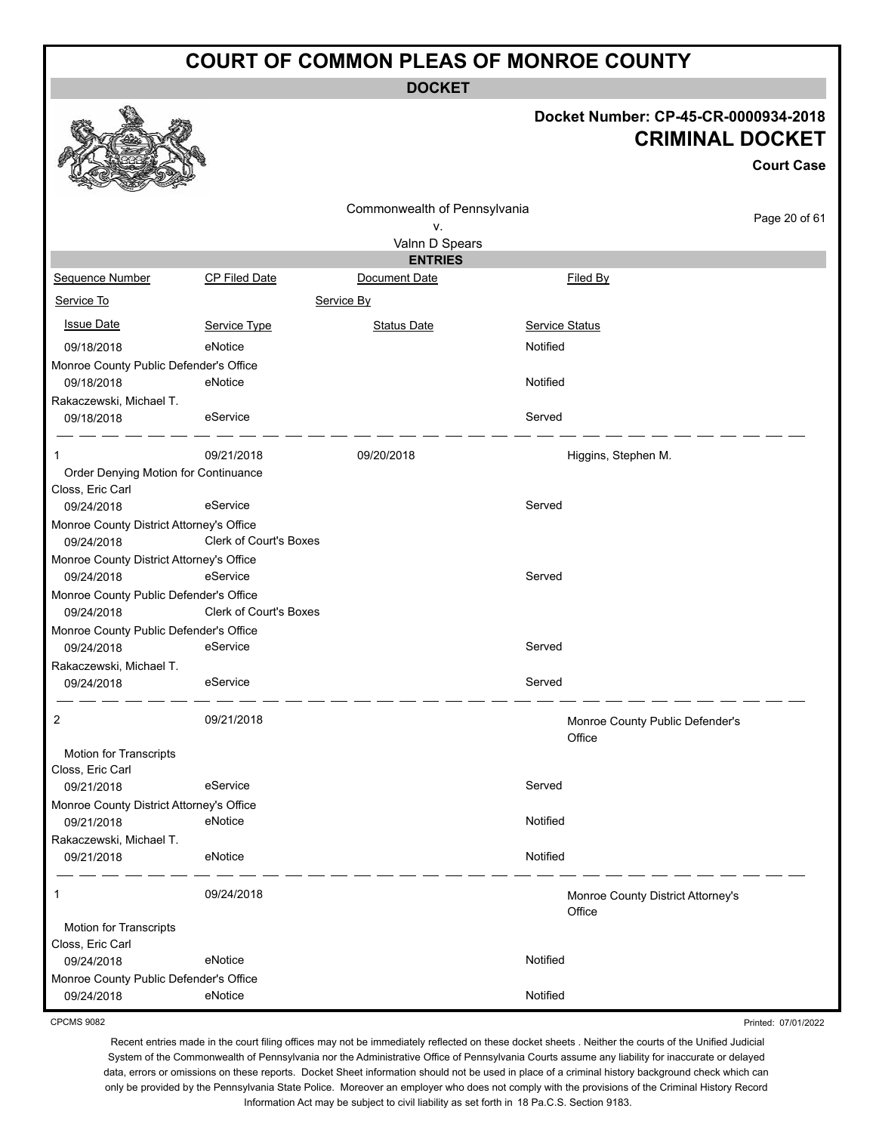**DOCKET**

# **Docket Number: CP-45-CR-0000934-2018**

|                                                          |                        | <b>CRIMINAL DOCKET</b>       |                                             |                   |
|----------------------------------------------------------|------------------------|------------------------------|---------------------------------------------|-------------------|
|                                                          |                        |                              |                                             | <b>Court Case</b> |
|                                                          |                        | Commonwealth of Pennsylvania |                                             | Page 20 of 61     |
|                                                          |                        | ۷.                           |                                             |                   |
|                                                          |                        | Valnn D Spears               |                                             |                   |
|                                                          |                        | <b>ENTRIES</b>               |                                             |                   |
| Sequence Number                                          | <b>CP Filed Date</b>   | Document Date                | Filed By                                    |                   |
| Service To                                               |                        | Service By                   |                                             |                   |
| <b>Issue Date</b>                                        | Service Type           | <b>Status Date</b>           | Service Status                              |                   |
| 09/18/2018                                               | eNotice                |                              | Notified                                    |                   |
| Monroe County Public Defender's Office                   |                        |                              |                                             |                   |
| 09/18/2018                                               | eNotice                |                              | Notified                                    |                   |
| Rakaczewski, Michael T.<br>09/18/2018                    | eService               |                              | Served                                      |                   |
| 1                                                        | 09/21/2018             | 09/20/2018                   | Higgins, Stephen M.                         |                   |
| Order Denying Motion for Continuance<br>Closs, Eric Carl |                        |                              |                                             |                   |
| 09/24/2018                                               | eService               |                              | Served                                      |                   |
| Monroe County District Attorney's Office                 |                        |                              |                                             |                   |
| 09/24/2018                                               | Clerk of Court's Boxes |                              |                                             |                   |
| Monroe County District Attorney's Office<br>09/24/2018   | eService               |                              | Served                                      |                   |
| Monroe County Public Defender's Office                   |                        |                              |                                             |                   |
| 09/24/2018                                               | Clerk of Court's Boxes |                              |                                             |                   |
| Monroe County Public Defender's Office                   |                        |                              |                                             |                   |
| 09/24/2018                                               | eService               |                              | Served                                      |                   |
| Rakaczewski, Michael T.                                  |                        |                              |                                             |                   |
| 09/24/2018                                               | eService               |                              | Served                                      |                   |
| 2                                                        | 09/21/2018             |                              | Monroe County Public Defender's<br>Office   |                   |
| <b>Motion for Transcripts</b>                            |                        |                              |                                             |                   |
| Closs, Eric Carl                                         | eService               |                              | Served                                      |                   |
| 09/21/2018<br>Monroe County District Attorney's Office   |                        |                              |                                             |                   |
| 09/21/2018                                               | eNotice                |                              | Notified                                    |                   |
| Rakaczewski, Michael T.                                  |                        |                              |                                             |                   |
| 09/21/2018                                               | eNotice                |                              | Notified                                    |                   |
| 1                                                        | 09/24/2018             |                              | Monroe County District Attorney's<br>Office |                   |
| Motion for Transcripts<br>Closs, Eric Carl               |                        |                              |                                             |                   |
| 09/24/2018                                               | eNotice                |                              | Notified                                    |                   |
| Monroe County Public Defender's Office                   |                        |                              |                                             |                   |
| 09/24/2018                                               | eNotice                |                              | Notified                                    |                   |

CPCMS 9082

 $\begin{picture}(20,20) \put(0,0){\line(1,0){155}} \put(15,0){\line(1,0){155}} \put(15,0){\line(1,0){155}} \put(15,0){\line(1,0){155}} \put(15,0){\line(1,0){155}} \put(15,0){\line(1,0){155}} \put(15,0){\line(1,0){155}} \put(15,0){\line(1,0){155}} \put(15,0){\line(1,0){155}} \put(15,0){\line(1,0){155}} \put(15,0){\line(1,0){155}} \$ 

残

燃

Printed: 07/01/2022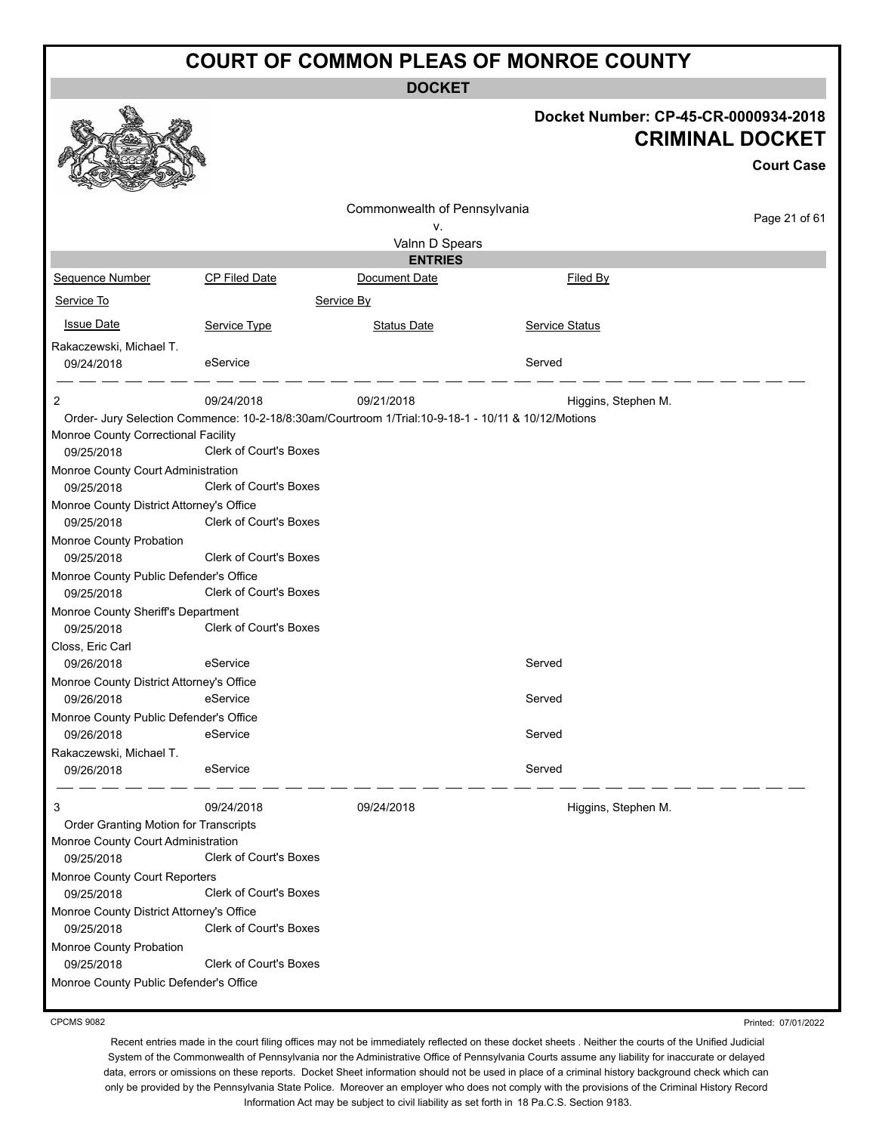**DOCKET**

|                                                                             |                                                                                                    | <b>DOCKET</b>                |                     |                                                                                     |
|-----------------------------------------------------------------------------|----------------------------------------------------------------------------------------------------|------------------------------|---------------------|-------------------------------------------------------------------------------------|
|                                                                             |                                                                                                    |                              |                     | Docket Number: CP-45-CR-0000934-2018<br><b>CRIMINAL DOCKET</b><br><b>Court Case</b> |
|                                                                             |                                                                                                    |                              |                     |                                                                                     |
|                                                                             |                                                                                                    | Commonwealth of Pennsylvania |                     |                                                                                     |
|                                                                             |                                                                                                    | ν.                           |                     | Page 21 of 61                                                                       |
|                                                                             |                                                                                                    | Valnn D Spears               |                     |                                                                                     |
|                                                                             |                                                                                                    | <b>ENTRIES</b>               |                     |                                                                                     |
| Sequence Number                                                             | CP Filed Date                                                                                      | Document Date                | Filed By            |                                                                                     |
| Service To                                                                  |                                                                                                    | Service By                   |                     |                                                                                     |
| <b>Issue Date</b>                                                           | Service Type                                                                                       | <b>Status Date</b>           | Service Status      |                                                                                     |
| Rakaczewski, Michael T.                                                     |                                                                                                    |                              |                     |                                                                                     |
| 09/24/2018                                                                  | eService                                                                                           |                              | Served              |                                                                                     |
| 2                                                                           | 09/24/2018                                                                                         | 09/21/2018                   |                     |                                                                                     |
|                                                                             | Order- Jury Selection Commence: 10-2-18/8:30am/Courtroom 1/Trial:10-9-18-1 - 10/11 & 10/12/Motions |                              | Higgins, Stephen M. |                                                                                     |
| Monroe County Correctional Facility                                         |                                                                                                    |                              |                     |                                                                                     |
| 09/25/2018                                                                  | Clerk of Court's Boxes                                                                             |                              |                     |                                                                                     |
| Monroe County Court Administration                                          |                                                                                                    |                              |                     |                                                                                     |
| 09/25/2018                                                                  | Clerk of Court's Boxes                                                                             |                              |                     |                                                                                     |
| Monroe County District Attorney's Office                                    |                                                                                                    |                              |                     |                                                                                     |
| 09/25/2018                                                                  | Clerk of Court's Boxes                                                                             |                              |                     |                                                                                     |
| Monroe County Probation                                                     |                                                                                                    |                              |                     |                                                                                     |
| 09/25/2018                                                                  | <b>Clerk of Court's Boxes</b>                                                                      |                              |                     |                                                                                     |
| Monroe County Public Defender's Office<br>09/25/2018                        | <b>Clerk of Court's Boxes</b>                                                                      |                              |                     |                                                                                     |
| Monroe County Sheriff's Department                                          |                                                                                                    |                              |                     |                                                                                     |
| 09/25/2018                                                                  | <b>Clerk of Court's Boxes</b>                                                                      |                              |                     |                                                                                     |
| Closs, Eric Carl                                                            |                                                                                                    |                              |                     |                                                                                     |
| 09/26/2018                                                                  | eService                                                                                           |                              | Served              |                                                                                     |
| Monroe County District Attorney's Office                                    |                                                                                                    |                              |                     |                                                                                     |
| 09/26/2018                                                                  | eService                                                                                           |                              | Served              |                                                                                     |
| Monroe County Public Defender's Office                                      |                                                                                                    |                              |                     |                                                                                     |
| 09/26/2018                                                                  | eService                                                                                           |                              | Served              |                                                                                     |
| Rakaczewski, Michael T.                                                     |                                                                                                    |                              |                     |                                                                                     |
| 09/26/2018                                                                  | eService                                                                                           |                              | Served              |                                                                                     |
| 3                                                                           | 09/24/2018                                                                                         | 09/24/2018                   | Higgins, Stephen M. |                                                                                     |
| Order Granting Motion for Transcripts<br>Monroe County Court Administration |                                                                                                    |                              |                     |                                                                                     |
| 09/25/2018                                                                  | Clerk of Court's Boxes                                                                             |                              |                     |                                                                                     |
| Monroe County Court Reporters                                               |                                                                                                    |                              |                     |                                                                                     |
| 09/25/2018                                                                  | Clerk of Court's Boxes                                                                             |                              |                     |                                                                                     |
| Monroe County District Attorney's Office                                    |                                                                                                    |                              |                     |                                                                                     |
| 09/25/2018                                                                  | Clerk of Court's Boxes                                                                             |                              |                     |                                                                                     |
| Monroe County Probation<br>09/25/2018                                       | Clerk of Court's Boxes                                                                             |                              |                     |                                                                                     |
| Monroe County Public Defender's Office                                      |                                                                                                    |                              |                     |                                                                                     |
|                                                                             |                                                                                                    |                              |                     |                                                                                     |

CPCMS 9082

Printed: 07/01/2022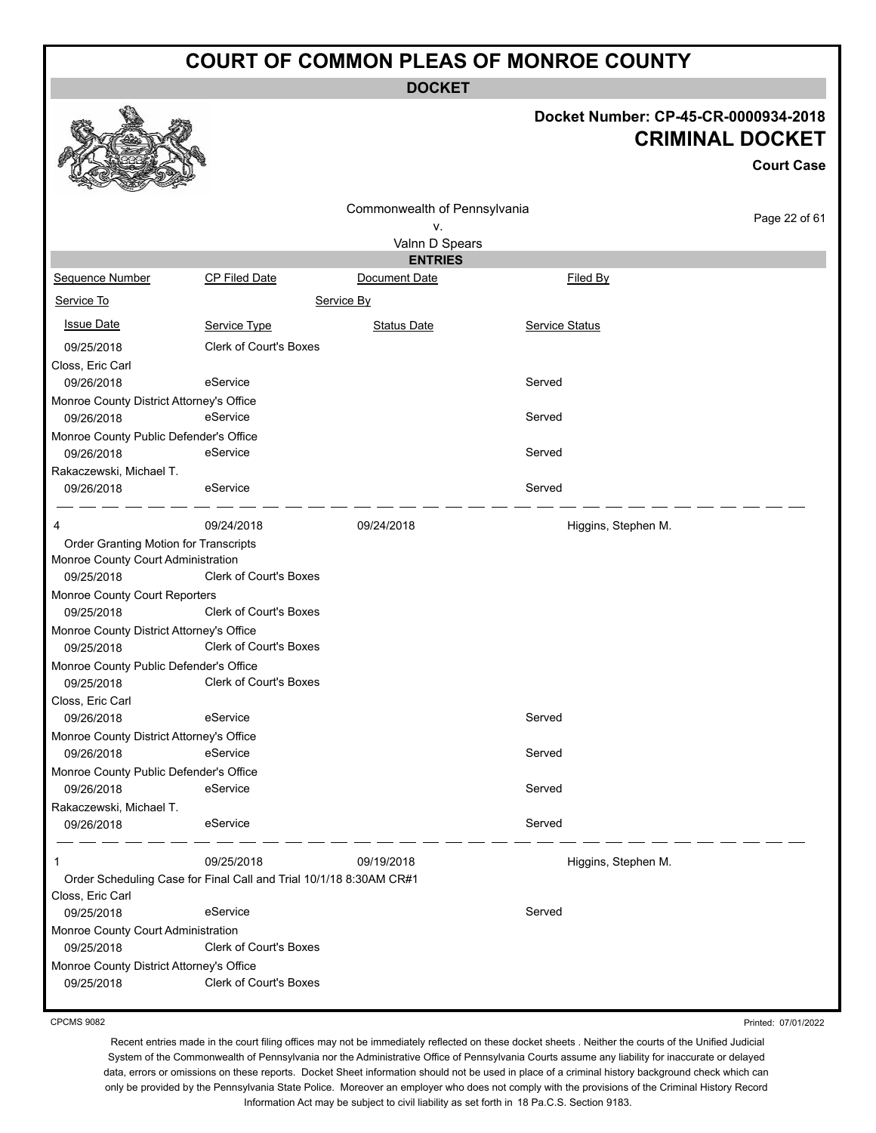**DOCKET**

#### **Docket Number: CP-45-CR-0000934-2018 CRIMINAL DOCKET**

**Court Case**

|                                          |                                                                    | Commonwealth of Pennsylvania |                       |               |
|------------------------------------------|--------------------------------------------------------------------|------------------------------|-----------------------|---------------|
|                                          |                                                                    | ٧.                           |                       | Page 22 of 61 |
|                                          |                                                                    | Valnn D Spears               |                       |               |
|                                          |                                                                    | <b>ENTRIES</b>               |                       |               |
| Sequence Number                          | <b>CP Filed Date</b>                                               | Document Date                | Filed By              |               |
| Service To                               |                                                                    | Service By                   |                       |               |
| <b>Issue Date</b>                        | Service Type                                                       | <b>Status Date</b>           | <b>Service Status</b> |               |
| 09/25/2018                               | <b>Clerk of Court's Boxes</b>                                      |                              |                       |               |
| Closs, Eric Carl                         |                                                                    |                              |                       |               |
| 09/26/2018                               | eService                                                           |                              | Served                |               |
| Monroe County District Attorney's Office |                                                                    |                              |                       |               |
| 09/26/2018                               | eService                                                           |                              | Served                |               |
| Monroe County Public Defender's Office   |                                                                    |                              |                       |               |
| 09/26/2018                               | eService                                                           |                              | Served                |               |
| Rakaczewski, Michael T.                  |                                                                    |                              |                       |               |
| 09/26/2018                               | eService                                                           |                              | Served                |               |
|                                          |                                                                    |                              |                       |               |
| 4                                        | 09/24/2018                                                         | 09/24/2018                   | Higgins, Stephen M.   |               |
| Order Granting Motion for Transcripts    |                                                                    |                              |                       |               |
| Monroe County Court Administration       |                                                                    |                              |                       |               |
| 09/25/2018                               | <b>Clerk of Court's Boxes</b>                                      |                              |                       |               |
| Monroe County Court Reporters            |                                                                    |                              |                       |               |
| 09/25/2018                               | <b>Clerk of Court's Boxes</b>                                      |                              |                       |               |
| Monroe County District Attorney's Office |                                                                    |                              |                       |               |
| 09/25/2018                               | <b>Clerk of Court's Boxes</b>                                      |                              |                       |               |
| Monroe County Public Defender's Office   |                                                                    |                              |                       |               |
| 09/25/2018                               | <b>Clerk of Court's Boxes</b>                                      |                              |                       |               |
| Closs, Eric Carl                         |                                                                    |                              |                       |               |
| 09/26/2018                               | eService                                                           |                              | Served                |               |
| Monroe County District Attorney's Office |                                                                    |                              |                       |               |
| 09/26/2018                               | eService                                                           |                              | Served                |               |
| Monroe County Public Defender's Office   |                                                                    |                              |                       |               |
| 09/26/2018                               | eService                                                           |                              | Served                |               |
| Rakaczewski, Michael T.                  |                                                                    |                              |                       |               |
| 09/26/2018                               | eService                                                           |                              | Served                |               |
| 1                                        | 09/25/2018                                                         | 09/19/2018                   | Higgins, Stephen M.   |               |
|                                          | Order Scheduling Case for Final Call and Trial 10/1/18 8:30AM CR#1 |                              |                       |               |
| Closs, Eric Carl                         |                                                                    |                              |                       |               |
| 09/25/2018                               | eService                                                           |                              | Served                |               |
| Monroe County Court Administration       |                                                                    |                              |                       |               |
| 09/25/2018                               | <b>Clerk of Court's Boxes</b>                                      |                              |                       |               |
| Monroe County District Attorney's Office |                                                                    |                              |                       |               |
| 09/25/2018                               | <b>Clerk of Court's Boxes</b>                                      |                              |                       |               |
|                                          |                                                                    |                              |                       |               |

CPCMS 9082

Printed: 07/01/2022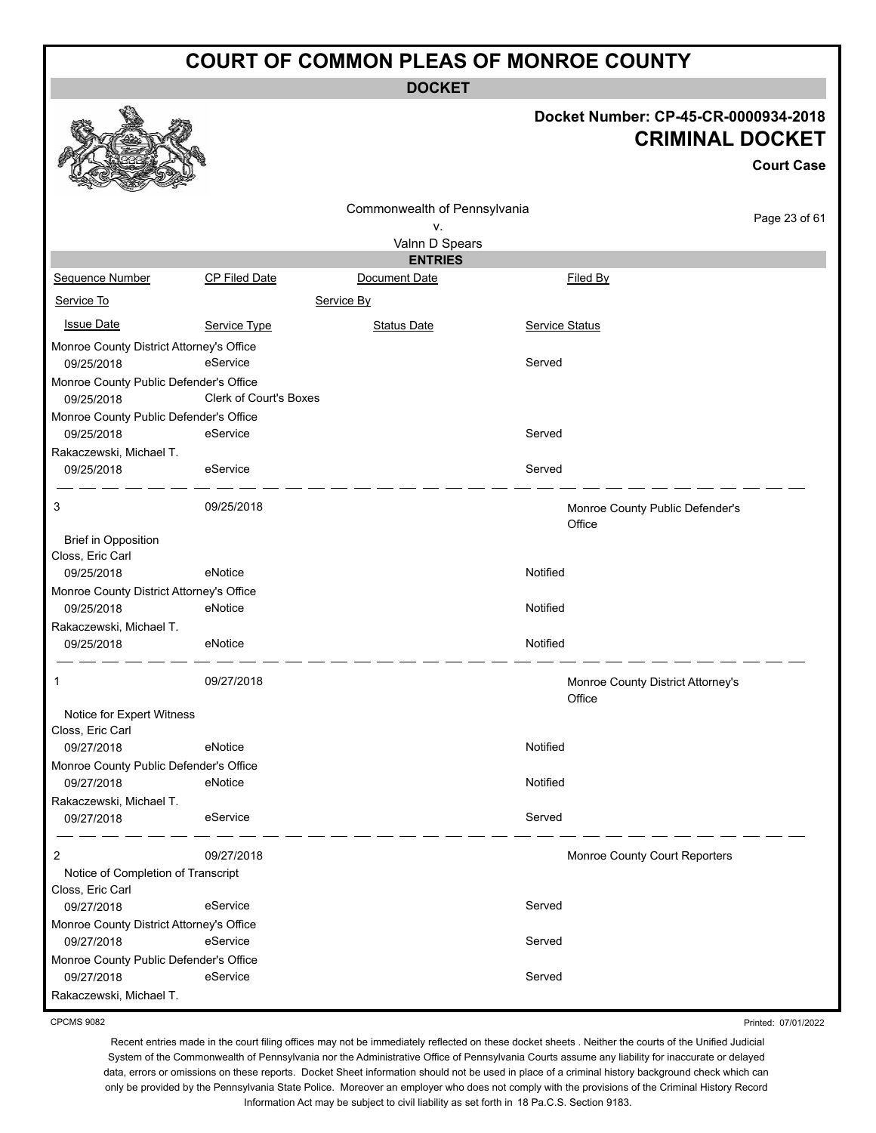**DOCKET**

#### **Docket Number: CP-45-CR-0000934-2018 CRIMINAL DOCKET**

**Court Case**

Page 23 of 61

Commonwealth of Pennsylvania v. Valnn D Spears **ENTRIES** Sequence Number CP Filed Date Document Date **Document Date** Filed By Service To Service By **Issue Date Service Type** Service Type Status Date Service Status Date Service Status Service Status **Service Status** Monroe County District Attorney's Office 09/25/2018 eService Served Monroe County Public Defender's Office 09/25/2018 Clerk of Court's Boxes Monroe County Public Defender's Office 09/25/2018 eService Served Rakaczewski, Michael T. 09/25/2018 eService exercise exercise served 3 09/25/2018 Monroe County Public Defender's **Office** Brief in Opposition Closs, Eric Carl 09/25/2018 eNotice environmental environmental environmental environmental environmental environmental environmental environmental environmental environmental environmental environmental environmental environmental environ Monroe County District Attorney's Office 09/25/2018 eNotice Notified Rakaczewski, Michael T. 09/25/2018 eNotice Notified 1 09/27/2018 Monroe County District Attorney's **Office** Notice for Expert Witness Closs, Eric Carl 09/27/2018 eNotice Notified Monroe County Public Defender's Office 09/27/2018 eNotice Notified Rakaczewski, Michael T. 09/27/2018 eService eService Served  $-$ 2 09/27/2018 Monroe County Court Reporters Notice of Completion of Transcript Closs, Eric Carl 09/27/2018 eService Served Monroe County District Attorney's Office 09/27/2018 eService Served Monroe County Public Defender's Office 09/27/2018 eService eService Served

CPCMS 9082

Rakaczewski, Michael T.

Printed: 07/01/2022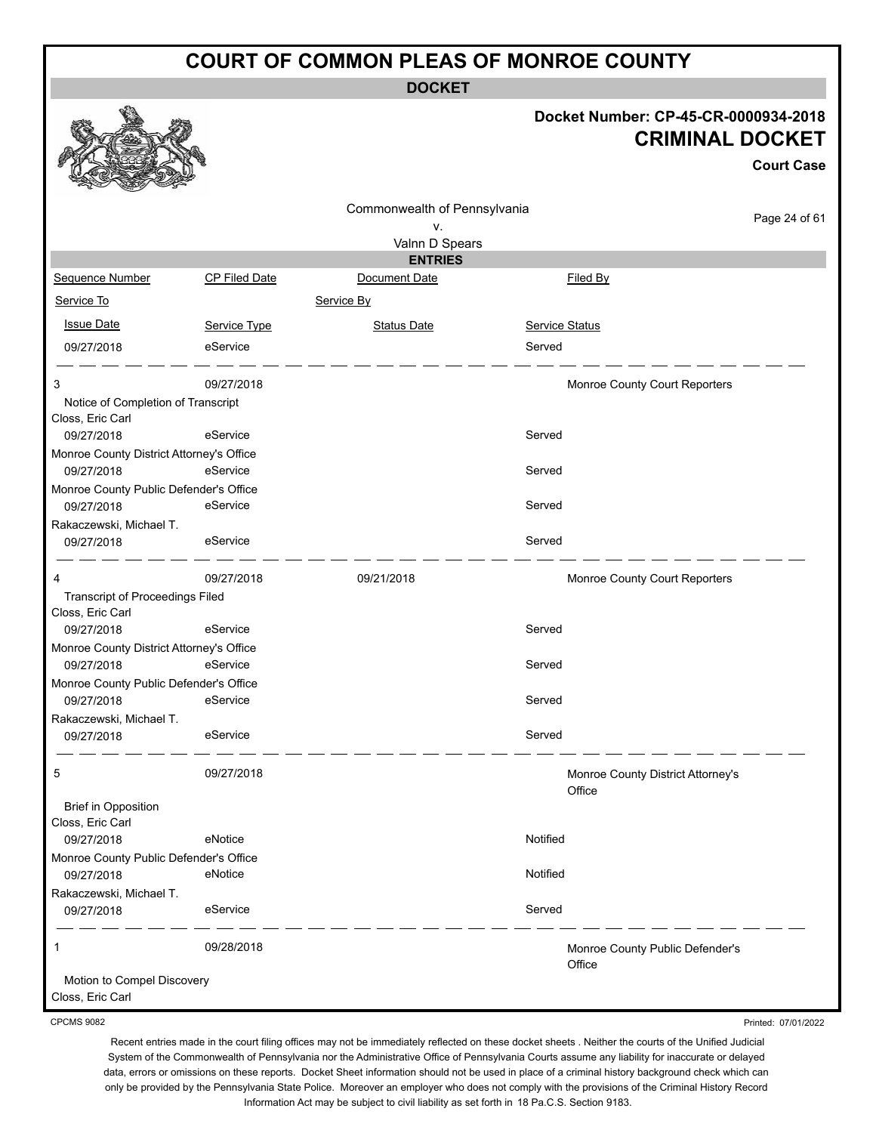**DOCKET**

#### **Docket Number: CP-45-CR-0000934-2018 CRIMINAL DOCKET**

Printed: 07/01/2022

|                                                            |                      |                                    |                | <b>Court Case</b>                 |
|------------------------------------------------------------|----------------------|------------------------------------|----------------|-----------------------------------|
|                                                            |                      | Commonwealth of Pennsylvania<br>v. |                | Page 24 of 61                     |
|                                                            |                      | Valnn D Spears                     |                |                                   |
|                                                            |                      | <b>ENTRIES</b>                     |                |                                   |
| Sequence Number                                            | <b>CP Filed Date</b> | Document Date                      | Filed By       |                                   |
| Service To                                                 |                      | Service By                         |                |                                   |
| <b>Issue Date</b>                                          | Service Type         | <b>Status Date</b>                 | Service Status |                                   |
| 09/27/2018                                                 | eService             |                                    | Served         |                                   |
| 3                                                          | 09/27/2018           |                                    |                | Monroe County Court Reporters     |
| Notice of Completion of Transcript                         |                      |                                    |                |                                   |
| Closs, Eric Carl                                           |                      |                                    |                |                                   |
| 09/27/2018                                                 | eService             |                                    | Served         |                                   |
| Monroe County District Attorney's Office                   |                      |                                    |                |                                   |
| 09/27/2018                                                 | eService             |                                    | Served         |                                   |
| Monroe County Public Defender's Office<br>09/27/2018       | eService             |                                    | Served         |                                   |
| Rakaczewski, Michael T.                                    |                      |                                    |                |                                   |
| 09/27/2018                                                 | eService             |                                    | Served         |                                   |
| 4                                                          | 09/27/2018           | 09/21/2018                         |                | Monroe County Court Reporters     |
| <b>Transcript of Proceedings Filed</b><br>Closs, Eric Carl |                      |                                    |                |                                   |
| 09/27/2018                                                 | eService             |                                    | Served         |                                   |
| Monroe County District Attorney's Office                   |                      |                                    |                |                                   |
| 09/27/2018                                                 | eService             |                                    | Served         |                                   |
| Monroe County Public Defender's Office                     |                      |                                    |                |                                   |
| 09/27/2018                                                 | eService             |                                    | Served         |                                   |
| Rakaczewski, Michael T.                                    |                      |                                    |                |                                   |
| 09/27/2018                                                 | eService             |                                    | Served         |                                   |
| 5                                                          | 09/27/2018           |                                    | Office         | Monroe County District Attorney's |
| <b>Brief in Opposition</b>                                 |                      |                                    |                |                                   |
| Closs, Eric Carl                                           |                      |                                    |                |                                   |
| 09/27/2018                                                 | eNotice              |                                    | Notified       |                                   |
| Monroe County Public Defender's Office                     |                      |                                    |                |                                   |
| 09/27/2018                                                 | eNotice              |                                    | Notified       |                                   |
| Rakaczewski, Michael T.                                    |                      |                                    |                |                                   |
| 09/27/2018                                                 | eService             |                                    | Served         |                                   |
| 1                                                          | 09/28/2018           |                                    | Office         | Monroe County Public Defender's   |
| Motion to Compel Discovery<br>Closs, Eric Carl             |                      |                                    |                |                                   |

CPCMS 9082

Recent entries made in the court filing offices may not be immediately reflected on these docket sheets . Neither the courts of the Unified Judicial System of the Commonwealth of Pennsylvania nor the Administrative Office of Pennsylvania Courts assume any liability for inaccurate or delayed data, errors or omissions on these reports. Docket Sheet information should not be used in place of a criminal history background check which can only be provided by the Pennsylvania State Police. Moreover an employer who does not comply with the provisions of the Criminal History Record

Information Act may be subject to civil liability as set forth in 18 Pa.C.S. Section 9183.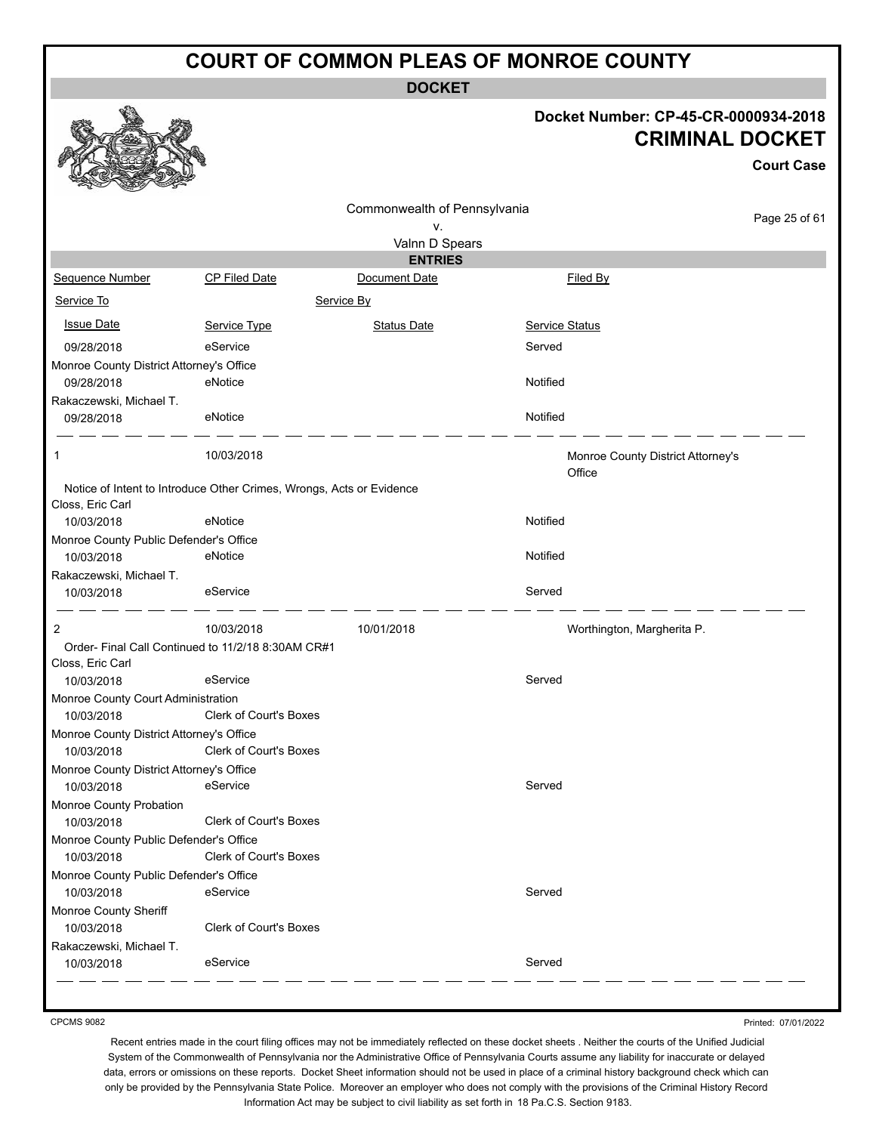**DOCKET**

#### **Docket Number: CP-45-CR-0000934-2018 CRIMINAL DOCKET**

| Commonwealth of Pennsylvania<br>ν.<br>Valnn D Spears<br><b>ENTRIES</b><br><b>CP Filed Date</b><br>Document Date<br><b>Sequence Number</b><br>Filed By<br>Service To<br>Service By<br><b>Issue Date</b><br><b>Status Date</b><br>Service Status<br>Service Type<br>eService<br>Served<br>09/28/2018<br>Monroe County District Attorney's Office<br>eNotice<br>Notified<br>09/28/2018<br>Rakaczewski, Michael T.<br>Notified<br>09/28/2018<br>eNotice<br>10/03/2018<br>1<br>Monroe County District Attorney's<br>Office<br>Notice of Intent to Introduce Other Crimes, Wrongs, Acts or Evidence<br>Closs, Eric Carl<br>Notified<br>eNotice<br>10/03/2018<br>Monroe County Public Defender's Office<br>Notified<br>10/03/2018<br>eNotice<br>Rakaczewski, Michael T.<br>eService<br>Served<br>10/03/2018<br>2<br>10/01/2018<br>10/03/2018<br>Worthington, Margherita P.<br>Order-Final Call Continued to 11/2/18 8:30AM CR#1<br>Closs, Eric Carl<br>eService<br>Served<br>10/03/2018<br>Monroe County Court Administration<br><b>Clerk of Court's Boxes</b><br>10/03/2018<br>Monroe County District Attorney's Office<br>Clerk of Court's Boxes<br>10/03/2018<br>Monroe County District Attorney's Office<br>Served<br>10/03/2018<br>eService<br>Monroe County Probation<br>10/03/2018<br>Clerk of Court's Boxes<br>Monroe County Public Defender's Office<br>Clerk of Court's Boxes<br>10/03/2018<br>Monroe County Public Defender's Office<br>eService<br>Served<br>10/03/2018<br>Monroe County Sheriff<br><b>Clerk of Court's Boxes</b><br>10/03/2018<br>Rakaczewski, Michael T.<br>eService<br>Served<br>10/03/2018 |  |  | <b>Court Case</b> |
|---------------------------------------------------------------------------------------------------------------------------------------------------------------------------------------------------------------------------------------------------------------------------------------------------------------------------------------------------------------------------------------------------------------------------------------------------------------------------------------------------------------------------------------------------------------------------------------------------------------------------------------------------------------------------------------------------------------------------------------------------------------------------------------------------------------------------------------------------------------------------------------------------------------------------------------------------------------------------------------------------------------------------------------------------------------------------------------------------------------------------------------------------------------------------------------------------------------------------------------------------------------------------------------------------------------------------------------------------------------------------------------------------------------------------------------------------------------------------------------------------------------------------------------------------------------------------------------------------------------------|--|--|-------------------|
|                                                                                                                                                                                                                                                                                                                                                                                                                                                                                                                                                                                                                                                                                                                                                                                                                                                                                                                                                                                                                                                                                                                                                                                                                                                                                                                                                                                                                                                                                                                                                                                                                     |  |  |                   |
|                                                                                                                                                                                                                                                                                                                                                                                                                                                                                                                                                                                                                                                                                                                                                                                                                                                                                                                                                                                                                                                                                                                                                                                                                                                                                                                                                                                                                                                                                                                                                                                                                     |  |  | Page 25 of 61     |
|                                                                                                                                                                                                                                                                                                                                                                                                                                                                                                                                                                                                                                                                                                                                                                                                                                                                                                                                                                                                                                                                                                                                                                                                                                                                                                                                                                                                                                                                                                                                                                                                                     |  |  |                   |
|                                                                                                                                                                                                                                                                                                                                                                                                                                                                                                                                                                                                                                                                                                                                                                                                                                                                                                                                                                                                                                                                                                                                                                                                                                                                                                                                                                                                                                                                                                                                                                                                                     |  |  |                   |
|                                                                                                                                                                                                                                                                                                                                                                                                                                                                                                                                                                                                                                                                                                                                                                                                                                                                                                                                                                                                                                                                                                                                                                                                                                                                                                                                                                                                                                                                                                                                                                                                                     |  |  |                   |
|                                                                                                                                                                                                                                                                                                                                                                                                                                                                                                                                                                                                                                                                                                                                                                                                                                                                                                                                                                                                                                                                                                                                                                                                                                                                                                                                                                                                                                                                                                                                                                                                                     |  |  |                   |
|                                                                                                                                                                                                                                                                                                                                                                                                                                                                                                                                                                                                                                                                                                                                                                                                                                                                                                                                                                                                                                                                                                                                                                                                                                                                                                                                                                                                                                                                                                                                                                                                                     |  |  |                   |
|                                                                                                                                                                                                                                                                                                                                                                                                                                                                                                                                                                                                                                                                                                                                                                                                                                                                                                                                                                                                                                                                                                                                                                                                                                                                                                                                                                                                                                                                                                                                                                                                                     |  |  |                   |
|                                                                                                                                                                                                                                                                                                                                                                                                                                                                                                                                                                                                                                                                                                                                                                                                                                                                                                                                                                                                                                                                                                                                                                                                                                                                                                                                                                                                                                                                                                                                                                                                                     |  |  |                   |
|                                                                                                                                                                                                                                                                                                                                                                                                                                                                                                                                                                                                                                                                                                                                                                                                                                                                                                                                                                                                                                                                                                                                                                                                                                                                                                                                                                                                                                                                                                                                                                                                                     |  |  |                   |
|                                                                                                                                                                                                                                                                                                                                                                                                                                                                                                                                                                                                                                                                                                                                                                                                                                                                                                                                                                                                                                                                                                                                                                                                                                                                                                                                                                                                                                                                                                                                                                                                                     |  |  |                   |
|                                                                                                                                                                                                                                                                                                                                                                                                                                                                                                                                                                                                                                                                                                                                                                                                                                                                                                                                                                                                                                                                                                                                                                                                                                                                                                                                                                                                                                                                                                                                                                                                                     |  |  |                   |
|                                                                                                                                                                                                                                                                                                                                                                                                                                                                                                                                                                                                                                                                                                                                                                                                                                                                                                                                                                                                                                                                                                                                                                                                                                                                                                                                                                                                                                                                                                                                                                                                                     |  |  |                   |
|                                                                                                                                                                                                                                                                                                                                                                                                                                                                                                                                                                                                                                                                                                                                                                                                                                                                                                                                                                                                                                                                                                                                                                                                                                                                                                                                                                                                                                                                                                                                                                                                                     |  |  |                   |
|                                                                                                                                                                                                                                                                                                                                                                                                                                                                                                                                                                                                                                                                                                                                                                                                                                                                                                                                                                                                                                                                                                                                                                                                                                                                                                                                                                                                                                                                                                                                                                                                                     |  |  |                   |
|                                                                                                                                                                                                                                                                                                                                                                                                                                                                                                                                                                                                                                                                                                                                                                                                                                                                                                                                                                                                                                                                                                                                                                                                                                                                                                                                                                                                                                                                                                                                                                                                                     |  |  |                   |
|                                                                                                                                                                                                                                                                                                                                                                                                                                                                                                                                                                                                                                                                                                                                                                                                                                                                                                                                                                                                                                                                                                                                                                                                                                                                                                                                                                                                                                                                                                                                                                                                                     |  |  |                   |
|                                                                                                                                                                                                                                                                                                                                                                                                                                                                                                                                                                                                                                                                                                                                                                                                                                                                                                                                                                                                                                                                                                                                                                                                                                                                                                                                                                                                                                                                                                                                                                                                                     |  |  |                   |
|                                                                                                                                                                                                                                                                                                                                                                                                                                                                                                                                                                                                                                                                                                                                                                                                                                                                                                                                                                                                                                                                                                                                                                                                                                                                                                                                                                                                                                                                                                                                                                                                                     |  |  |                   |
|                                                                                                                                                                                                                                                                                                                                                                                                                                                                                                                                                                                                                                                                                                                                                                                                                                                                                                                                                                                                                                                                                                                                                                                                                                                                                                                                                                                                                                                                                                                                                                                                                     |  |  |                   |
|                                                                                                                                                                                                                                                                                                                                                                                                                                                                                                                                                                                                                                                                                                                                                                                                                                                                                                                                                                                                                                                                                                                                                                                                                                                                                                                                                                                                                                                                                                                                                                                                                     |  |  |                   |
|                                                                                                                                                                                                                                                                                                                                                                                                                                                                                                                                                                                                                                                                                                                                                                                                                                                                                                                                                                                                                                                                                                                                                                                                                                                                                                                                                                                                                                                                                                                                                                                                                     |  |  |                   |
|                                                                                                                                                                                                                                                                                                                                                                                                                                                                                                                                                                                                                                                                                                                                                                                                                                                                                                                                                                                                                                                                                                                                                                                                                                                                                                                                                                                                                                                                                                                                                                                                                     |  |  |                   |
|                                                                                                                                                                                                                                                                                                                                                                                                                                                                                                                                                                                                                                                                                                                                                                                                                                                                                                                                                                                                                                                                                                                                                                                                                                                                                                                                                                                                                                                                                                                                                                                                                     |  |  |                   |
|                                                                                                                                                                                                                                                                                                                                                                                                                                                                                                                                                                                                                                                                                                                                                                                                                                                                                                                                                                                                                                                                                                                                                                                                                                                                                                                                                                                                                                                                                                                                                                                                                     |  |  |                   |
|                                                                                                                                                                                                                                                                                                                                                                                                                                                                                                                                                                                                                                                                                                                                                                                                                                                                                                                                                                                                                                                                                                                                                                                                                                                                                                                                                                                                                                                                                                                                                                                                                     |  |  |                   |
|                                                                                                                                                                                                                                                                                                                                                                                                                                                                                                                                                                                                                                                                                                                                                                                                                                                                                                                                                                                                                                                                                                                                                                                                                                                                                                                                                                                                                                                                                                                                                                                                                     |  |  |                   |
|                                                                                                                                                                                                                                                                                                                                                                                                                                                                                                                                                                                                                                                                                                                                                                                                                                                                                                                                                                                                                                                                                                                                                                                                                                                                                                                                                                                                                                                                                                                                                                                                                     |  |  |                   |
|                                                                                                                                                                                                                                                                                                                                                                                                                                                                                                                                                                                                                                                                                                                                                                                                                                                                                                                                                                                                                                                                                                                                                                                                                                                                                                                                                                                                                                                                                                                                                                                                                     |  |  |                   |
|                                                                                                                                                                                                                                                                                                                                                                                                                                                                                                                                                                                                                                                                                                                                                                                                                                                                                                                                                                                                                                                                                                                                                                                                                                                                                                                                                                                                                                                                                                                                                                                                                     |  |  |                   |
|                                                                                                                                                                                                                                                                                                                                                                                                                                                                                                                                                                                                                                                                                                                                                                                                                                                                                                                                                                                                                                                                                                                                                                                                                                                                                                                                                                                                                                                                                                                                                                                                                     |  |  |                   |
|                                                                                                                                                                                                                                                                                                                                                                                                                                                                                                                                                                                                                                                                                                                                                                                                                                                                                                                                                                                                                                                                                                                                                                                                                                                                                                                                                                                                                                                                                                                                                                                                                     |  |  |                   |
|                                                                                                                                                                                                                                                                                                                                                                                                                                                                                                                                                                                                                                                                                                                                                                                                                                                                                                                                                                                                                                                                                                                                                                                                                                                                                                                                                                                                                                                                                                                                                                                                                     |  |  |                   |
|                                                                                                                                                                                                                                                                                                                                                                                                                                                                                                                                                                                                                                                                                                                                                                                                                                                                                                                                                                                                                                                                                                                                                                                                                                                                                                                                                                                                                                                                                                                                                                                                                     |  |  |                   |
|                                                                                                                                                                                                                                                                                                                                                                                                                                                                                                                                                                                                                                                                                                                                                                                                                                                                                                                                                                                                                                                                                                                                                                                                                                                                                                                                                                                                                                                                                                                                                                                                                     |  |  |                   |
|                                                                                                                                                                                                                                                                                                                                                                                                                                                                                                                                                                                                                                                                                                                                                                                                                                                                                                                                                                                                                                                                                                                                                                                                                                                                                                                                                                                                                                                                                                                                                                                                                     |  |  |                   |
|                                                                                                                                                                                                                                                                                                                                                                                                                                                                                                                                                                                                                                                                                                                                                                                                                                                                                                                                                                                                                                                                                                                                                                                                                                                                                                                                                                                                                                                                                                                                                                                                                     |  |  |                   |
|                                                                                                                                                                                                                                                                                                                                                                                                                                                                                                                                                                                                                                                                                                                                                                                                                                                                                                                                                                                                                                                                                                                                                                                                                                                                                                                                                                                                                                                                                                                                                                                                                     |  |  |                   |

CPCMS 9082

虥

Printed: 07/01/2022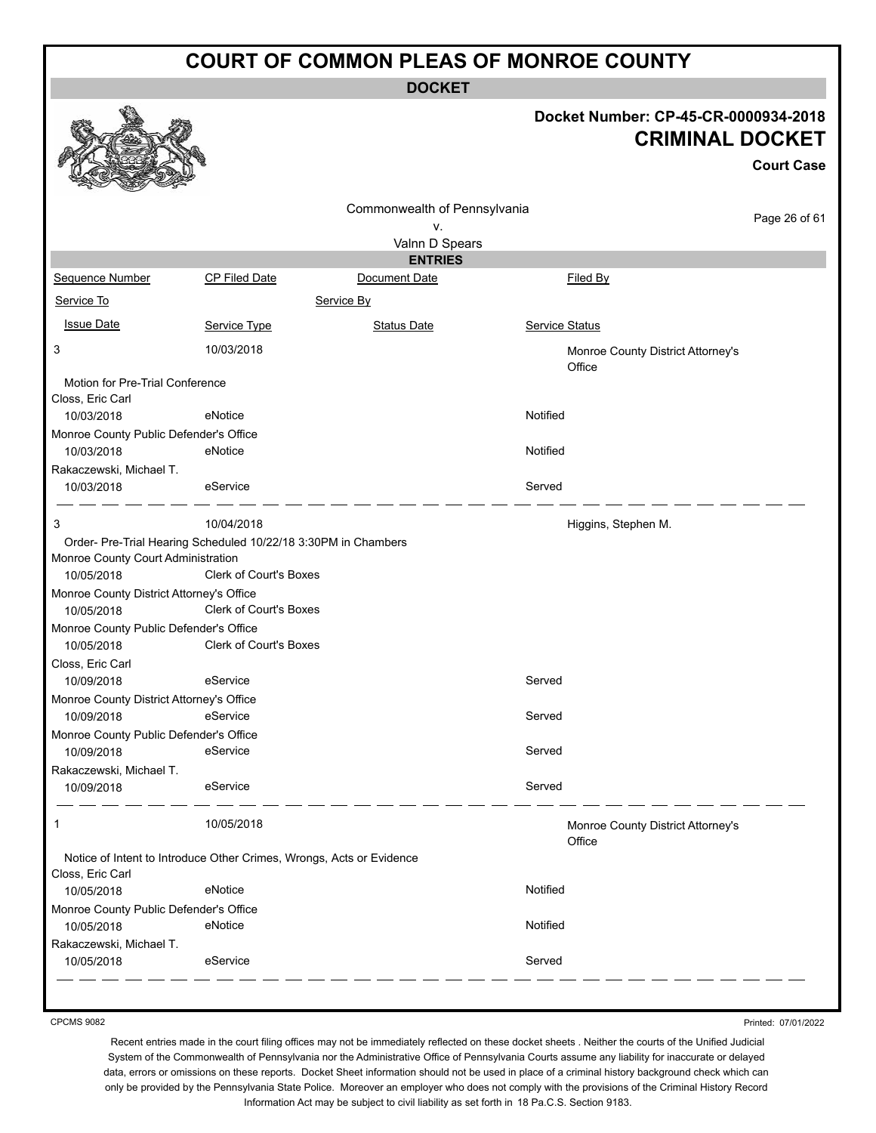**DOCKET**

#### **Docket Number: CP-45-CR-0000934-2018 CRIMINAL DOCKET**

**Court Case**

|                                                                      |                               |                              |                                             | <b>Court Case</b> |
|----------------------------------------------------------------------|-------------------------------|------------------------------|---------------------------------------------|-------------------|
|                                                                      |                               | Commonwealth of Pennsylvania |                                             |                   |
|                                                                      |                               | ν.                           |                                             | Page 26 of 61     |
|                                                                      |                               | Valnn D Spears               |                                             |                   |
|                                                                      |                               | <b>ENTRIES</b>               |                                             |                   |
| Sequence Number                                                      | <b>CP Filed Date</b>          | Document Date                | <b>Filed By</b>                             |                   |
| Service To                                                           |                               | Service By                   |                                             |                   |
| <b>Issue Date</b>                                                    | Service Type                  | <b>Status Date</b>           | Service Status                              |                   |
| 3                                                                    | 10/03/2018                    |                              | Monroe County District Attorney's<br>Office |                   |
| Motion for Pre-Trial Conference<br>Closs, Eric Carl                  |                               |                              |                                             |                   |
| 10/03/2018                                                           | eNotice                       |                              | Notified                                    |                   |
| Monroe County Public Defender's Office                               |                               |                              |                                             |                   |
| 10/03/2018                                                           | eNotice                       |                              | Notified                                    |                   |
| Rakaczewski, Michael T.                                              |                               |                              |                                             |                   |
| 10/03/2018                                                           | eService                      |                              | Served                                      |                   |
| 3                                                                    | 10/04/2018                    |                              | Higgins, Stephen M.                         |                   |
| Order- Pre-Trial Hearing Scheduled 10/22/18 3:30PM in Chambers       |                               |                              |                                             |                   |
| Monroe County Court Administration                                   |                               |                              |                                             |                   |
| 10/05/2018                                                           | <b>Clerk of Court's Boxes</b> |                              |                                             |                   |
| Monroe County District Attorney's Office                             |                               |                              |                                             |                   |
| 10/05/2018                                                           | Clerk of Court's Boxes        |                              |                                             |                   |
| Monroe County Public Defender's Office                               |                               |                              |                                             |                   |
| 10/05/2018                                                           | Clerk of Court's Boxes        |                              |                                             |                   |
| Closs, Eric Carl                                                     |                               |                              |                                             |                   |
| 10/09/2018                                                           | eService                      |                              | Served                                      |                   |
| Monroe County District Attorney's Office                             |                               |                              |                                             |                   |
| 10/09/2018                                                           | eService                      |                              | Served                                      |                   |
| Monroe County Public Defender's Office                               |                               |                              |                                             |                   |
| 10/09/2018                                                           | eService                      |                              | Served                                      |                   |
| Rakaczewski, Michael T.                                              |                               |                              |                                             |                   |
| 10/09/2018                                                           | eService                      |                              | Served                                      |                   |
| $\mathbf{1}$                                                         | 10/05/2018                    |                              | Monroe County District Attorney's<br>Office |                   |
| Notice of Intent to Introduce Other Crimes, Wrongs, Acts or Evidence |                               |                              |                                             |                   |
| Closs, Eric Carl                                                     |                               |                              |                                             |                   |
| 10/05/2018                                                           | eNotice                       |                              | Notified                                    |                   |
| Monroe County Public Defender's Office                               |                               |                              |                                             |                   |
| 10/05/2018                                                           | eNotice                       |                              | Notified                                    |                   |
| Rakaczewski, Michael T.                                              |                               |                              |                                             |                   |
| 10/05/2018                                                           | eService                      |                              | Served                                      |                   |
|                                                                      |                               |                              |                                             |                   |

CPCMS 9082

Printed: 07/01/2022

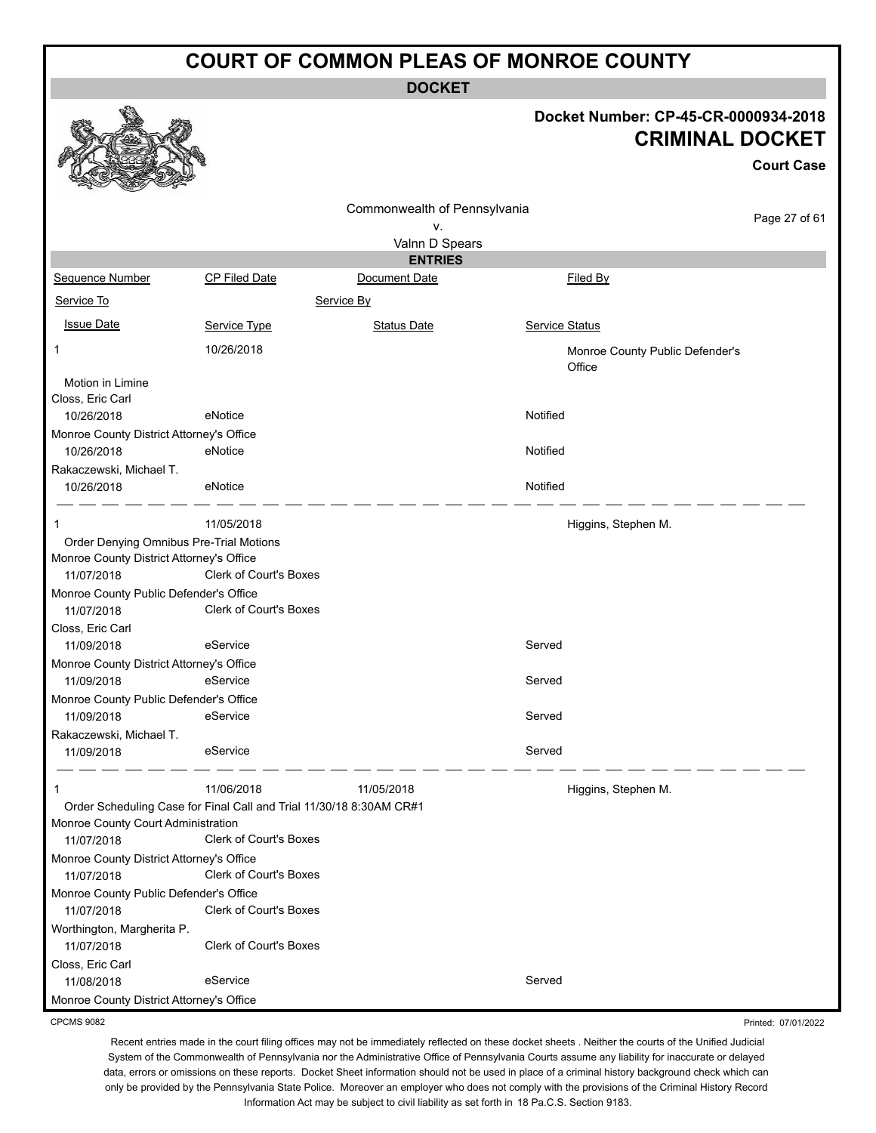**DOCKET**

#### **Docket Number: CP-45-CR-0000934-2018 CRIMINAL DOCKET**

**Court Case**

Printed: 07/01/2022

Commonwealth of Pennsylvania Page 27 of 61 v. Valnn D Spears **ENTRIES** Sequence Number CP Filed Date Document Date **Document Date** Filed By Service To Service By **Issue Date Service Type** Service Type Status Date Service Status Date Service Status Service Status **Service Status** 1 10/26/2018 Monroe County Public Defender's **Office** Motion in Limine Closs, Eric Carl 10/26/2018 eNotice Notified Monroe County District Attorney's Office 10/26/2018 eNotice Notified Rakaczewski, Michael T. 10/26/2018 eNotice Notified 1 11/05/2018 **11/05/2018 Higgins, Stephen M.** Order Denying Omnibus Pre-Trial Motions Monroe County District Attorney's Office 11/07/2018 Clerk of Court's Boxes Monroe County Public Defender's Office 11/07/2018 Clerk of Court's Boxes Closs, Eric Carl 11/09/2018 eService entertainment of the Served Monroe County District Attorney's Office 11/09/2018 eService entertainment of the Served Monroe County Public Defender's Office 11/09/2018 eService eService Served Rakaczewski, Michael T. 11/09/2018 eService exercise and the Served 1 11/06/2018 11/05/2018 Higgins, Stephen M. Order Scheduling Case for Final Call and Trial 11/30/18 8:30AM CR#1 Monroe County Court Administration 11/07/2018 Clerk of Court's Boxes Monroe County District Attorney's Office 11/07/2018 Clerk of Court's Boxes Monroe County Public Defender's Office 11/07/2018 Clerk of Court's Boxes Worthington, Margherita P. 11/07/2018 Clerk of Court's Boxes Closs, Eric Carl 11/08/2018 eService entertainment of the Served Monroe County District Attorney's Office

CPCMS 9082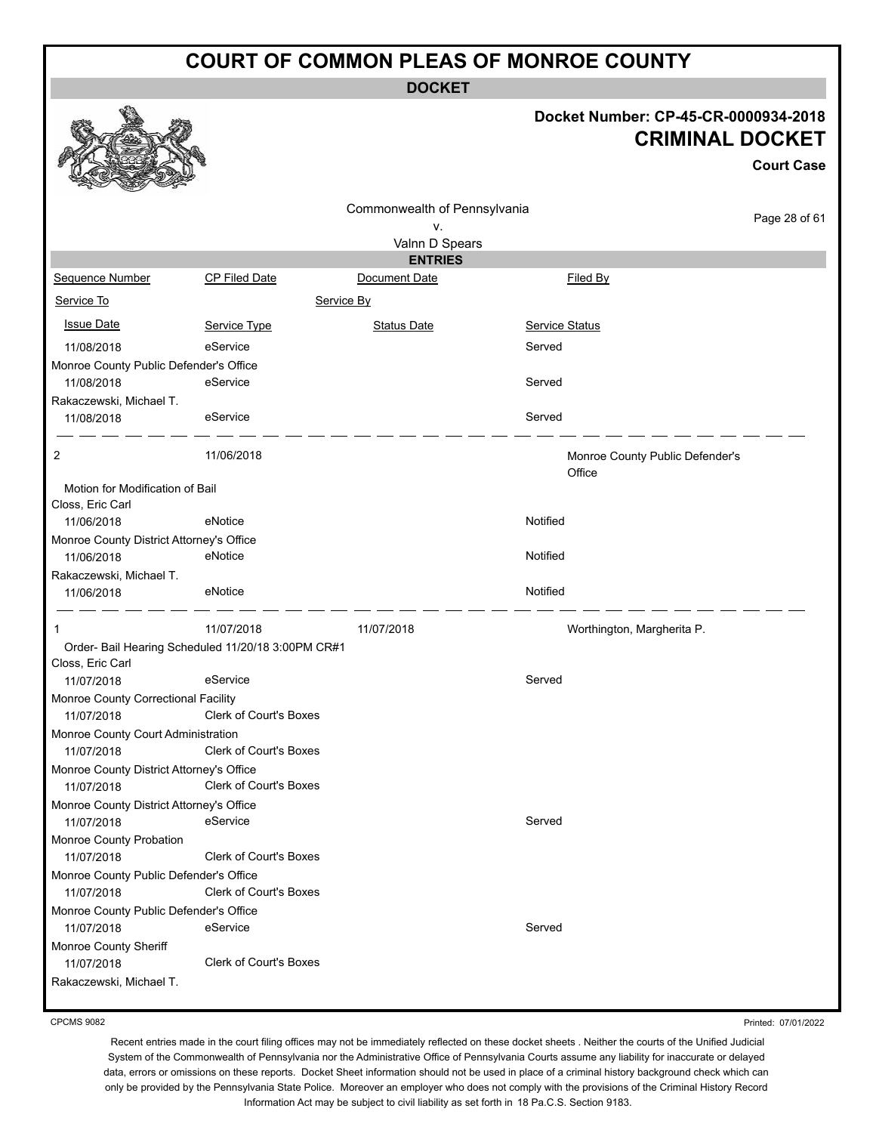**DOCKET**

#### **Docket Number: CP-45-CR-0000934-2018 CRIMINAL DOCKET**

**Court Case**

Page 28 of 61

|                                          |               |                              | <b>CRIMINAL</b>                           |  |
|------------------------------------------|---------------|------------------------------|-------------------------------------------|--|
|                                          |               | Commonwealth of Pennsylvania |                                           |  |
|                                          |               | v.                           |                                           |  |
|                                          |               | Valnn D Spears               |                                           |  |
|                                          |               | <b>ENTRIES</b>               |                                           |  |
| Sequence Number                          | CP Filed Date | Document Date                | Filed By                                  |  |
| Service To                               |               | Service By                   |                                           |  |
| <b>Issue Date</b>                        | Service Type  | <b>Status Date</b>           | Service Status                            |  |
| 11/08/2018                               | eService      |                              | Served                                    |  |
| Monroe County Public Defender's Office   |               |                              |                                           |  |
| 11/08/2018                               | eService      |                              | Served                                    |  |
| Rakaczewski, Michael T.                  |               |                              |                                           |  |
| 11/08/2018                               | eService      |                              | Served                                    |  |
| $\overline{2}$                           | 11/06/2018    |                              | Monroe County Public Defender's<br>Office |  |
| Motion for Modification of Bail          |               |                              |                                           |  |
| Closs, Eric Carl                         |               |                              |                                           |  |
| 11/06/2018                               | eNotice       |                              | Notified                                  |  |
| Monroe County District Attorney's Office |               |                              |                                           |  |
| 11/06/2018                               | eNotice       |                              | Notified                                  |  |
| Rakaczewski, Michael T.                  |               |                              |                                           |  |
| 11/06/2018                               | eNotice       |                              | Notified                                  |  |
|                                          |               |                              |                                           |  |

Order- Bail Hearing Scheduled 11/20/18 3:00PM CR#1 Closs, Eric Carl Monroe County Correctional Facility 11/07/2018 Clerk of Court's Boxes Monroe County Court Administration 11/07/2018 Clerk of Court's Boxes Monroe County District Attorney's Office 11/07/2018 Clerk of Court's Boxes

1 11/07/2018 11/07/2018 Worthington, Margherita P. 11/07/2018 eService entertainment of the Served Monroe County District Attorney's Office 11/07/2018 eService entertainment of the Served Monroe County Probation 11/07/2018 Clerk of Court's Boxes

11/07/2018 eService entertainment of the Served

11/07/2018 Clerk of Court's Boxes Rakaczewski, Michael T.

CPCMS 9082

Monroe County Sheriff

Monroe County Public Defender's Office

 $\mathscr{C}_{\mathbb{A}}$ 

Monroe County Public Defender's Office

11/07/2018 Clerk of Court's Boxes

Printed: 07/01/2022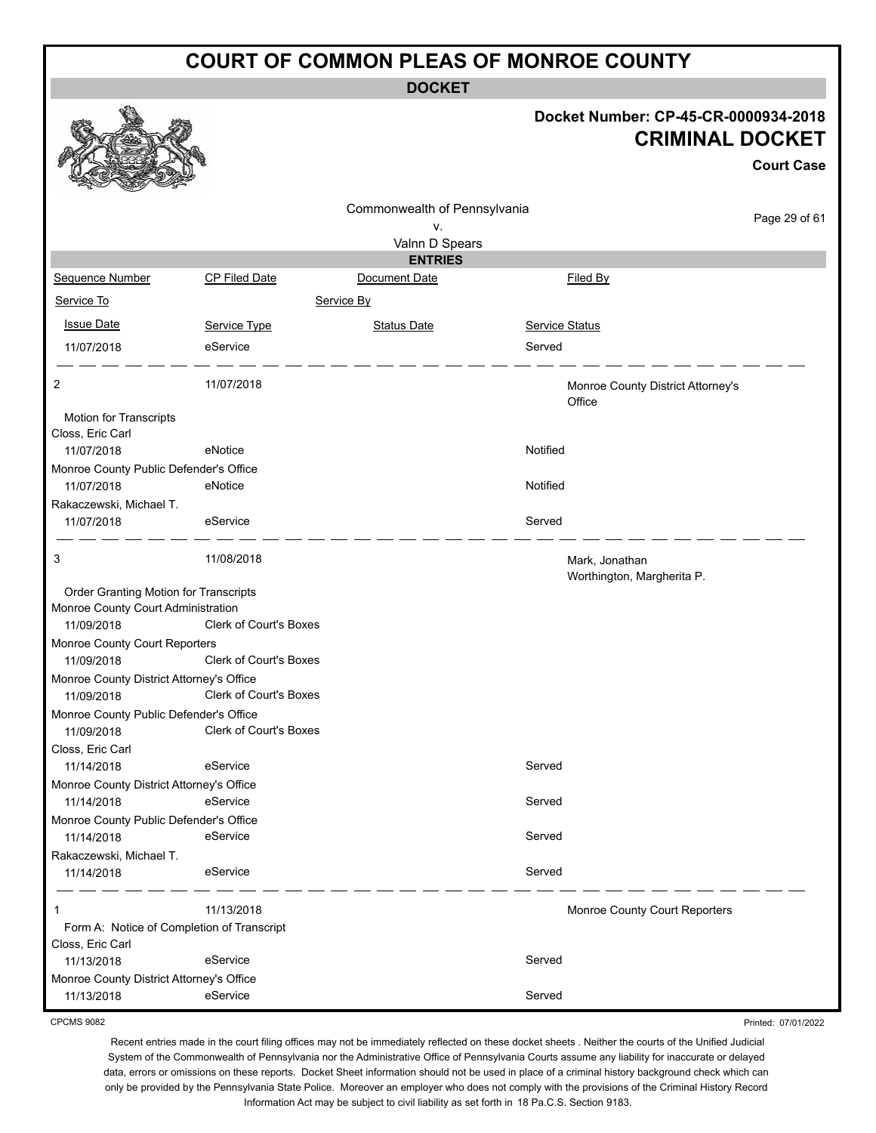**DOCKET**

#### **Docket Number: CP-45-CR-0000934-2018 CRIMINAL DOCKET**

|                                          |                                            |                              |                                              | <b>CRIMINAL DOCKET</b><br><b>Court Case</b> |
|------------------------------------------|--------------------------------------------|------------------------------|----------------------------------------------|---------------------------------------------|
|                                          |                                            | Commonwealth of Pennsylvania |                                              |                                             |
|                                          |                                            | ٧.                           |                                              | Page 29 of 61                               |
|                                          |                                            | Valnn D Spears               |                                              |                                             |
|                                          |                                            | <b>ENTRIES</b>               |                                              |                                             |
| Sequence Number                          | <b>CP Filed Date</b>                       | Document Date                | Filed By                                     |                                             |
| Service To                               |                                            | Service By                   |                                              |                                             |
| <b>Issue Date</b>                        | Service Type                               | <b>Status Date</b>           | Service Status                               |                                             |
| 11/07/2018                               | eService                                   |                              | Served                                       |                                             |
| 2                                        | 11/07/2018                                 |                              | Monroe County District Attorney's<br>Office  |                                             |
| Motion for Transcripts                   |                                            |                              |                                              |                                             |
| Closs, Eric Carl                         |                                            |                              |                                              |                                             |
| 11/07/2018                               | eNotice                                    |                              | Notified                                     |                                             |
| Monroe County Public Defender's Office   |                                            |                              |                                              |                                             |
| 11/07/2018                               | eNotice                                    |                              | Notified                                     |                                             |
| Rakaczewski, Michael T.                  |                                            |                              |                                              |                                             |
| 11/07/2018                               | eService                                   |                              | Served                                       |                                             |
| 3                                        | 11/08/2018                                 |                              | Mark, Jonathan<br>Worthington, Margherita P. |                                             |
| Order Granting Motion for Transcripts    |                                            |                              |                                              |                                             |
| Monroe County Court Administration       |                                            |                              |                                              |                                             |
| 11/09/2018                               | Clerk of Court's Boxes                     |                              |                                              |                                             |
| Monroe County Court Reporters            |                                            |                              |                                              |                                             |
| 11/09/2018                               | <b>Clerk of Court's Boxes</b>              |                              |                                              |                                             |
| Monroe County District Attorney's Office |                                            |                              |                                              |                                             |
| 11/09/2018                               | Clerk of Court's Boxes                     |                              |                                              |                                             |
| Monroe County Public Defender's Office   |                                            |                              |                                              |                                             |
| 11/09/2018                               | <b>Clerk of Court's Boxes</b>              |                              |                                              |                                             |
| Closs, Eric Carl                         |                                            |                              |                                              |                                             |
| 11/14/2018                               | eService                                   |                              | Served                                       |                                             |
| Monroe County District Attorney's Office |                                            |                              |                                              |                                             |
| 11/14/2018                               | eService                                   |                              | Served                                       |                                             |
| Monroe County Public Defender's Office   |                                            |                              |                                              |                                             |
| 11/14/2018                               | eService                                   |                              | Served                                       |                                             |
| Rakaczewski, Michael T.                  |                                            |                              |                                              |                                             |
| 11/14/2018                               | eService                                   |                              | Served                                       |                                             |
| 1                                        | 11/13/2018                                 |                              | Monroe County Court Reporters                |                                             |
|                                          | Form A: Notice of Completion of Transcript |                              |                                              |                                             |
| Closs, Eric Carl                         |                                            |                              |                                              |                                             |
| 11/13/2018                               | eService                                   |                              | Served                                       |                                             |
| Monroe County District Attorney's Office |                                            |                              |                                              |                                             |
| 11/13/2018                               | eService                                   |                              | Served                                       |                                             |

CPCMS 9082

23 A 25

Printed: 07/01/2022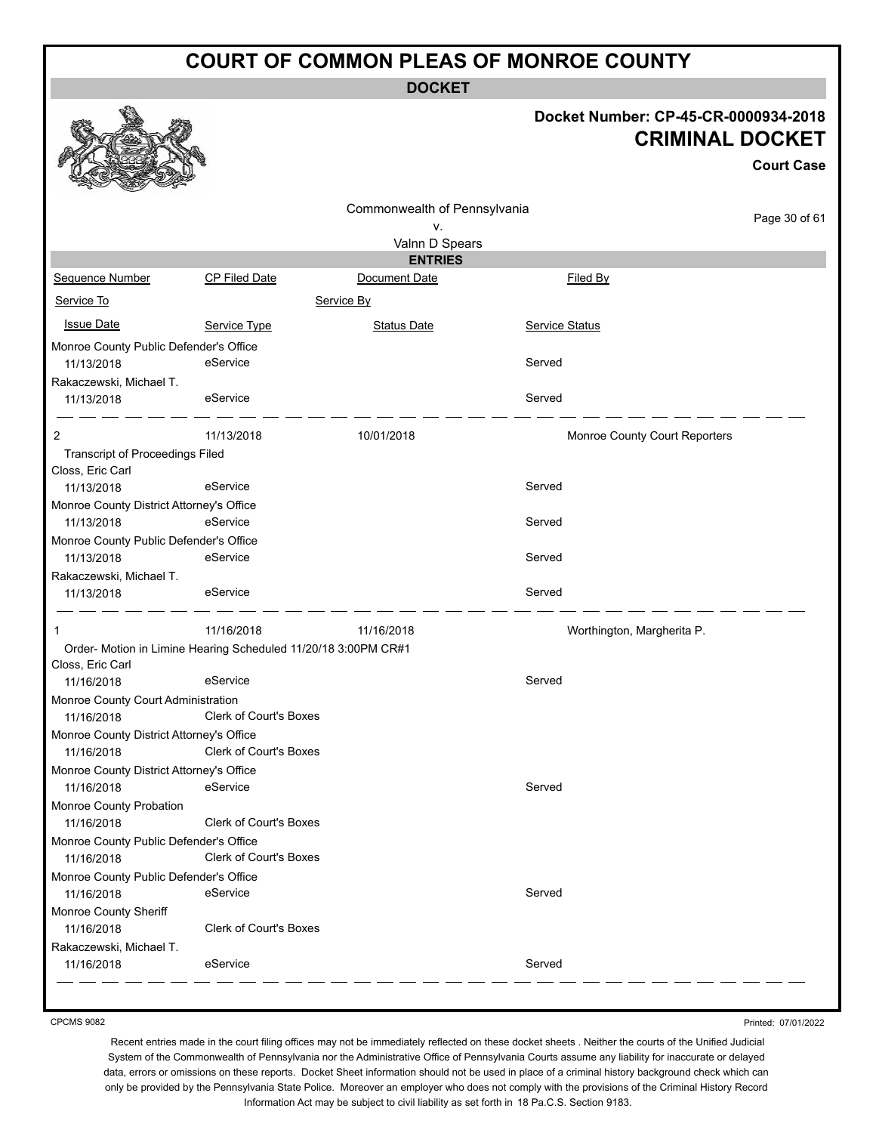**DOCKET**

#### **Docket Number: CP-45-CR-0000934-2018 CRIMINAL DOCKET**

|                                          |                                                                |                              |                               | <b>Court Case</b> |
|------------------------------------------|----------------------------------------------------------------|------------------------------|-------------------------------|-------------------|
|                                          |                                                                | Commonwealth of Pennsylvania |                               |                   |
|                                          |                                                                | ν.                           |                               | Page 30 of 61     |
|                                          |                                                                | Valnn D Spears               |                               |                   |
|                                          |                                                                | <b>ENTRIES</b>               |                               |                   |
| Sequence Number                          | <b>CP Filed Date</b>                                           | Document Date                | Filed By                      |                   |
| Service To                               |                                                                | Service By                   |                               |                   |
| <b>Issue Date</b>                        | Service Type                                                   | <b>Status Date</b>           | <b>Service Status</b>         |                   |
| Monroe County Public Defender's Office   |                                                                |                              |                               |                   |
| 11/13/2018                               | eService                                                       |                              | Served                        |                   |
| Rakaczewski, Michael T.                  |                                                                |                              |                               |                   |
| 11/13/2018                               | eService                                                       |                              | Served                        |                   |
| 2                                        | 11/13/2018                                                     | 10/01/2018                   | Monroe County Court Reporters |                   |
| <b>Transcript of Proceedings Filed</b>   |                                                                |                              |                               |                   |
| Closs, Eric Carl                         |                                                                |                              |                               |                   |
| 11/13/2018                               | eService                                                       |                              | Served                        |                   |
| Monroe County District Attorney's Office |                                                                |                              |                               |                   |
| 11/13/2018                               | eService                                                       |                              | Served                        |                   |
| Monroe County Public Defender's Office   |                                                                |                              |                               |                   |
| 11/13/2018                               | eService                                                       |                              | Served                        |                   |
| Rakaczewski, Michael T.                  |                                                                |                              |                               |                   |
| 11/13/2018                               | eService                                                       |                              | Served                        |                   |
| 1                                        | 11/16/2018                                                     | 11/16/2018                   | Worthington, Margherita P.    |                   |
|                                          | Order- Motion in Limine Hearing Scheduled 11/20/18 3:00PM CR#1 |                              |                               |                   |
| Closs, Eric Carl                         |                                                                |                              |                               |                   |
| 11/16/2018                               | eService                                                       |                              | Served                        |                   |
| Monroe County Court Administration       |                                                                |                              |                               |                   |
| 11/16/2018                               | <b>Clerk of Court's Boxes</b>                                  |                              |                               |                   |
| Monroe County District Attorney's Office |                                                                |                              |                               |                   |
| 11/16/2018                               | <b>Clerk of Court's Boxes</b>                                  |                              |                               |                   |
| Monroe County District Attorney's Office |                                                                |                              |                               |                   |
| 11/16/2018                               | eService                                                       |                              | Served                        |                   |
| Monroe County Probation                  |                                                                |                              |                               |                   |
| 11/16/2018                               | <b>Clerk of Court's Boxes</b>                                  |                              |                               |                   |
| Monroe County Public Defender's Office   |                                                                |                              |                               |                   |
| 11/16/2018                               | Clerk of Court's Boxes                                         |                              |                               |                   |
| Monroe County Public Defender's Office   |                                                                |                              |                               |                   |
| 11/16/2018                               | eService                                                       |                              | Served                        |                   |
| Monroe County Sheriff                    |                                                                |                              |                               |                   |
| 11/16/2018                               | Clerk of Court's Boxes                                         |                              |                               |                   |
| Rakaczewski, Michael T.                  |                                                                |                              |                               |                   |
| 11/16/2018                               | eService                                                       |                              | Served                        |                   |

CPCMS 9082

Printed: 07/01/2022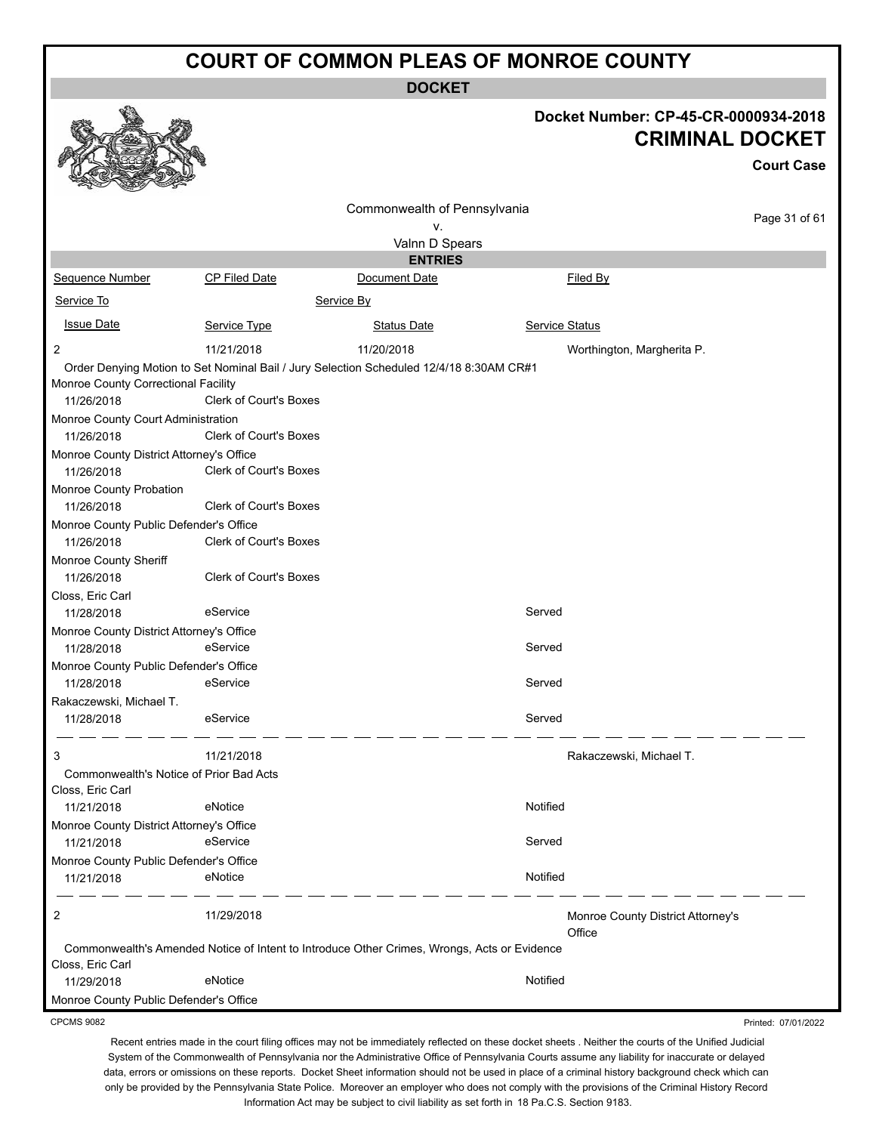**DOCKET**

|                                                        |                               | DUUNE I                                                                                     |                       |                                                                |
|--------------------------------------------------------|-------------------------------|---------------------------------------------------------------------------------------------|-----------------------|----------------------------------------------------------------|
|                                                        |                               |                                                                                             |                       | Docket Number: CP-45-CR-0000934-2018<br><b>CRIMINAL DOCKET</b> |
|                                                        |                               |                                                                                             |                       |                                                                |
|                                                        |                               |                                                                                             |                       | <b>Court Case</b>                                              |
|                                                        |                               | Commonwealth of Pennsylvania<br>۷.                                                          |                       | Page 31 of 61                                                  |
|                                                        |                               | Valnn D Spears                                                                              |                       |                                                                |
|                                                        |                               | <b>ENTRIES</b>                                                                              |                       |                                                                |
| Sequence Number                                        | <b>CP Filed Date</b>          | Document Date                                                                               |                       | <b>Filed By</b>                                                |
| Service To                                             |                               | Service By                                                                                  |                       |                                                                |
| <b>Issue Date</b>                                      | Service Type                  | <b>Status Date</b>                                                                          | <b>Service Status</b> |                                                                |
| $\overline{2}$                                         | 11/21/2018                    | 11/20/2018                                                                                  |                       | Worthington, Margherita P.                                     |
|                                                        |                               | Order Denying Motion to Set Nominal Bail / Jury Selection Scheduled 12/4/18 8:30AM CR#1     |                       |                                                                |
| Monroe County Correctional Facility                    |                               |                                                                                             |                       |                                                                |
| 11/26/2018                                             | <b>Clerk of Court's Boxes</b> |                                                                                             |                       |                                                                |
| Monroe County Court Administration                     |                               |                                                                                             |                       |                                                                |
| 11/26/2018                                             | <b>Clerk of Court's Boxes</b> |                                                                                             |                       |                                                                |
| Monroe County District Attorney's Office<br>11/26/2018 | <b>Clerk of Court's Boxes</b> |                                                                                             |                       |                                                                |
| Monroe County Probation                                |                               |                                                                                             |                       |                                                                |
| 11/26/2018                                             | <b>Clerk of Court's Boxes</b> |                                                                                             |                       |                                                                |
| Monroe County Public Defender's Office<br>11/26/2018   | <b>Clerk of Court's Boxes</b> |                                                                                             |                       |                                                                |
| Monroe County Sheriff                                  |                               |                                                                                             |                       |                                                                |
| 11/26/2018                                             | <b>Clerk of Court's Boxes</b> |                                                                                             |                       |                                                                |
| Closs, Eric Carl                                       |                               |                                                                                             |                       |                                                                |
| 11/28/2018                                             | eService                      |                                                                                             | Served                |                                                                |
| Monroe County District Attorney's Office               |                               |                                                                                             |                       |                                                                |
| 11/28/2018                                             | eService                      |                                                                                             | Served                |                                                                |
| Monroe County Public Defender's Office                 |                               |                                                                                             |                       |                                                                |
| 11/28/2018                                             | eService                      |                                                                                             | Served                |                                                                |
| Rakaczewski, Michael T.                                |                               |                                                                                             |                       |                                                                |
| 11/28/2018                                             | eService                      |                                                                                             | Served                |                                                                |
| 3                                                      | 11/21/2018                    |                                                                                             |                       | Rakaczewski, Michael T.                                        |
| Commonwealth's Notice of Prior Bad Acts                |                               |                                                                                             |                       |                                                                |
| Closs, Eric Carl                                       |                               |                                                                                             |                       |                                                                |
| 11/21/2018                                             | eNotice                       |                                                                                             | Notified              |                                                                |
| Monroe County District Attorney's Office               |                               |                                                                                             |                       |                                                                |
| 11/21/2018                                             | eService                      |                                                                                             | Served                |                                                                |
| Monroe County Public Defender's Office                 |                               |                                                                                             | Notified              |                                                                |
| 11/21/2018                                             | eNotice                       |                                                                                             |                       |                                                                |
| 2                                                      | 11/29/2018                    |                                                                                             |                       | Monroe County District Attorney's<br>Office                    |
|                                                        |                               | Commonwealth's Amended Notice of Intent to Introduce Other Crimes, Wrongs, Acts or Evidence |                       |                                                                |
| Closs, Eric Carl                                       |                               |                                                                                             |                       |                                                                |
| 11/29/2018                                             | eNotice                       |                                                                                             | Notified              |                                                                |
| Monroe County Public Defender's Office                 |                               |                                                                                             |                       |                                                                |
| <b>CPCMS 9082</b>                                      |                               |                                                                                             |                       | Printed: 07/01/2022                                            |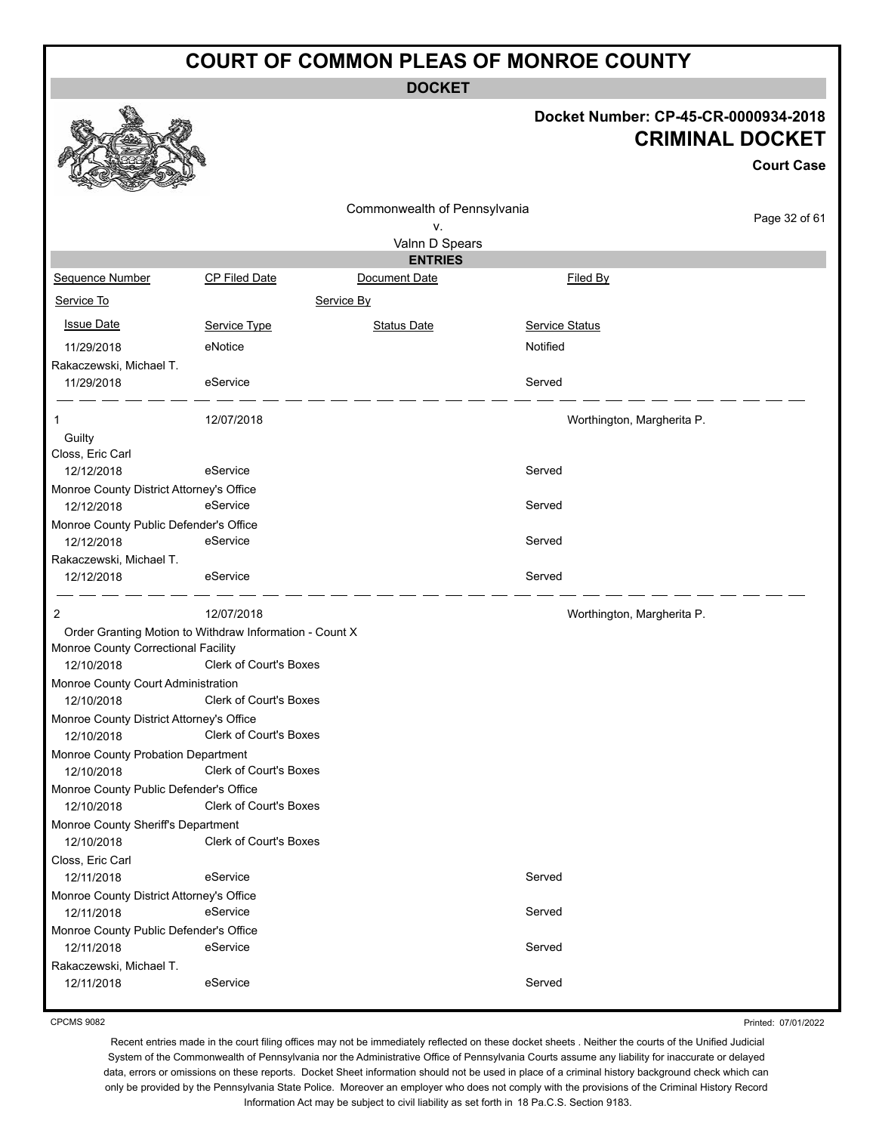**DOCKET**

#### **Docket Number: CP-45-CR-0000934-2018 CRIMINAL DOCKET**

**Court Case**

Commonwealth of Pennsylvania v. Valnn D Spears **ENTRIES**

Monroe County Public Defender's Office 12/10/2018 Clerk of Court's Boxes Monroe County Sheriff's Department 12/10/2018 Clerk of Court's Boxes Closs, Eric Carl Monroe County District Attorney's Office Monroe County Public Defender's Office Rakaczewski, Michael T.

CPCMS 9082

Printed: 07/01/2022

Recent entries made in the court filing offices may not be immediately reflected on these docket sheets . Neither the courts of the Unified Judicial System of the Commonwealth of Pennsylvania nor the Administrative Office of Pennsylvania Courts assume any liability for inaccurate or delayed data, errors or omissions on these reports. Docket Sheet information should not be used in place of a criminal history background check which can only be provided by the Pennsylvania State Police. Moreover an employer who does not comply with the provisions of the Criminal History Record Information Act may be subject to civil liability as set forth in 18 Pa.C.S. Section 9183.

# Page 32 of 61 Sequence Number CP Filed Date Document Date **Document Date** Filed By Service To Service By **Issue Date Service Type** Service Type Status Date Service Status Date Service Status Service Status **Service Status** 11/29/2018 eNotice Notified Rakaczewski, Michael T. 11/29/2018 eService entertainment of the Served 1 12/07/2018 Worthington, Margherita P. **Guilty** Closs, Eric Carl 12/12/2018 eService entertainment of the Served Monroe County District Attorney's Office 12/12/2018 eService entertainment of the Served Monroe County Public Defender's Office 12/12/2018 eService eService Served Rakaczewski, Michael T. 12/12/2018 eService Served 2 12/07/2018 Worthington, Margherita P. Order Granting Motion to Withdraw Information - Count X Monroe County Correctional Facility 12/10/2018 Clerk of Court's Boxes Monroe County Court Administration 12/10/2018 Clerk of Court's Boxes Monroe County District Attorney's Office 12/10/2018 Clerk of Court's Boxes Monroe County Probation Department 12/10/2018 Clerk of Court's Boxes 12/11/2018 eService entertainment of the Served 12/11/2018 eService entertainment of the Served 12/11/2018 eService Served 12/11/2018 eService entertainment of the Served

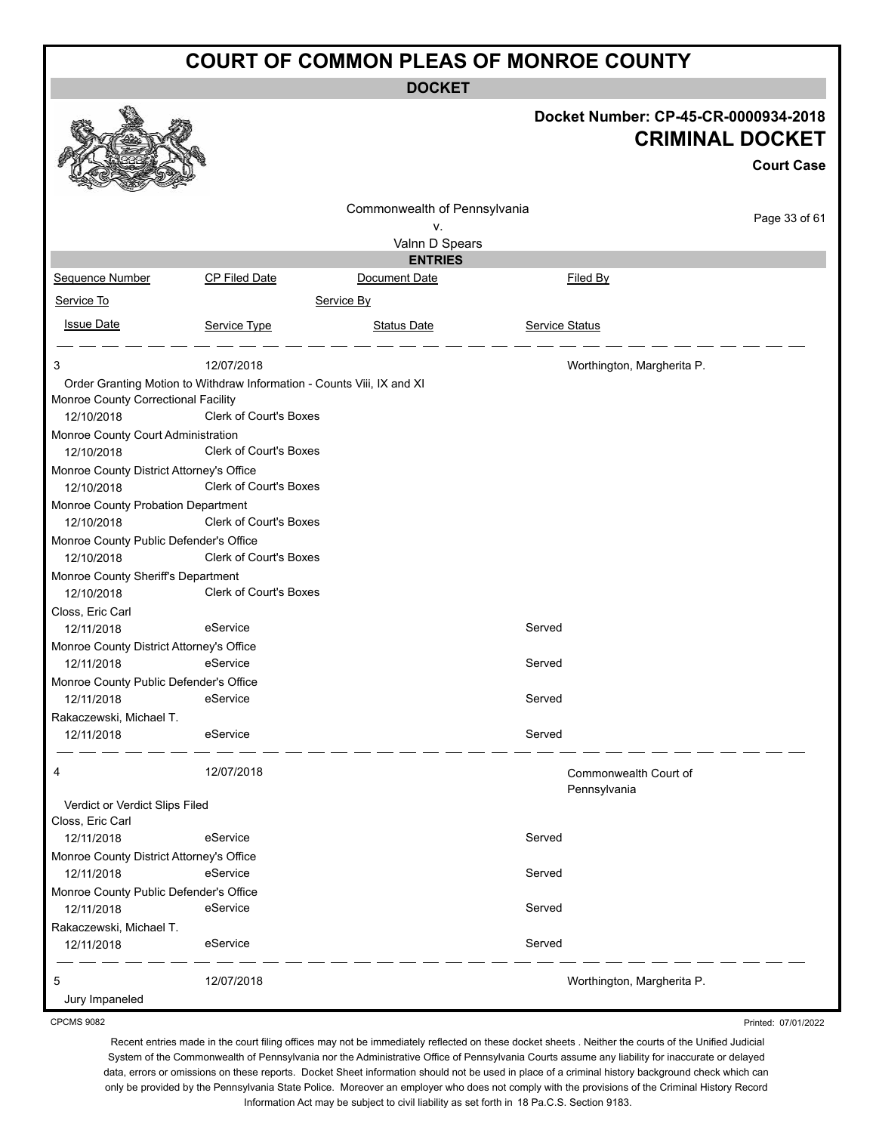**DOCKET**

|                                          |                                                                        |                              |                                       | Docket Number: CP-45-CR-0000934-2018<br><b>CRIMINAL DOCKET</b><br><b>Court Case</b> |
|------------------------------------------|------------------------------------------------------------------------|------------------------------|---------------------------------------|-------------------------------------------------------------------------------------|
|                                          |                                                                        |                              |                                       |                                                                                     |
|                                          |                                                                        | Commonwealth of Pennsylvania |                                       | Page 33 of 61                                                                       |
|                                          |                                                                        | v.<br>Valnn D Spears         |                                       |                                                                                     |
|                                          |                                                                        | <b>ENTRIES</b>               |                                       |                                                                                     |
| Sequence Number                          | <b>CP Filed Date</b>                                                   | Document Date                | Filed By                              |                                                                                     |
|                                          |                                                                        |                              |                                       |                                                                                     |
| Service To                               |                                                                        | Service By                   |                                       |                                                                                     |
| <b>Issue Date</b>                        | Service Type                                                           | <b>Status Date</b>           | Service Status                        |                                                                                     |
| 3                                        | 12/07/2018                                                             |                              | Worthington, Margherita P.            |                                                                                     |
|                                          | Order Granting Motion to Withdraw Information - Counts Viii, IX and XI |                              |                                       |                                                                                     |
| Monroe County Correctional Facility      |                                                                        |                              |                                       |                                                                                     |
| 12/10/2018                               | Clerk of Court's Boxes                                                 |                              |                                       |                                                                                     |
| Monroe County Court Administration       |                                                                        |                              |                                       |                                                                                     |
| 12/10/2018                               | <b>Clerk of Court's Boxes</b>                                          |                              |                                       |                                                                                     |
| Monroe County District Attorney's Office |                                                                        |                              |                                       |                                                                                     |
| 12/10/2018                               | Clerk of Court's Boxes                                                 |                              |                                       |                                                                                     |
| Monroe County Probation Department       |                                                                        |                              |                                       |                                                                                     |
| 12/10/2018                               | <b>Clerk of Court's Boxes</b>                                          |                              |                                       |                                                                                     |
| Monroe County Public Defender's Office   |                                                                        |                              |                                       |                                                                                     |
| 12/10/2018                               | Clerk of Court's Boxes                                                 |                              |                                       |                                                                                     |
| Monroe County Sheriff's Department       |                                                                        |                              |                                       |                                                                                     |
| 12/10/2018                               | Clerk of Court's Boxes                                                 |                              |                                       |                                                                                     |
| Closs, Eric Carl                         |                                                                        |                              |                                       |                                                                                     |
| 12/11/2018                               | eService                                                               |                              | Served                                |                                                                                     |
| Monroe County District Attorney's Office |                                                                        |                              |                                       |                                                                                     |
| 12/11/2018                               | eService                                                               |                              | Served                                |                                                                                     |
| Monroe County Public Defender's Office   |                                                                        |                              |                                       |                                                                                     |
| 12/11/2018                               | eService                                                               |                              | Served                                |                                                                                     |
| Rakaczewski, Michael T.<br>12/11/2018    | eService                                                               |                              | Served                                |                                                                                     |
|                                          |                                                                        |                              |                                       |                                                                                     |
| 4                                        | 12/07/2018                                                             |                              | Commonwealth Court of<br>Pennsylvania |                                                                                     |
| Verdict or Verdict Slips Filed           |                                                                        |                              |                                       |                                                                                     |
| Closs, Eric Carl                         |                                                                        |                              |                                       |                                                                                     |
| 12/11/2018                               | eService                                                               |                              | Served                                |                                                                                     |
| Monroe County District Attorney's Office |                                                                        |                              |                                       |                                                                                     |
| 12/11/2018                               | eService                                                               |                              | Served                                |                                                                                     |
| Monroe County Public Defender's Office   |                                                                        |                              |                                       |                                                                                     |
| 12/11/2018                               | eService                                                               |                              | Served                                |                                                                                     |
| Rakaczewski, Michael T.                  |                                                                        |                              |                                       |                                                                                     |
| 12/11/2018                               | eService                                                               |                              | Served                                |                                                                                     |
| 5                                        | 12/07/2018                                                             |                              | Worthington, Margherita P.            |                                                                                     |
| Jury Impaneled                           |                                                                        |                              |                                       |                                                                                     |

CPCMS 9082

Printed: 07/01/2022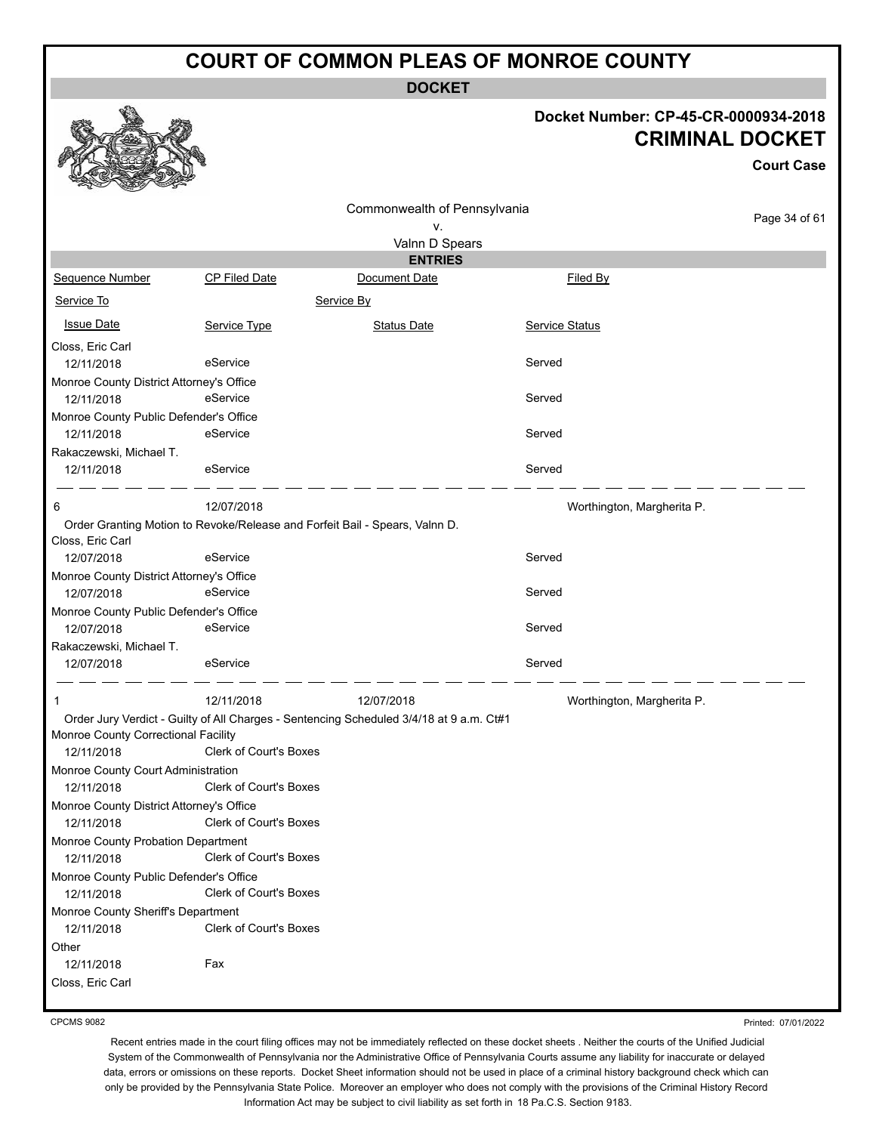**DOCKET**

#### **Docket Number: CP-45-CR-0000934-2018 CRIMINAL DOCKET**

**Court Case**

|                                                        |                               |                                                                                         |                            | <b>Court Case</b> |
|--------------------------------------------------------|-------------------------------|-----------------------------------------------------------------------------------------|----------------------------|-------------------|
|                                                        |                               | Commonwealth of Pennsylvania                                                            |                            |                   |
|                                                        |                               | ۷.                                                                                      |                            | Page 34 of 61     |
|                                                        |                               | Valnn D Spears                                                                          |                            |                   |
|                                                        |                               | <b>ENTRIES</b>                                                                          |                            |                   |
| Sequence Number                                        | <b>CP Filed Date</b>          | Document Date                                                                           | Filed By                   |                   |
| Service To                                             |                               | Service By                                                                              |                            |                   |
| <b>Issue Date</b>                                      | Service Type                  | <b>Status Date</b>                                                                      | Service Status             |                   |
| Closs, Eric Carl                                       |                               |                                                                                         |                            |                   |
| 12/11/2018                                             | eService                      |                                                                                         | Served                     |                   |
| Monroe County District Attorney's Office               |                               |                                                                                         |                            |                   |
| 12/11/2018                                             | eService                      |                                                                                         | Served                     |                   |
| Monroe County Public Defender's Office                 |                               |                                                                                         |                            |                   |
| 12/11/2018                                             | eService                      |                                                                                         | Served                     |                   |
| Rakaczewski, Michael T.                                |                               |                                                                                         |                            |                   |
| 12/11/2018                                             | eService                      |                                                                                         | Served                     |                   |
| 6                                                      | 12/07/2018                    |                                                                                         | Worthington, Margherita P. |                   |
| Closs, Eric Carl                                       |                               | Order Granting Motion to Revoke/Release and Forfeit Bail - Spears, Valnn D.             |                            |                   |
| 12/07/2018                                             | eService                      |                                                                                         | Served                     |                   |
| Monroe County District Attorney's Office               |                               |                                                                                         |                            |                   |
| 12/07/2018                                             | eService                      |                                                                                         | Served                     |                   |
| Monroe County Public Defender's Office                 |                               |                                                                                         |                            |                   |
| 12/07/2018                                             | eService                      |                                                                                         | Served                     |                   |
| Rakaczewski, Michael T.<br>12/07/2018                  | eService                      |                                                                                         | Served                     |                   |
|                                                        | 12/11/2018                    | 12/07/2018                                                                              | Worthington, Margherita P. |                   |
|                                                        |                               | Order Jury Verdict - Guilty of All Charges - Sentencing Scheduled 3/4/18 at 9 a.m. Ct#1 |                            |                   |
| Monroe County Correctional Facility                    |                               |                                                                                         |                            |                   |
| 12/11/2018                                             | Clerk of Court's Boxes        |                                                                                         |                            |                   |
| Monroe County Court Administration                     |                               |                                                                                         |                            |                   |
| 12/11/2018                                             | Clerk of Court's Boxes        |                                                                                         |                            |                   |
| Monroe County District Attorney's Office<br>12/11/2018 | Clerk of Court's Boxes        |                                                                                         |                            |                   |
| Monroe County Probation Department<br>12/11/2018       | <b>Clerk of Court's Boxes</b> |                                                                                         |                            |                   |
| Monroe County Public Defender's Office<br>12/11/2018   | <b>Clerk of Court's Boxes</b> |                                                                                         |                            |                   |
| Monroe County Sheriff's Department<br>12/11/2018       | Clerk of Court's Boxes        |                                                                                         |                            |                   |
| Other                                                  |                               |                                                                                         |                            |                   |
| 12/11/2018                                             | Fax                           |                                                                                         |                            |                   |
| Closs, Eric Carl                                       |                               |                                                                                         |                            |                   |

CPCMS 9082

Printed: 07/01/2022

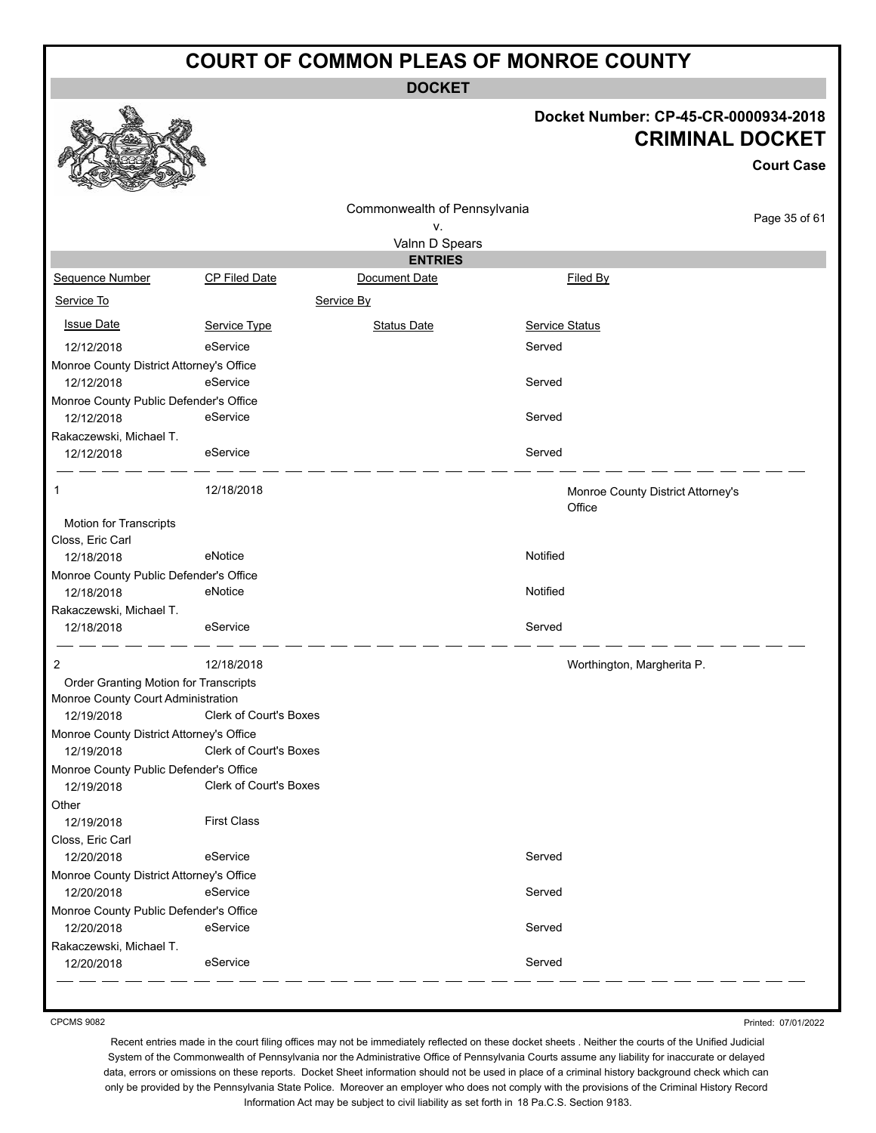**DOCKET**

#### **Docket Number: CP-45-CR-0000934-2018 CRIMINAL DOCKET**

**Court Case**

|                                          |                        | Commonwealth of Pennsylvania |                                             |               |
|------------------------------------------|------------------------|------------------------------|---------------------------------------------|---------------|
|                                          |                        | ٧.                           |                                             | Page 35 of 61 |
|                                          |                        | Valnn D Spears               |                                             |               |
|                                          |                        | <b>ENTRIES</b>               |                                             |               |
| Sequence Number                          | <b>CP Filed Date</b>   | Document Date                | Filed By                                    |               |
| Service To                               |                        | Service By                   |                                             |               |
| <b>Issue Date</b>                        | Service Type           | <b>Status Date</b>           | <b>Service Status</b>                       |               |
| 12/12/2018                               | eService               |                              | Served                                      |               |
| Monroe County District Attorney's Office |                        |                              |                                             |               |
| 12/12/2018                               | eService               |                              | Served                                      |               |
| Monroe County Public Defender's Office   |                        |                              |                                             |               |
| 12/12/2018                               | eService               |                              | Served                                      |               |
| Rakaczewski, Michael T.                  |                        |                              |                                             |               |
| 12/12/2018                               | eService               |                              | Served                                      |               |
| 1                                        | 12/18/2018             |                              | Monroe County District Attorney's<br>Office |               |
| Motion for Transcripts                   |                        |                              |                                             |               |
| Closs, Eric Carl                         |                        |                              |                                             |               |
| 12/18/2018                               | eNotice                |                              | Notified                                    |               |
| Monroe County Public Defender's Office   |                        |                              |                                             |               |
| 12/18/2018                               | eNotice                |                              | Notified                                    |               |
| Rakaczewski, Michael T.                  |                        |                              |                                             |               |
| 12/18/2018                               | eService               |                              | Served                                      |               |
| 2                                        | 12/18/2018             |                              | Worthington, Margherita P.                  |               |
| Order Granting Motion for Transcripts    |                        |                              |                                             |               |
| Monroe County Court Administration       |                        |                              |                                             |               |
| 12/19/2018                               | Clerk of Court's Boxes |                              |                                             |               |
| Monroe County District Attorney's Office |                        |                              |                                             |               |
| 12/19/2018                               | Clerk of Court's Boxes |                              |                                             |               |
| Monroe County Public Defender's Office   |                        |                              |                                             |               |
| 12/19/2018                               | Clerk of Court's Boxes |                              |                                             |               |
| Other                                    |                        |                              |                                             |               |
| 12/19/2018                               | <b>First Class</b>     |                              |                                             |               |
| Closs, Eric Carl                         |                        |                              |                                             |               |
| 12/20/2018                               | eService               |                              | Served                                      |               |
| Monroe County District Attorney's Office |                        |                              |                                             |               |
| 12/20/2018                               | eService               |                              | Served                                      |               |
| Monroe County Public Defender's Office   |                        |                              |                                             |               |
| 12/20/2018                               | eService               |                              | Served                                      |               |
| Rakaczewski, Michael T.                  |                        |                              |                                             |               |
| 12/20/2018                               | eService               |                              | Served                                      |               |
|                                          |                        |                              |                                             |               |

CPCMS 9082

Printed: 07/01/2022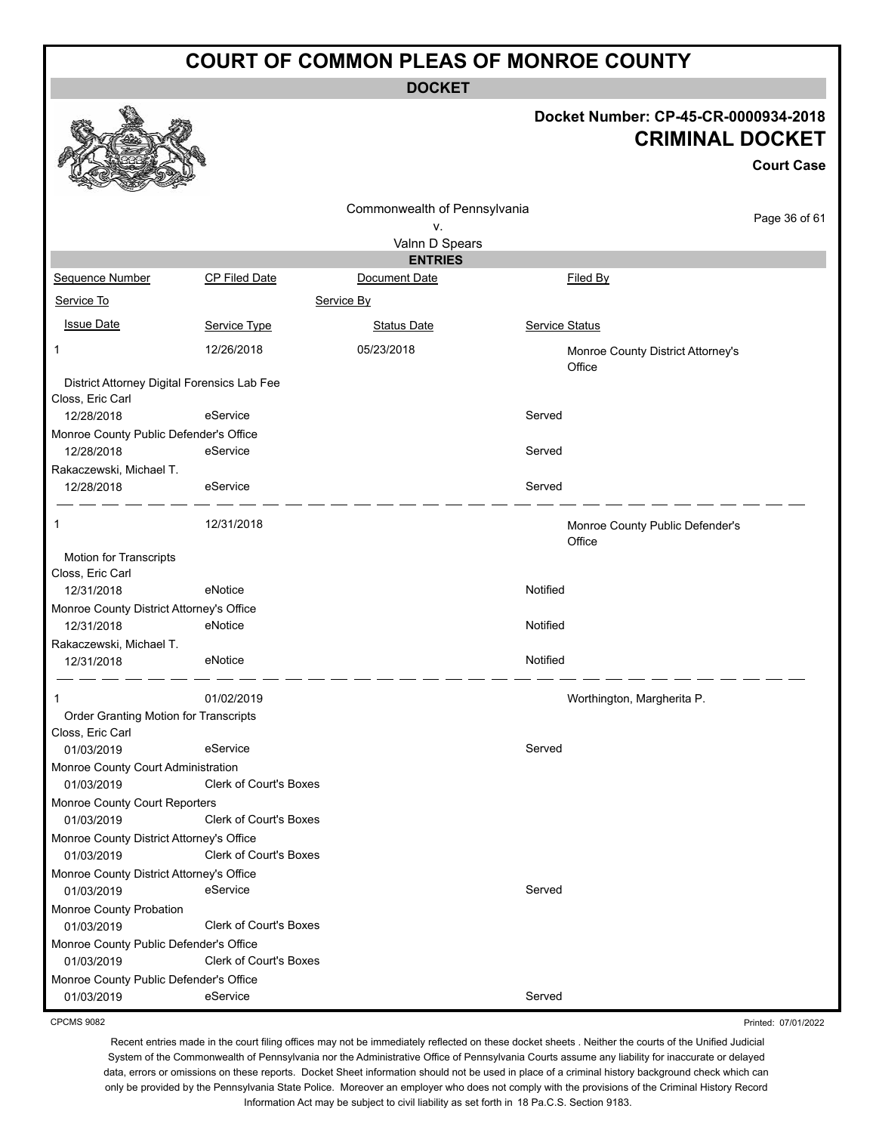**DOCKET**

#### **Docket Number: CP-45-CR-0000934-2018 CRIMINAL DOCKET**

**Court Case**

Printed: 07/01/2022

|                                                      |                               | Commonwealth of Pennsylvania |                                             |               |
|------------------------------------------------------|-------------------------------|------------------------------|---------------------------------------------|---------------|
|                                                      |                               | ν.                           |                                             | Page 36 of 61 |
|                                                      |                               | Valnn D Spears               |                                             |               |
|                                                      |                               | <b>ENTRIES</b>               |                                             |               |
| Sequence Number                                      | CP Filed Date                 | Document Date                | Filed By                                    |               |
| Service To                                           |                               | Service By                   |                                             |               |
| <b>Issue Date</b>                                    | Service Type                  | <b>Status Date</b>           | Service Status                              |               |
| 1                                                    | 12/26/2018                    | 05/23/2018                   | Monroe County District Attorney's<br>Office |               |
| District Attorney Digital Forensics Lab Fee          |                               |                              |                                             |               |
| Closs, Eric Carl                                     |                               |                              |                                             |               |
| 12/28/2018                                           | eService                      |                              | Served                                      |               |
| Monroe County Public Defender's Office<br>12/28/2018 | eService                      |                              | Served                                      |               |
| Rakaczewski, Michael T.                              |                               |                              |                                             |               |
| 12/28/2018                                           | eService                      |                              | Served                                      |               |
| 1                                                    | 12/31/2018                    |                              | Monroe County Public Defender's<br>Office   |               |
| Motion for Transcripts                               |                               |                              |                                             |               |
| Closs, Eric Carl<br>12/31/2018                       | eNotice                       |                              | Notified                                    |               |
| Monroe County District Attorney's Office             |                               |                              |                                             |               |
| 12/31/2018                                           | eNotice                       |                              | Notified                                    |               |
| Rakaczewski, Michael T.                              |                               |                              |                                             |               |
| 12/31/2018                                           | eNotice                       |                              | Notified                                    |               |
|                                                      | 01/02/2019                    |                              | Worthington, Margherita P.                  |               |
| Order Granting Motion for Transcripts                |                               |                              |                                             |               |
| Closs, Eric Carl                                     | eService                      |                              | Served                                      |               |
| 01/03/2019<br>Monroe County Court Administration     |                               |                              |                                             |               |
| 01/03/2019                                           | <b>Clerk of Court's Boxes</b> |                              |                                             |               |
| Monroe County Court Reporters                        |                               |                              |                                             |               |
| 01/03/2019                                           | Clerk of Court's Boxes        |                              |                                             |               |
| Monroe County District Attorney's Office             |                               |                              |                                             |               |
| 01/03/2019                                           | Clerk of Court's Boxes        |                              |                                             |               |
| Monroe County District Attorney's Office             |                               |                              |                                             |               |
| 01/03/2019                                           | eService                      |                              | Served                                      |               |
| Monroe County Probation                              |                               |                              |                                             |               |
| 01/03/2019                                           | <b>Clerk of Court's Boxes</b> |                              |                                             |               |
| Monroe County Public Defender's Office               |                               |                              |                                             |               |
| 01/03/2019                                           | Clerk of Court's Boxes        |                              |                                             |               |
| Monroe County Public Defender's Office               |                               |                              |                                             |               |
| 01/03/2019                                           | eService                      |                              | Served                                      |               |

CPCMS 9082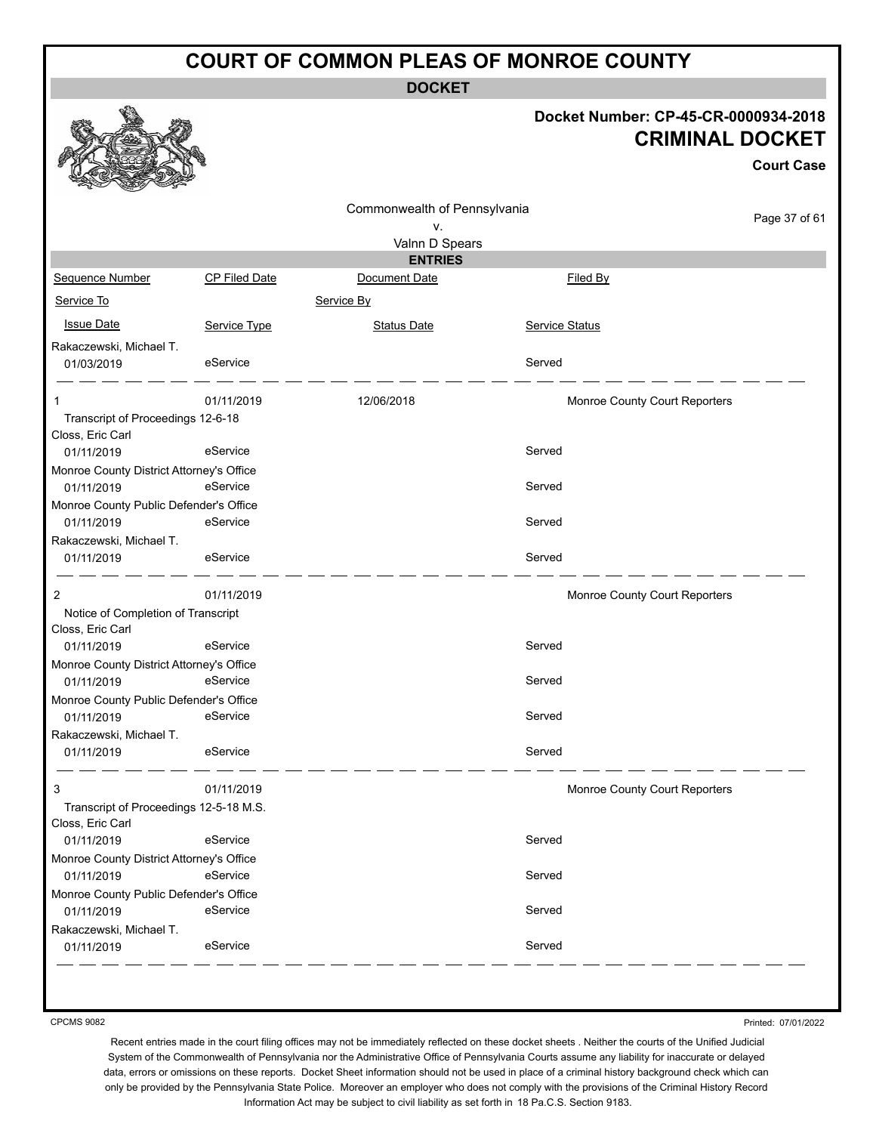**DOCKET**

#### **Docket Number: CP-45-CR-0000934-2018 CRIMINAL DOCKET**

|                                                        |                      |                                  |                               | <b>Court Case</b> |
|--------------------------------------------------------|----------------------|----------------------------------|-------------------------------|-------------------|
|                                                        |                      | Commonwealth of Pennsylvania     |                               |                   |
|                                                        |                      | ۷.                               |                               | Page 37 of 61     |
|                                                        |                      | Valnn D Spears<br><b>ENTRIES</b> |                               |                   |
| Sequence Number                                        | <b>CP Filed Date</b> | Document Date                    | Filed By                      |                   |
| Service To                                             |                      | Service By                       |                               |                   |
| <b>Issue Date</b>                                      | Service Type         | <b>Status Date</b>               | Service Status                |                   |
| Rakaczewski, Michael T.                                |                      |                                  |                               |                   |
| 01/03/2019                                             | eService             |                                  | Served                        |                   |
|                                                        | 01/11/2019           | 12/06/2018                       | Monroe County Court Reporters |                   |
| Transcript of Proceedings 12-6-18<br>Closs, Eric Carl  |                      |                                  |                               |                   |
| 01/11/2019                                             | eService             |                                  | Served                        |                   |
| Monroe County District Attorney's Office               |                      |                                  |                               |                   |
| 01/11/2019                                             | eService             |                                  | Served                        |                   |
| Monroe County Public Defender's Office                 |                      |                                  |                               |                   |
| 01/11/2019                                             | eService             |                                  | Served                        |                   |
| Rakaczewski, Michael T.                                |                      |                                  |                               |                   |
| 01/11/2019                                             | eService             |                                  | Served                        |                   |
| 2                                                      | 01/11/2019           |                                  | Monroe County Court Reporters |                   |
| Notice of Completion of Transcript<br>Closs, Eric Carl |                      |                                  |                               |                   |
| 01/11/2019                                             | eService             |                                  | Served                        |                   |
| Monroe County District Attorney's Office               |                      |                                  |                               |                   |
| 01/11/2019                                             | eService             |                                  | Served                        |                   |
| Monroe County Public Defender's Office                 |                      |                                  |                               |                   |
| 01/11/2019                                             | eService             |                                  | Served                        |                   |
| Rakaczewski, Michael T.                                |                      |                                  |                               |                   |
| 01/11/2019                                             | eService             |                                  | Served                        |                   |
|                                                        | 01/11/2019           |                                  | Monroe County Court Reporters |                   |
| Transcript of Proceedings 12-5-18 M.S.                 |                      |                                  |                               |                   |
| Closs, Eric Carl                                       |                      |                                  |                               |                   |
| 01/11/2019                                             | eService             |                                  | Served                        |                   |
| Monroe County District Attorney's Office               |                      |                                  |                               |                   |
| 01/11/2019                                             | eService             |                                  | Served                        |                   |
| Monroe County Public Defender's Office                 |                      |                                  |                               |                   |
| 01/11/2019                                             | eService             |                                  | Served                        |                   |
| Rakaczewski, Michael T.                                | eService             |                                  | Served                        |                   |
| 01/11/2019                                             |                      |                                  |                               |                   |

CPCMS 9082

Printed: 07/01/2022

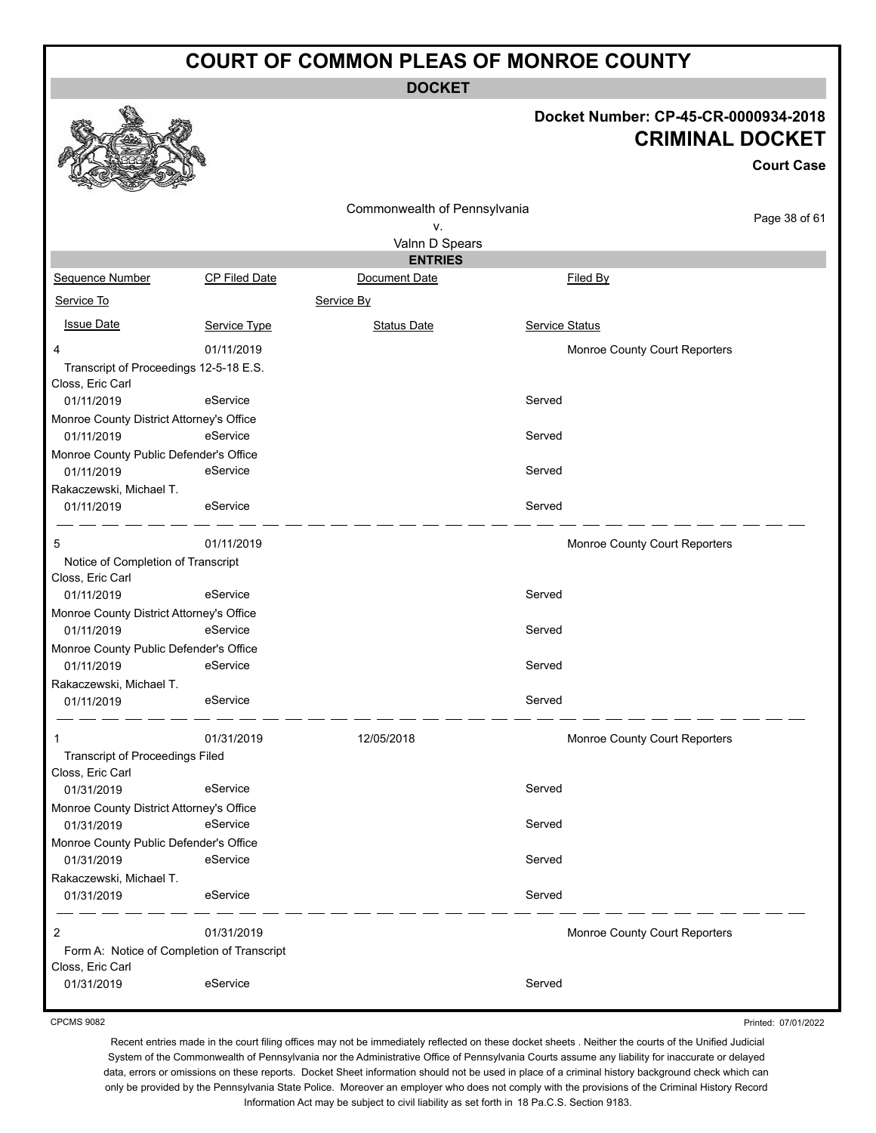**DOCKET**

#### **Docket Number: CP-45-CR-0000934-2018 CRIMINAL DOCKET**

|                                                                 |                      |                                    |                               | <b>Court Case</b> |
|-----------------------------------------------------------------|----------------------|------------------------------------|-------------------------------|-------------------|
|                                                                 |                      | Commonwealth of Pennsylvania<br>v. |                               | Page 38 of 61     |
|                                                                 |                      | Valnn D Spears                     |                               |                   |
|                                                                 |                      | <b>ENTRIES</b>                     |                               |                   |
| Sequence Number                                                 | <b>CP Filed Date</b> | Document Date                      | Filed By                      |                   |
| Service To                                                      |                      | Service By                         |                               |                   |
| <b>Issue Date</b>                                               | Service Type         | <b>Status Date</b>                 | <b>Service Status</b>         |                   |
| 4<br>Transcript of Proceedings 12-5-18 E.S.<br>Closs, Eric Carl | 01/11/2019           |                                    | Monroe County Court Reporters |                   |
| 01/11/2019                                                      | eService             |                                    | Served                        |                   |
| Monroe County District Attorney's Office<br>01/11/2019          | eService             |                                    | Served                        |                   |
| Monroe County Public Defender's Office<br>01/11/2019            | eService             |                                    | Served                        |                   |
| Rakaczewski, Michael T.<br>01/11/2019                           | eService             |                                    | Served                        |                   |
| 5                                                               | 01/11/2019           |                                    | Monroe County Court Reporters |                   |
| Notice of Completion of Transcript<br>Closs, Eric Carl          |                      |                                    |                               |                   |
| 01/11/2019                                                      | eService             |                                    | Served                        |                   |
| Monroe County District Attorney's Office                        |                      |                                    |                               |                   |
| 01/11/2019                                                      | eService             |                                    | Served                        |                   |
| Monroe County Public Defender's Office                          |                      |                                    |                               |                   |
| 01/11/2019                                                      | eService             |                                    | Served                        |                   |
| Rakaczewski, Michael T.                                         |                      |                                    |                               |                   |
| 01/11/2019                                                      | eService             |                                    | Served                        |                   |
| 1                                                               | 01/31/2019           | 12/05/2018                         | Monroe County Court Reporters |                   |
| <b>Transcript of Proceedings Filed</b><br>Closs, Eric Carl      |                      |                                    |                               |                   |
| 01/31/2019                                                      | eService             |                                    | Served                        |                   |
| Monroe County District Attorney's Office                        |                      |                                    |                               |                   |
| 01/31/2019                                                      | eService             |                                    | Served                        |                   |
| Monroe County Public Defender's Office                          |                      |                                    |                               |                   |
| 01/31/2019                                                      | eService             |                                    | Served                        |                   |
| Rakaczewski, Michael T.                                         |                      |                                    |                               |                   |
| 01/31/2019                                                      | eService             |                                    | Served                        |                   |
| 2<br>Form A: Notice of Completion of Transcript                 | 01/31/2019           |                                    | Monroe County Court Reporters |                   |
| Closs, Eric Carl                                                |                      |                                    |                               |                   |
| 01/31/2019                                                      | eService             |                                    | Served                        |                   |

CPCMS 9082

Printed: 07/01/2022

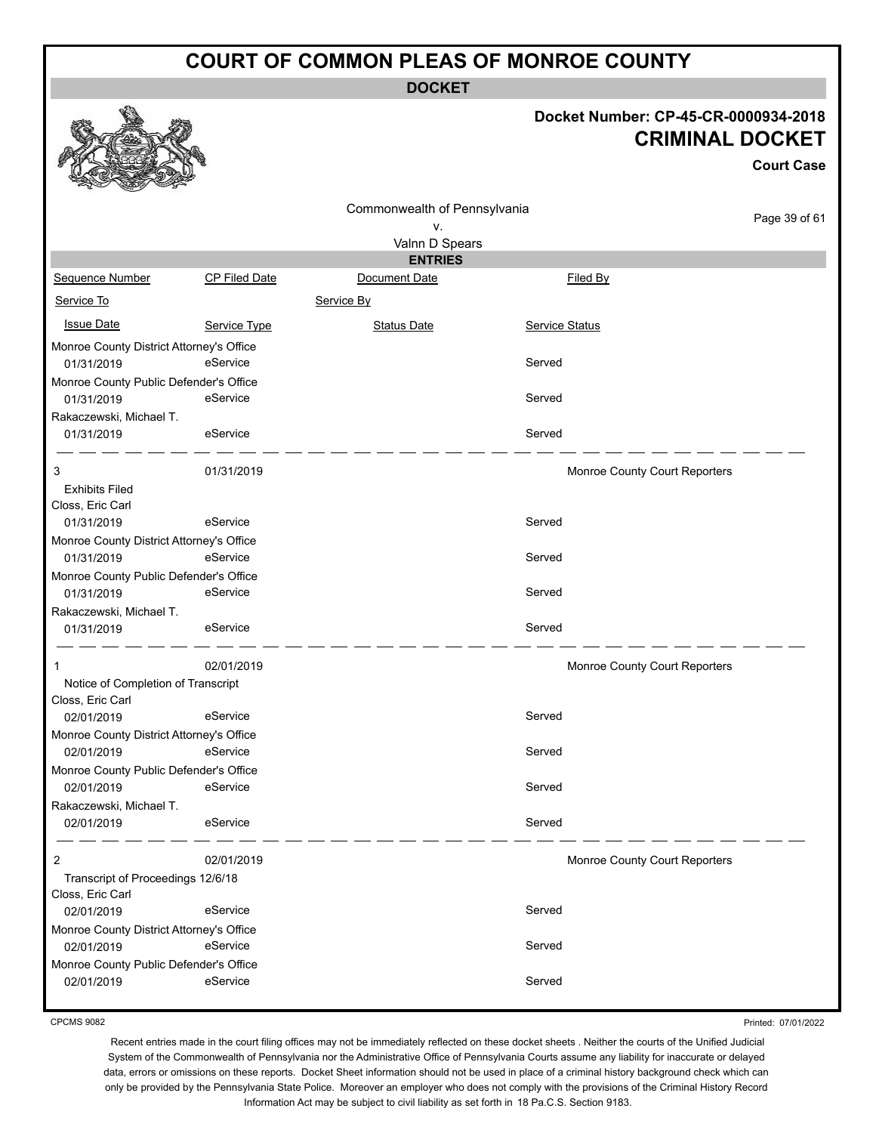**DOCKET**

#### **Docket Number: CP-45-CR-0000934-2018 CRIMINAL DOCKET**

|                                          |                      |                              |                               | <b>Court Case</b> |
|------------------------------------------|----------------------|------------------------------|-------------------------------|-------------------|
|                                          |                      | Commonwealth of Pennsylvania |                               |                   |
|                                          |                      | ۷.                           |                               | Page 39 of 61     |
|                                          |                      | Valnn D Spears               |                               |                   |
|                                          |                      | <b>ENTRIES</b>               |                               |                   |
| <b>Sequence Number</b>                   | <b>CP Filed Date</b> | Document Date                | Filed By                      |                   |
| Service To                               |                      | Service By                   |                               |                   |
| <b>Issue Date</b>                        | Service Type         | <b>Status Date</b>           | Service Status                |                   |
| Monroe County District Attorney's Office |                      |                              |                               |                   |
| 01/31/2019                               | eService             |                              | Served                        |                   |
| Monroe County Public Defender's Office   |                      |                              |                               |                   |
| 01/31/2019                               | eService             |                              | Served                        |                   |
| Rakaczewski, Michael T.                  |                      |                              |                               |                   |
| 01/31/2019                               | eService             |                              | Served                        |                   |
| 3                                        | 01/31/2019           |                              | Monroe County Court Reporters |                   |
| <b>Exhibits Filed</b>                    |                      |                              |                               |                   |
| Closs, Eric Carl                         |                      |                              |                               |                   |
| 01/31/2019                               | eService             |                              | Served                        |                   |
| Monroe County District Attorney's Office |                      |                              |                               |                   |
| 01/31/2019                               | eService             |                              | Served                        |                   |
| Monroe County Public Defender's Office   |                      |                              |                               |                   |
| 01/31/2019                               | eService             |                              | Served                        |                   |
| Rakaczewski, Michael T.                  |                      |                              |                               |                   |
| 01/31/2019                               | eService             |                              | Served                        |                   |
| 1                                        | 02/01/2019           |                              | Monroe County Court Reporters |                   |
| Notice of Completion of Transcript       |                      |                              |                               |                   |
| Closs, Eric Carl                         |                      |                              |                               |                   |
| 02/01/2019                               | eService             |                              | Served                        |                   |
| Monroe County District Attorney's Office |                      |                              |                               |                   |
| 02/01/2019                               | eService             |                              | Served                        |                   |
| Monroe County Public Defender's Office   |                      |                              |                               |                   |
| 02/01/2019                               | eService             |                              | Served                        |                   |
| Rakaczewski, Michael T.                  |                      |                              |                               |                   |
| 02/01/2019                               | eService             |                              | Served                        |                   |
| 2                                        | 02/01/2019           |                              | Monroe County Court Reporters |                   |
| Transcript of Proceedings 12/6/18        |                      |                              |                               |                   |
| Closs, Eric Carl                         |                      |                              |                               |                   |
| 02/01/2019                               | eService             |                              | Served                        |                   |
| Monroe County District Attorney's Office |                      |                              |                               |                   |
| 02/01/2019                               | eService             |                              | Served                        |                   |
| Monroe County Public Defender's Office   |                      |                              |                               |                   |
| 02/01/2019                               | eService             |                              | Served                        |                   |

CPCMS 9082

**B.A** 

Printed: 07/01/2022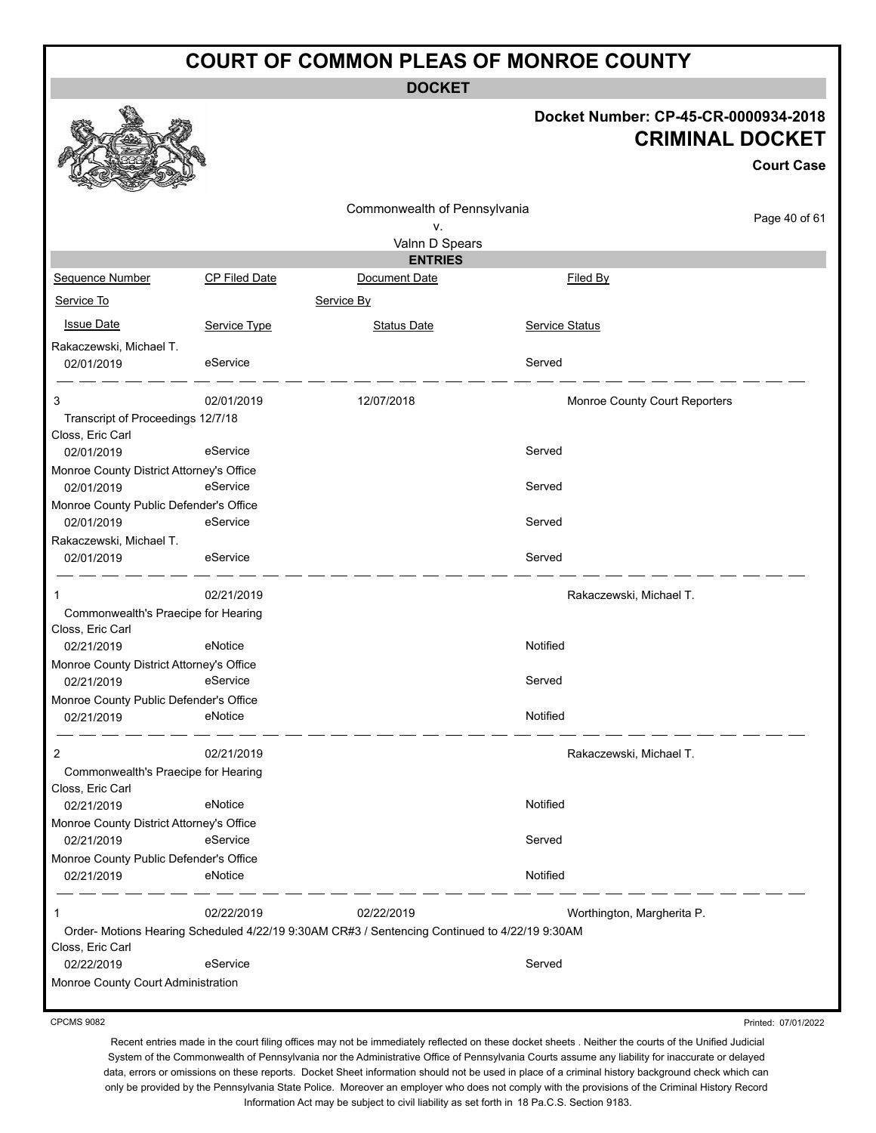**DOCKET**

#### **Docket Number: CP-45-CR-0000934-2018 CRIMINAL DOCKET**

|                                          |                      |                                                                                              |                               | <b>Court Case</b> |
|------------------------------------------|----------------------|----------------------------------------------------------------------------------------------|-------------------------------|-------------------|
|                                          |                      | Commonwealth of Pennsylvania<br>٧.                                                           |                               | Page 40 of 61     |
|                                          |                      | Valnn D Spears                                                                               |                               |                   |
|                                          |                      | <b>ENTRIES</b>                                                                               |                               |                   |
| Sequence Number                          | <b>CP Filed Date</b> | Document Date                                                                                | Filed By                      |                   |
| Service To                               |                      | Service By                                                                                   |                               |                   |
| <b>Issue Date</b>                        | Service Type         | <b>Status Date</b>                                                                           | Service Status                |                   |
| Rakaczewski, Michael T.                  |                      |                                                                                              |                               |                   |
| 02/01/2019                               | eService             |                                                                                              | Served                        |                   |
| 3                                        | 02/01/2019           | 12/07/2018                                                                                   | Monroe County Court Reporters |                   |
| Transcript of Proceedings 12/7/18        |                      |                                                                                              |                               |                   |
| Closs, Eric Carl                         |                      |                                                                                              |                               |                   |
| 02/01/2019                               | eService             |                                                                                              | Served                        |                   |
| Monroe County District Attorney's Office |                      |                                                                                              |                               |                   |
| 02/01/2019                               | eService             |                                                                                              | Served                        |                   |
| Monroe County Public Defender's Office   |                      |                                                                                              |                               |                   |
| 02/01/2019                               | eService             |                                                                                              | Served                        |                   |
| Rakaczewski, Michael T.                  |                      |                                                                                              |                               |                   |
| 02/01/2019                               | eService             |                                                                                              | Served                        |                   |
| 1                                        | 02/21/2019           |                                                                                              | Rakaczewski, Michael T.       |                   |
| Commonwealth's Praecipe for Hearing      |                      |                                                                                              |                               |                   |
| Closs, Eric Carl                         |                      |                                                                                              |                               |                   |
| 02/21/2019                               | eNotice              |                                                                                              | Notified                      |                   |
| Monroe County District Attorney's Office |                      |                                                                                              |                               |                   |
| 02/21/2019                               | eService             |                                                                                              | Served                        |                   |
| Monroe County Public Defender's Office   |                      |                                                                                              |                               |                   |
| 02/21/2019                               | eNotice              |                                                                                              | Notified                      |                   |
| 2                                        | 02/21/2019           |                                                                                              | Rakaczewski, Michael T.       |                   |
| Commonwealth's Praecipe for Hearing      |                      |                                                                                              |                               |                   |
| Closs, Eric Carl                         |                      |                                                                                              |                               |                   |
| 02/21/2019                               | eNotice              |                                                                                              | Notified                      |                   |
| Monroe County District Attorney's Office |                      |                                                                                              |                               |                   |
| 02/21/2019                               | eService             |                                                                                              | Served                        |                   |
| Monroe County Public Defender's Office   |                      |                                                                                              |                               |                   |
| 02/21/2019                               | eNotice              |                                                                                              | Notified                      |                   |
| 1                                        | 02/22/2019           | 02/22/2019                                                                                   | Worthington, Margherita P.    |                   |
| Closs, Eric Carl                         |                      | Order-Motions Hearing Scheduled 4/22/19 9:30AM CR#3 / Sentencing Continued to 4/22/19 9:30AM |                               |                   |
| 02/22/2019                               | eService             |                                                                                              | Served                        |                   |
| Monroe County Court Administration       |                      |                                                                                              |                               |                   |
|                                          |                      |                                                                                              |                               |                   |

CPCMS 9082

Printed: 07/01/2022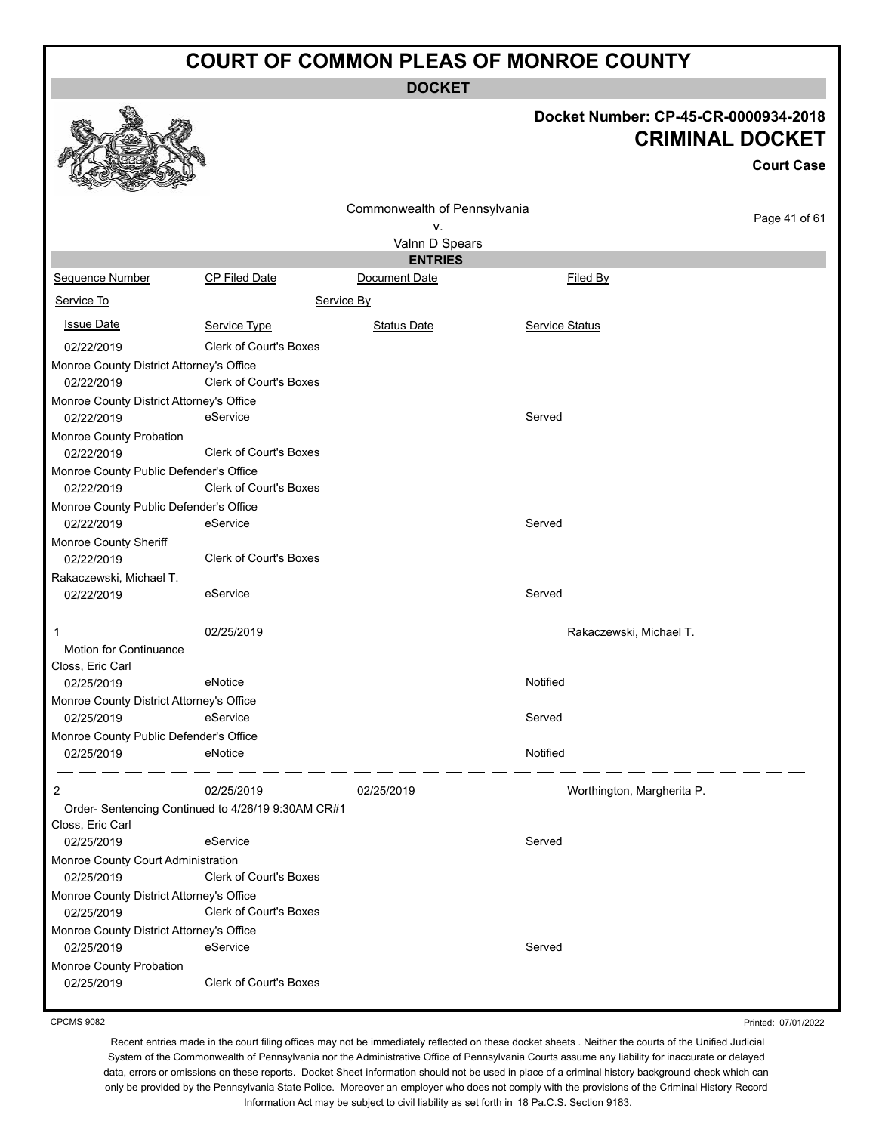**DOCKET**

# **Docket Number: CP-45-CR-0000934-2018**

|                                                        |                                                    |                              | Docket Number: CP-45-CR-0000934-2018 | <b>CRIMINAL DOCKET</b> |
|--------------------------------------------------------|----------------------------------------------------|------------------------------|--------------------------------------|------------------------|
|                                                        |                                                    |                              |                                      | <b>Court Case</b>      |
|                                                        |                                                    | Commonwealth of Pennsylvania |                                      |                        |
|                                                        |                                                    | ٧.                           |                                      | Page 41 of 61          |
|                                                        |                                                    | Valnn D Spears               |                                      |                        |
|                                                        |                                                    | <b>ENTRIES</b>               |                                      |                        |
| Sequence Number                                        | <b>CP Filed Date</b>                               | Document Date                | <b>Filed By</b>                      |                        |
| Service To                                             |                                                    | Service By                   |                                      |                        |
| <b>Issue Date</b>                                      | Service Type                                       | <b>Status Date</b>           | <b>Service Status</b>                |                        |
| 02/22/2019                                             | <b>Clerk of Court's Boxes</b>                      |                              |                                      |                        |
| Monroe County District Attorney's Office               |                                                    |                              |                                      |                        |
| 02/22/2019                                             | Clerk of Court's Boxes                             |                              |                                      |                        |
| Monroe County District Attorney's Office<br>02/22/2019 | eService                                           |                              | Served                               |                        |
| Monroe County Probation<br>02/22/2019                  | Clerk of Court's Boxes                             |                              |                                      |                        |
| Monroe County Public Defender's Office<br>02/22/2019   | <b>Clerk of Court's Boxes</b>                      |                              |                                      |                        |
| Monroe County Public Defender's Office                 |                                                    |                              |                                      |                        |
| 02/22/2019                                             | eService                                           |                              | Served                               |                        |
| Monroe County Sheriff                                  |                                                    |                              |                                      |                        |
| 02/22/2019                                             | <b>Clerk of Court's Boxes</b>                      |                              |                                      |                        |
| Rakaczewski, Michael T.                                |                                                    |                              |                                      |                        |
| 02/22/2019                                             | eService                                           |                              | Served                               |                        |
| 1                                                      | 02/25/2019                                         |                              | Rakaczewski, Michael T.              |                        |
| Motion for Continuance<br>Closs, Eric Carl             |                                                    |                              |                                      |                        |
| 02/25/2019                                             | eNotice                                            |                              | Notified                             |                        |
| Monroe County District Attorney's Office               |                                                    |                              |                                      |                        |
| 02/25/2019                                             | eService                                           |                              | Served                               |                        |
| Monroe County Public Defender's Office                 |                                                    |                              |                                      |                        |
| 02/25/2019                                             | eNotice                                            |                              | Notified                             |                        |
| 2                                                      | 02/25/2019                                         | 02/25/2019                   | Worthington, Margherita P.           |                        |
|                                                        | Order- Sentencing Continued to 4/26/19 9:30AM CR#1 |                              |                                      |                        |
| Closs, Eric Carl<br>02/25/2019                         | eService                                           |                              | Served                               |                        |
| Monroe County Court Administration                     |                                                    |                              |                                      |                        |
| 02/25/2019                                             | <b>Clerk of Court's Boxes</b>                      |                              |                                      |                        |
| Monroe County District Attorney's Office               |                                                    |                              |                                      |                        |
| 02/25/2019                                             | <b>Clerk of Court's Boxes</b>                      |                              |                                      |                        |
| Monroe County District Attorney's Office               |                                                    |                              |                                      |                        |
| 02/25/2019                                             | eService                                           |                              | Served                               |                        |
| Monroe County Probation<br>02/25/2019                  | Clerk of Court's Boxes                             |                              |                                      |                        |

CPCMS 9082

Printed: 07/01/2022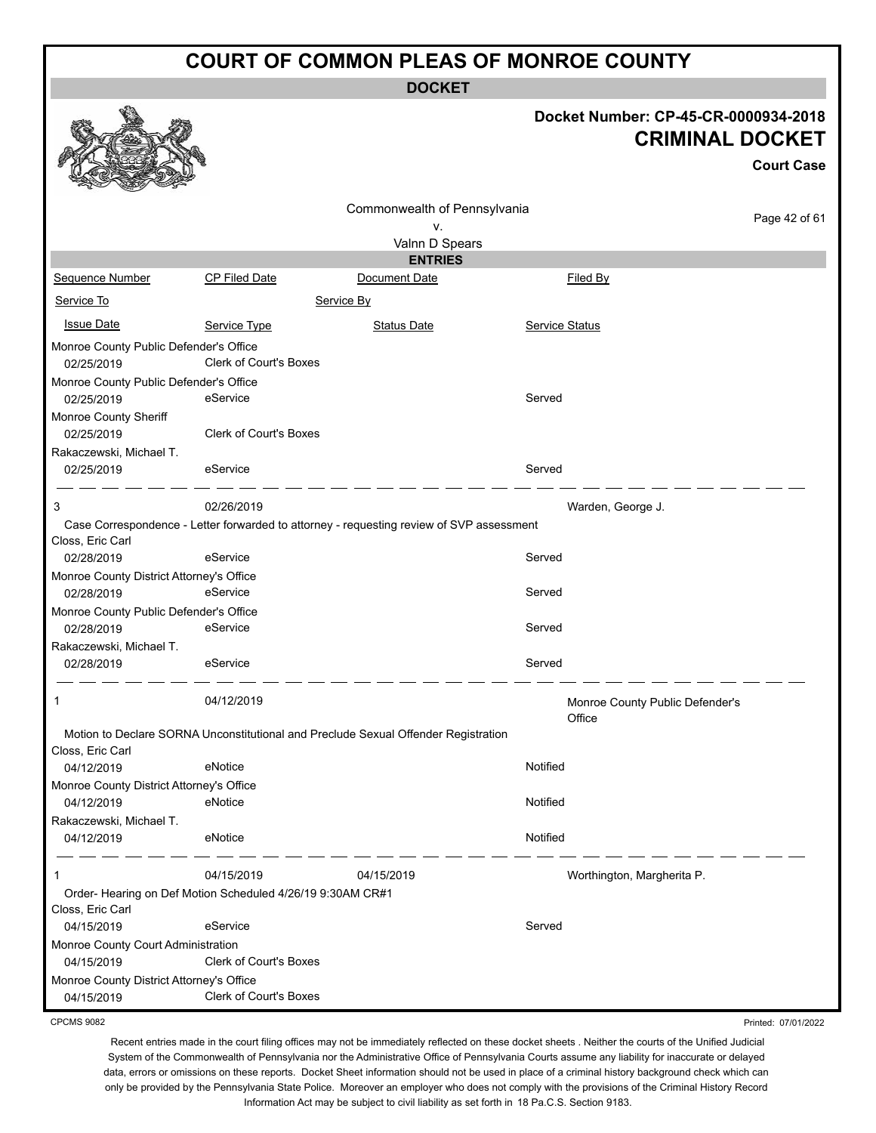**DOCKET**

#### **Docket Number: CP-45-CR-0000934-2018 CRIMINAL DOCKET**

Printed: 07/01/2022

|                                                        |                                                                                          |                              |                       |                                 | <b>Court Case</b> |
|--------------------------------------------------------|------------------------------------------------------------------------------------------|------------------------------|-----------------------|---------------------------------|-------------------|
|                                                        |                                                                                          | Commonwealth of Pennsylvania |                       |                                 |                   |
|                                                        |                                                                                          | v.                           |                       |                                 | Page 42 of 61     |
|                                                        |                                                                                          | Valnn D Spears               |                       |                                 |                   |
|                                                        |                                                                                          | <b>ENTRIES</b>               |                       |                                 |                   |
| Sequence Number                                        | <b>CP Filed Date</b>                                                                     | Document Date                |                       | Filed By                        |                   |
| Service To                                             |                                                                                          | Service By                   |                       |                                 |                   |
| <b>Issue Date</b>                                      | Service Type                                                                             | <b>Status Date</b>           | <b>Service Status</b> |                                 |                   |
| Monroe County Public Defender's Office<br>02/25/2019   | Clerk of Court's Boxes                                                                   |                              |                       |                                 |                   |
| Monroe County Public Defender's Office                 |                                                                                          |                              |                       |                                 |                   |
| 02/25/2019                                             | eService                                                                                 |                              | Served                |                                 |                   |
| Monroe County Sheriff<br>02/25/2019                    | <b>Clerk of Court's Boxes</b>                                                            |                              |                       |                                 |                   |
| Rakaczewski, Michael T.                                | eService                                                                                 |                              | Served                |                                 |                   |
| 02/25/2019                                             |                                                                                          |                              |                       |                                 |                   |
| 3                                                      | 02/26/2019                                                                               |                              |                       | Warden, George J.               |                   |
| Closs, Eric Carl                                       | Case Correspondence - Letter forwarded to attorney - requesting review of SVP assessment |                              |                       |                                 |                   |
| 02/28/2019                                             | eService                                                                                 |                              | Served                |                                 |                   |
| Monroe County District Attorney's Office<br>02/28/2019 | eService                                                                                 |                              | Served                |                                 |                   |
| Monroe County Public Defender's Office<br>02/28/2019   | eService                                                                                 |                              | Served                |                                 |                   |
| Rakaczewski, Michael T.                                |                                                                                          |                              |                       |                                 |                   |
| 02/28/2019                                             | eService                                                                                 |                              | Served                |                                 |                   |
| 1                                                      | 04/12/2019                                                                               |                              | Office                | Monroe County Public Defender's |                   |
| Closs, Eric Carl                                       | Motion to Declare SORNA Unconstitutional and Preclude Sexual Offender Registration       |                              |                       |                                 |                   |
| 04/12/2019                                             | eNotice                                                                                  |                              | Notified              |                                 |                   |
| Monroe County District Attorney's Office               |                                                                                          |                              |                       |                                 |                   |
| 04/12/2019                                             | eNotice                                                                                  |                              | Notified              |                                 |                   |
| Rakaczewski, Michael T.<br>04/12/2019                  | eNotice                                                                                  |                              | Notified              |                                 |                   |
|                                                        |                                                                                          |                              |                       |                                 |                   |
| 1                                                      | 04/15/2019                                                                               | 04/15/2019                   |                       | Worthington, Margherita P.      |                   |
| Closs, Eric Carl                                       | Order- Hearing on Def Motion Scheduled 4/26/19 9:30AM CR#1                               |                              |                       |                                 |                   |
| 04/15/2019                                             | eService                                                                                 |                              | Served                |                                 |                   |
| Monroe County Court Administration                     |                                                                                          |                              |                       |                                 |                   |
| 04/15/2019                                             | Clerk of Court's Boxes                                                                   |                              |                       |                                 |                   |
| Monroe County District Attorney's Office<br>04/15/2019 | <b>Clerk of Court's Boxes</b>                                                            |                              |                       |                                 |                   |
|                                                        |                                                                                          |                              |                       |                                 |                   |

CPCMS 9082

**B.A**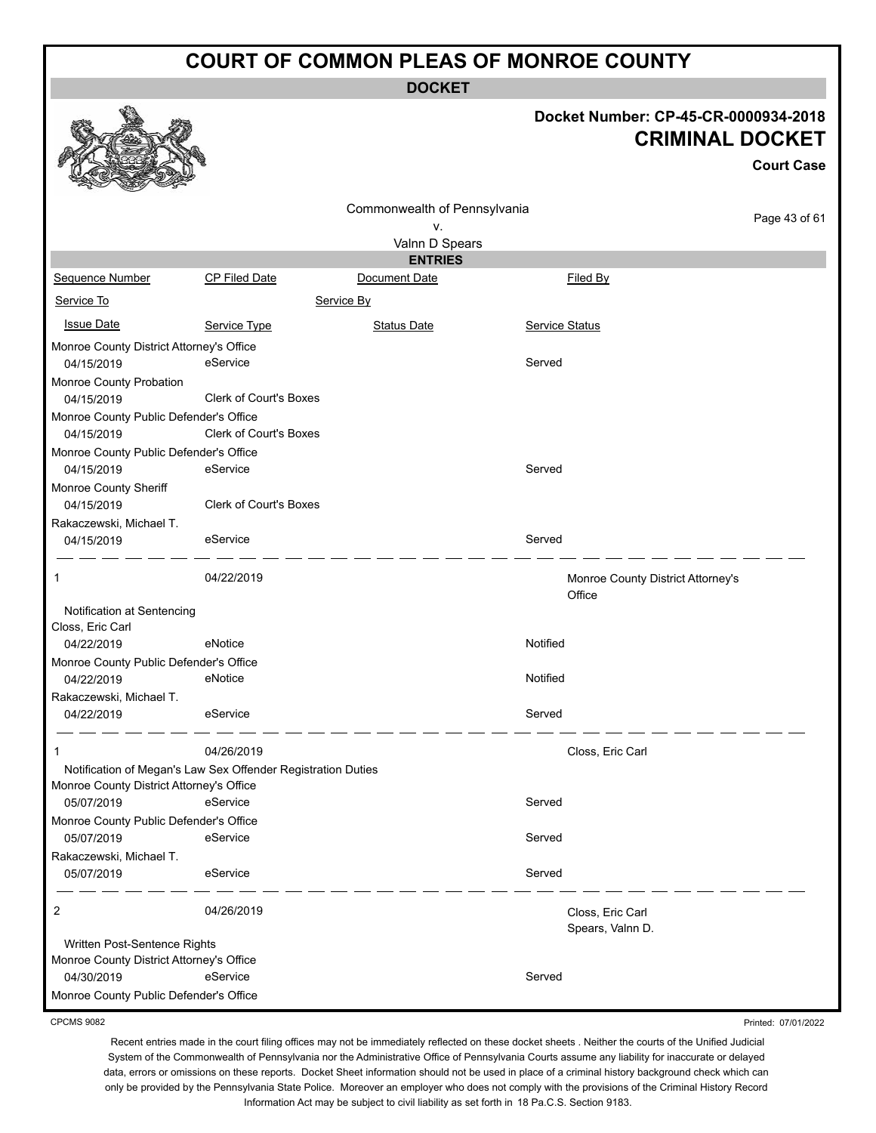**DOCKET**

# **Docket Number: CP-45-CR-0000934-2018**

|                                          |                                                              |                              |                                             | Docket Number: CP-45-CR-0000934-2018<br><b>CRIMINAL DOCKET</b> |
|------------------------------------------|--------------------------------------------------------------|------------------------------|---------------------------------------------|----------------------------------------------------------------|
|                                          |                                                              |                              |                                             | <b>Court Case</b>                                              |
|                                          |                                                              | Commonwealth of Pennsylvania |                                             |                                                                |
|                                          |                                                              | v.                           |                                             | Page 43 of 61                                                  |
|                                          |                                                              | Valnn D Spears               |                                             |                                                                |
|                                          |                                                              | <b>ENTRIES</b>               |                                             |                                                                |
| Sequence Number                          | <b>CP Filed Date</b>                                         | Document Date                | Filed By                                    |                                                                |
| Service To                               |                                                              | Service By                   |                                             |                                                                |
| <b>Issue Date</b>                        | Service Type                                                 | <b>Status Date</b>           | Service Status                              |                                                                |
| Monroe County District Attorney's Office |                                                              |                              |                                             |                                                                |
| 04/15/2019                               | eService                                                     |                              | Served                                      |                                                                |
| Monroe County Probation                  |                                                              |                              |                                             |                                                                |
| 04/15/2019                               | <b>Clerk of Court's Boxes</b>                                |                              |                                             |                                                                |
| Monroe County Public Defender's Office   |                                                              |                              |                                             |                                                                |
| 04/15/2019                               | Clerk of Court's Boxes                                       |                              |                                             |                                                                |
| Monroe County Public Defender's Office   |                                                              |                              |                                             |                                                                |
| 04/15/2019                               | eService                                                     |                              | Served                                      |                                                                |
| Monroe County Sheriff                    |                                                              |                              |                                             |                                                                |
| 04/15/2019                               | <b>Clerk of Court's Boxes</b>                                |                              |                                             |                                                                |
| Rakaczewski, Michael T.                  |                                                              |                              |                                             |                                                                |
| 04/15/2019                               | eService                                                     |                              | Served                                      |                                                                |
| 1                                        | 04/22/2019                                                   |                              | Monroe County District Attorney's<br>Office |                                                                |
| Notification at Sentencing               |                                                              |                              |                                             |                                                                |
| Closs, Eric Carl                         |                                                              |                              |                                             |                                                                |
| 04/22/2019                               | eNotice                                                      |                              | Notified                                    |                                                                |
| Monroe County Public Defender's Office   |                                                              |                              |                                             |                                                                |
| 04/22/2019                               | eNotice                                                      |                              | Notified                                    |                                                                |
| Rakaczewski, Michael T.                  |                                                              |                              |                                             |                                                                |
| 04/22/2019                               | eService                                                     |                              | Served                                      |                                                                |
|                                          | 04/26/2019                                                   |                              | Closs, Eric Carl                            |                                                                |
|                                          | Notification of Megan's Law Sex Offender Registration Duties |                              |                                             |                                                                |
| Monroe County District Attorney's Office |                                                              |                              |                                             |                                                                |
| 05/07/2019                               | eService                                                     |                              | Served                                      |                                                                |
| Monroe County Public Defender's Office   |                                                              |                              |                                             |                                                                |
| 05/07/2019                               | eService                                                     |                              | Served                                      |                                                                |
| Rakaczewski, Michael T.                  |                                                              |                              |                                             |                                                                |
| 05/07/2019                               | eService                                                     |                              | Served                                      |                                                                |
| 2                                        | 04/26/2019                                                   |                              | Closs, Eric Carl                            |                                                                |
|                                          |                                                              |                              | Spears, Valnn D.                            |                                                                |
| Written Post-Sentence Rights             |                                                              |                              |                                             |                                                                |
| Monroe County District Attorney's Office |                                                              |                              |                                             |                                                                |
| 04/30/2019                               | eService                                                     |                              | Served                                      |                                                                |

Monroe County Public Defender's Office CPCMS 9082

 $\mathbf{A}$ 

Printed: 07/01/2022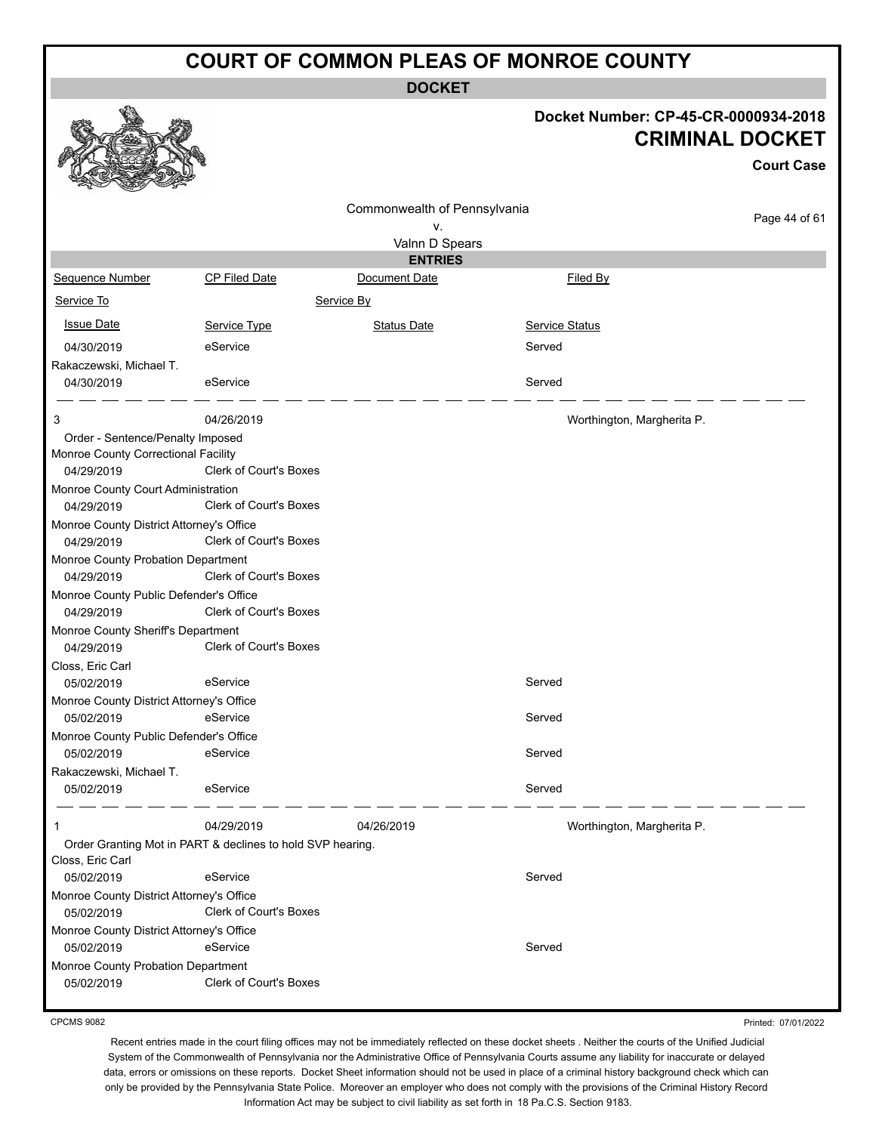**DOCKET**

|                                                                                       |                                                            | <b>DOCKET</b>                |                            |                                                                                     |
|---------------------------------------------------------------------------------------|------------------------------------------------------------|------------------------------|----------------------------|-------------------------------------------------------------------------------------|
|                                                                                       |                                                            |                              |                            | Docket Number: CP-45-CR-0000934-2018<br><b>CRIMINAL DOCKET</b><br><b>Court Case</b> |
|                                                                                       |                                                            | Commonwealth of Pennsylvania |                            |                                                                                     |
|                                                                                       |                                                            | ν.                           |                            | Page 44 of 61                                                                       |
|                                                                                       |                                                            | Valnn D Spears               |                            |                                                                                     |
|                                                                                       |                                                            | <b>ENTRIES</b>               |                            |                                                                                     |
| Sequence Number                                                                       | <b>CP Filed Date</b>                                       | Document Date                | Filed By                   |                                                                                     |
| Service To                                                                            |                                                            | Service By                   |                            |                                                                                     |
| <b>Issue Date</b>                                                                     | Service Type                                               | <b>Status Date</b>           | <b>Service Status</b>      |                                                                                     |
| 04/30/2019                                                                            | eService                                                   |                              | Served                     |                                                                                     |
| Rakaczewski, Michael T.                                                               |                                                            |                              |                            |                                                                                     |
| 04/30/2019                                                                            | eService                                                   |                              | Served                     |                                                                                     |
|                                                                                       |                                                            |                              |                            |                                                                                     |
| 3                                                                                     | 04/26/2019                                                 |                              | Worthington, Margherita P. |                                                                                     |
| Order - Sentence/Penalty Imposed<br>Monroe County Correctional Facility<br>04/29/2019 | Clerk of Court's Boxes                                     |                              |                            |                                                                                     |
| Monroe County Court Administration<br>04/29/2019                                      | <b>Clerk of Court's Boxes</b>                              |                              |                            |                                                                                     |
| Monroe County District Attorney's Office                                              |                                                            |                              |                            |                                                                                     |
| 04/29/2019                                                                            | Clerk of Court's Boxes                                     |                              |                            |                                                                                     |
| Monroe County Probation Department                                                    |                                                            |                              |                            |                                                                                     |
| 04/29/2019                                                                            | <b>Clerk of Court's Boxes</b>                              |                              |                            |                                                                                     |
| Monroe County Public Defender's Office                                                |                                                            |                              |                            |                                                                                     |
| 04/29/2019                                                                            | Clerk of Court's Boxes                                     |                              |                            |                                                                                     |
| Monroe County Sheriff's Department                                                    |                                                            |                              |                            |                                                                                     |
| 04/29/2019                                                                            | Clerk of Court's Boxes                                     |                              |                            |                                                                                     |
| Closs, Eric Carl                                                                      | eService                                                   |                              | Served                     |                                                                                     |
| 05/02/2019                                                                            |                                                            |                              |                            |                                                                                     |
| Monroe County District Attorney's Office<br>05/02/2019                                | eService                                                   |                              | Served                     |                                                                                     |
| Monroe County Public Defender's Office                                                |                                                            |                              |                            |                                                                                     |
| 05/02/2019                                                                            | eService                                                   |                              | Served                     |                                                                                     |
| Rakaczewski, Michael T.                                                               |                                                            |                              |                            |                                                                                     |
| 05/02/2019                                                                            | eService                                                   |                              | Served                     |                                                                                     |
| 1                                                                                     | 04/29/2019                                                 | 04/26/2019                   | Worthington, Margherita P. |                                                                                     |
| Closs, Eric Carl                                                                      | Order Granting Mot in PART & declines to hold SVP hearing. |                              |                            |                                                                                     |
| 05/02/2019                                                                            | eService                                                   |                              | Served                     |                                                                                     |
| Monroe County District Attorney's Office                                              |                                                            |                              |                            |                                                                                     |
| 05/02/2019                                                                            | Clerk of Court's Boxes                                     |                              |                            |                                                                                     |
| Monroe County District Attorney's Office                                              |                                                            |                              |                            |                                                                                     |
| 05/02/2019                                                                            | eService                                                   |                              | Served                     |                                                                                     |
| Monroe County Probation Department                                                    | Clerk of Court's Boxes                                     |                              |                            |                                                                                     |
| 05/02/2019                                                                            |                                                            |                              |                            |                                                                                     |

CPCMS 9082

Printed: 07/01/2022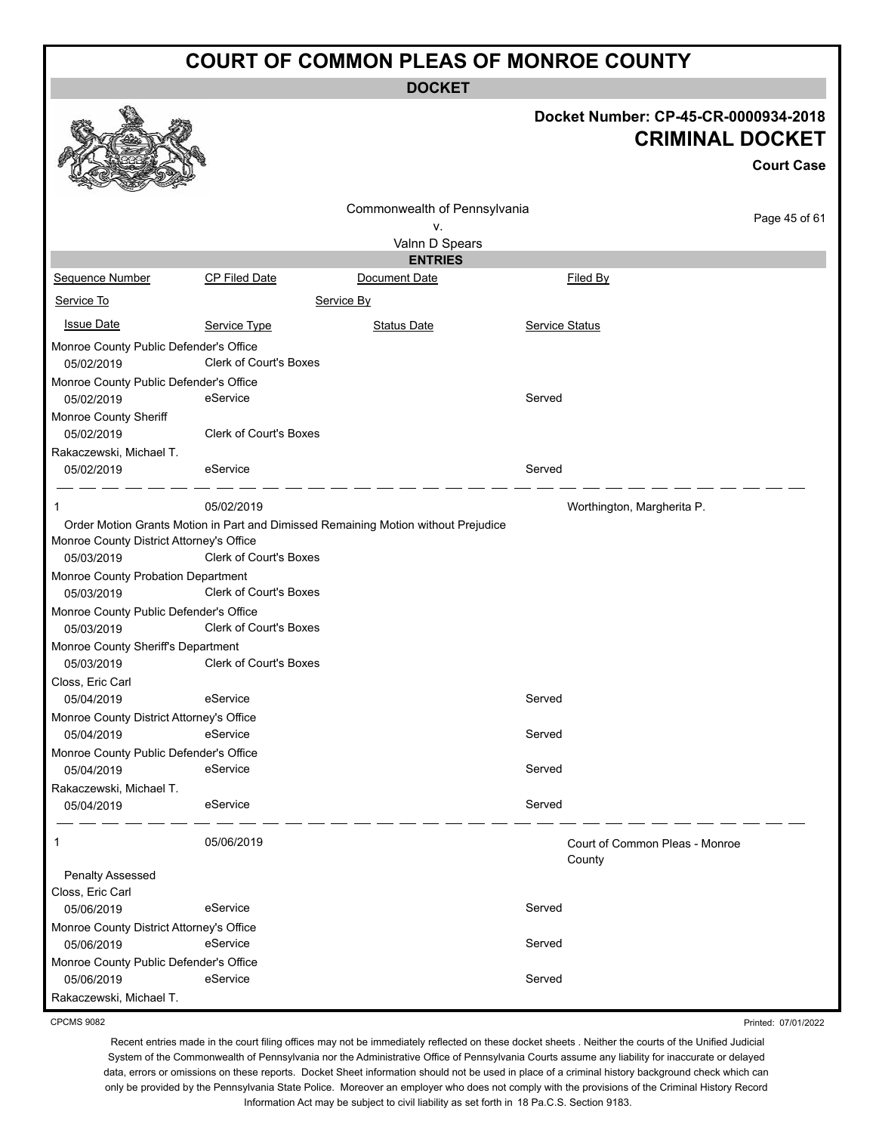**DOCKET**

|                                    | Docket Number: CP-45-CR-0000934-2018<br><b>CRIMINAL DOCKET</b><br><b>Court Case</b> |  |
|------------------------------------|-------------------------------------------------------------------------------------|--|
| Commonwealth of Pennsylvania<br>v. | Page 45 of 61                                                                       |  |
| Valnn D Spears                     |                                                                                     |  |
| <b>ENTRIES</b>                     |                                                                                     |  |
| Document Date                      | Filed By                                                                            |  |
| ce By                              |                                                                                     |  |



|                                                      |                               | Valnn D Spears                                                                     |                                          |  |
|------------------------------------------------------|-------------------------------|------------------------------------------------------------------------------------|------------------------------------------|--|
|                                                      |                               | <b>ENTRIES</b>                                                                     |                                          |  |
| <b>Sequence Number</b>                               | CP Filed Date                 | Document Date                                                                      | Filed By                                 |  |
| Service To                                           |                               | Service By                                                                         |                                          |  |
| <b>Issue Date</b>                                    | Service Type                  | <b>Status Date</b>                                                                 | <b>Service Status</b>                    |  |
| Monroe County Public Defender's Office<br>05/02/2019 | <b>Clerk of Court's Boxes</b> |                                                                                    |                                          |  |
| Monroe County Public Defender's Office               |                               |                                                                                    |                                          |  |
| 05/02/2019<br><b>Monroe County Sheriff</b>           | eService                      |                                                                                    | Served                                   |  |
| 05/02/2019                                           | <b>Clerk of Court's Boxes</b> |                                                                                    |                                          |  |
| Rakaczewski, Michael T.                              |                               |                                                                                    |                                          |  |
| 05/02/2019                                           | eService                      |                                                                                    | Served                                   |  |
| 1                                                    | 05/02/2019                    |                                                                                    | Worthington, Margherita P.               |  |
|                                                      |                               | Order Motion Grants Motion in Part and Dimissed Remaining Motion without Prejudice |                                          |  |
| Monroe County District Attorney's Office             |                               |                                                                                    |                                          |  |
| 05/03/2019                                           | Clerk of Court's Boxes        |                                                                                    |                                          |  |
| Monroe County Probation Department                   |                               |                                                                                    |                                          |  |
| 05/03/2019                                           | Clerk of Court's Boxes        |                                                                                    |                                          |  |
| Monroe County Public Defender's Office               |                               |                                                                                    |                                          |  |
| 05/03/2019                                           | <b>Clerk of Court's Boxes</b> |                                                                                    |                                          |  |
| Monroe County Sheriff's Department                   |                               |                                                                                    |                                          |  |
| 05/03/2019                                           | <b>Clerk of Court's Boxes</b> |                                                                                    |                                          |  |
| Closs, Eric Carl                                     |                               |                                                                                    |                                          |  |
| 05/04/2019                                           | eService                      |                                                                                    | Served                                   |  |
| Monroe County District Attorney's Office             |                               |                                                                                    |                                          |  |
| 05/04/2019                                           | eService                      |                                                                                    | Served                                   |  |
| Monroe County Public Defender's Office               |                               |                                                                                    |                                          |  |
| 05/04/2019                                           | eService                      |                                                                                    | Served                                   |  |
| Rakaczewski, Michael T.                              |                               |                                                                                    |                                          |  |
| 05/04/2019                                           | eService                      |                                                                                    | Served                                   |  |
| $\mathbf 1$                                          | 05/06/2019                    |                                                                                    | Court of Common Pleas - Monroe<br>County |  |
| <b>Penalty Assessed</b>                              |                               |                                                                                    |                                          |  |
| Closs, Eric Carl                                     |                               |                                                                                    |                                          |  |
| 05/06/2019                                           | eService                      |                                                                                    | Served                                   |  |
| Monroe County District Attorney's Office             |                               |                                                                                    |                                          |  |
| 05/06/2019                                           | eService                      |                                                                                    | Served                                   |  |
| Monroe County Public Defender's Office               |                               |                                                                                    |                                          |  |

CPCMS 9082

Rakaczewski, Michael T.

Printed: 07/01/2022

Recent entries made in the court filing offices may not be immediately reflected on these docket sheets . Neither the courts of the Unified Judicial System of the Commonwealth of Pennsylvania nor the Administrative Office of Pennsylvania Courts assume any liability for inaccurate or delayed data, errors or omissions on these reports. Docket Sheet information should not be used in place of a criminal history background check which can only be provided by the Pennsylvania State Police. Moreover an employer who does not comply with the provisions of the Criminal History Record Information Act may be subject to civil liability as set forth in 18 Pa.C.S. Section 9183.

05/06/2019 eService Served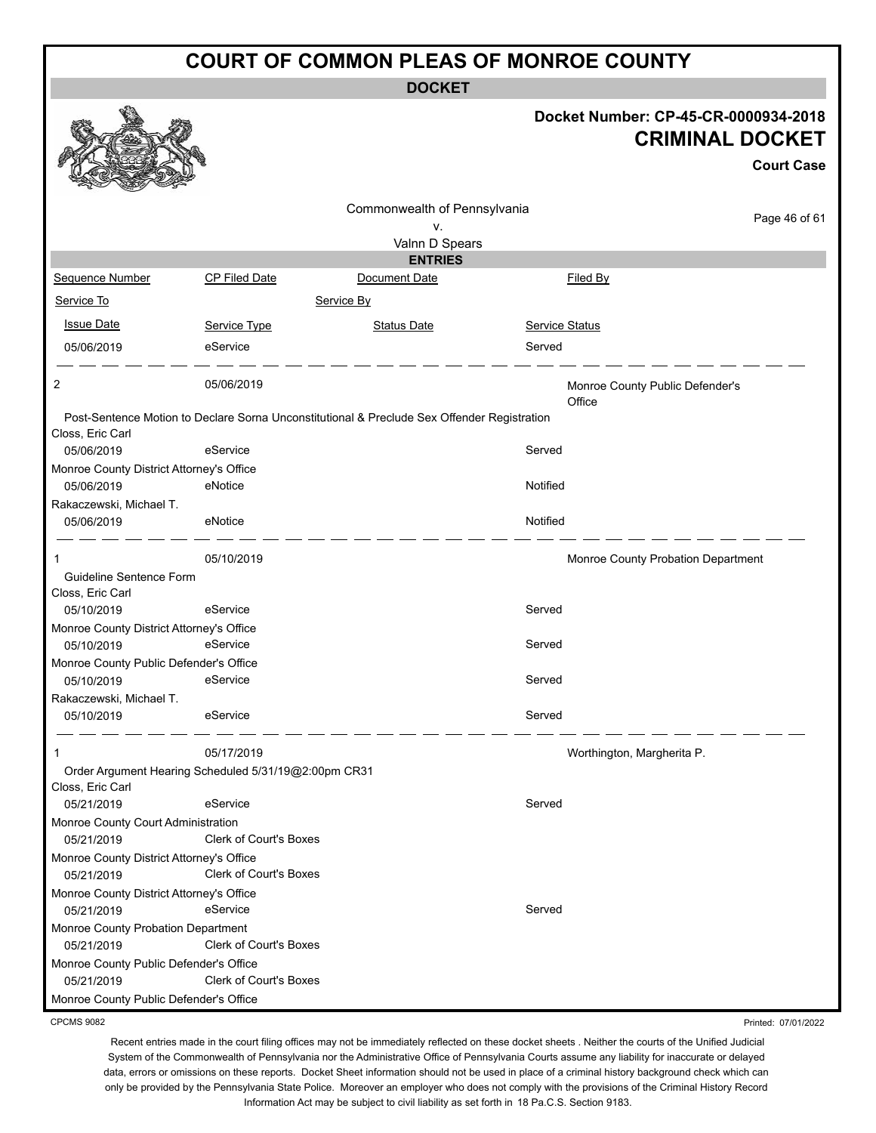**DOCKET**

|                                                        |                                                      |                                                                                             |                       | Docket Number: CP-45-CR-0000934-2018<br><b>CRIMINAL DOCKET</b><br><b>Court Case</b> |
|--------------------------------------------------------|------------------------------------------------------|---------------------------------------------------------------------------------------------|-----------------------|-------------------------------------------------------------------------------------|
|                                                        |                                                      |                                                                                             |                       |                                                                                     |
|                                                        |                                                      | Commonwealth of Pennsylvania                                                                |                       | Page 46 of 61                                                                       |
|                                                        |                                                      | ٧.                                                                                          |                       |                                                                                     |
|                                                        |                                                      | Valnn D Spears<br><b>ENTRIES</b>                                                            |                       |                                                                                     |
| Sequence Number                                        | <b>CP Filed Date</b>                                 | Document Date                                                                               |                       | Filed By                                                                            |
| Service To                                             |                                                      | Service By                                                                                  |                       |                                                                                     |
|                                                        |                                                      |                                                                                             |                       |                                                                                     |
| <b>Issue Date</b>                                      | Service Type                                         | <b>Status Date</b>                                                                          | <b>Service Status</b> |                                                                                     |
| 05/06/2019                                             | eService                                             |                                                                                             | Served                |                                                                                     |
| 2                                                      | 05/06/2019                                           |                                                                                             |                       | Monroe County Public Defender's<br>Office                                           |
|                                                        |                                                      | Post-Sentence Motion to Declare Sorna Unconstitutional & Preclude Sex Offender Registration |                       |                                                                                     |
| Closs, Eric Carl<br>05/06/2019                         | eService                                             |                                                                                             | Served                |                                                                                     |
| Monroe County District Attorney's Office<br>05/06/2019 | eNotice                                              |                                                                                             | Notified              |                                                                                     |
| Rakaczewski, Michael T.                                |                                                      |                                                                                             |                       |                                                                                     |
| 05/06/2019                                             | eNotice                                              |                                                                                             | Notified              |                                                                                     |
| 1<br>Guideline Sentence Form                           | 05/10/2019                                           |                                                                                             |                       | Monroe County Probation Department                                                  |
| Closs, Eric Carl                                       |                                                      |                                                                                             |                       |                                                                                     |
| 05/10/2019                                             | eService                                             |                                                                                             | Served                |                                                                                     |
| Monroe County District Attorney's Office<br>05/10/2019 | eService                                             |                                                                                             | Served                |                                                                                     |
| Monroe County Public Defender's Office                 |                                                      |                                                                                             |                       |                                                                                     |
| 05/10/2019                                             | eService                                             |                                                                                             | Served                |                                                                                     |
| Rakaczewski, Michael T.                                |                                                      |                                                                                             |                       |                                                                                     |
| 05/10/2019                                             | eService                                             |                                                                                             | Served                |                                                                                     |
| $\mathbf{1}$                                           | 05/17/2019                                           |                                                                                             |                       | Worthington, Margherita P.                                                          |
| Closs, Eric Carl                                       | Order Argument Hearing Scheduled 5/31/19@2:00pm CR31 |                                                                                             |                       |                                                                                     |
| 05/21/2019                                             | eService                                             |                                                                                             | Served                |                                                                                     |
| Monroe County Court Administration<br>05/21/2019       | Clerk of Court's Boxes                               |                                                                                             |                       |                                                                                     |
| Monroe County District Attorney's Office<br>05/21/2019 | Clerk of Court's Boxes                               |                                                                                             |                       |                                                                                     |
| Monroe County District Attorney's Office               |                                                      |                                                                                             |                       |                                                                                     |
| 05/21/2019                                             | eService                                             |                                                                                             | Served                |                                                                                     |
| Monroe County Probation Department<br>05/21/2019       | Clerk of Court's Boxes                               |                                                                                             |                       |                                                                                     |
| Monroe County Public Defender's Office                 |                                                      |                                                                                             |                       |                                                                                     |
| 05/21/2019                                             | Clerk of Court's Boxes                               |                                                                                             |                       |                                                                                     |
| Monroe County Public Defender's Office                 |                                                      |                                                                                             |                       |                                                                                     |
| <b>CPCMS 9082</b>                                      |                                                      |                                                                                             |                       | Printed: 07/01/2022                                                                 |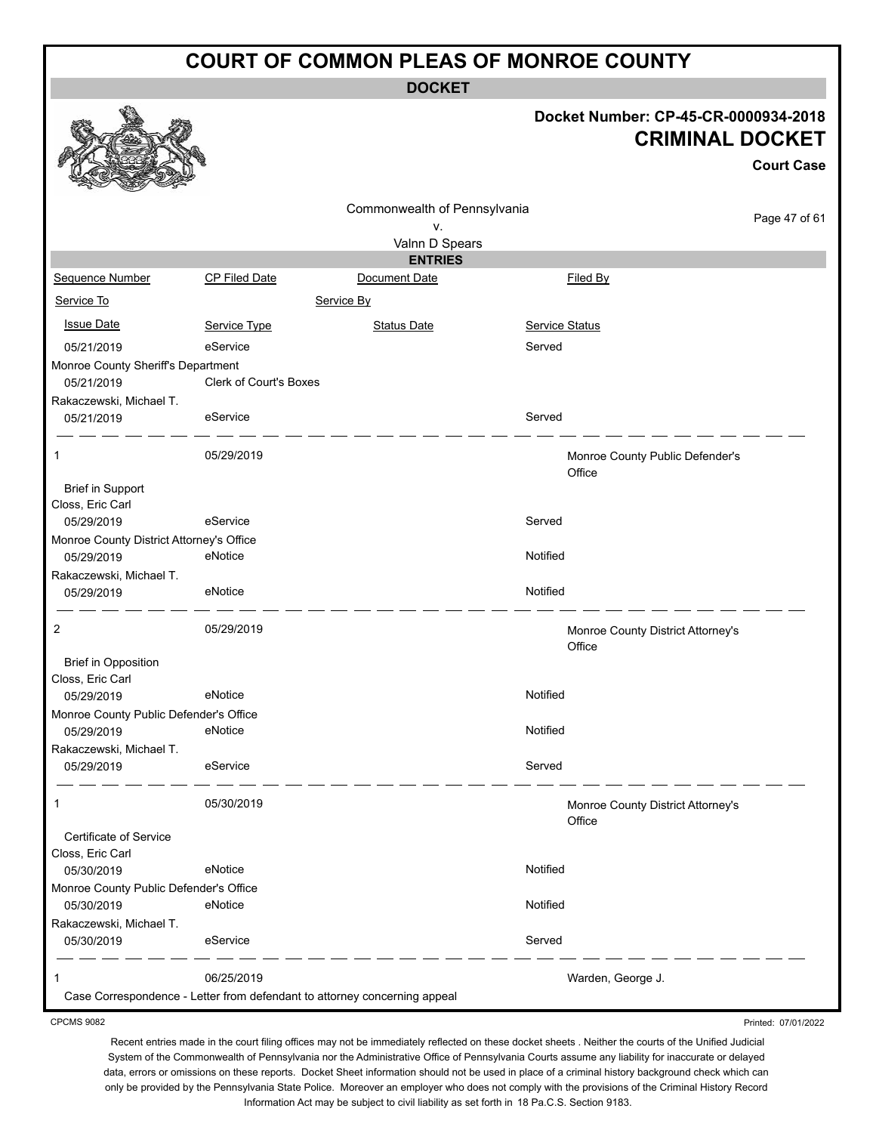**DOCKET**

#### **Docket Number: CP-45-CR-0000934-2018 CRIMINAL DOCKET**

Printed: 07/01/2022

|                                                |                        |                                                                           |                                             | <b>Court Case</b> |
|------------------------------------------------|------------------------|---------------------------------------------------------------------------|---------------------------------------------|-------------------|
|                                                |                        | Commonwealth of Pennsylvania<br>٧.                                        |                                             | Page 47 of 61     |
|                                                |                        | Valnn D Spears                                                            |                                             |                   |
|                                                |                        | <b>ENTRIES</b>                                                            |                                             |                   |
| Sequence Number                                | <b>CP Filed Date</b>   | Document Date                                                             | Filed By                                    |                   |
| Service To                                     |                        | Service By                                                                |                                             |                   |
| <b>Issue Date</b>                              | Service Type           | <b>Status Date</b>                                                        | <b>Service Status</b>                       |                   |
| 05/21/2019                                     | eService               |                                                                           | Served                                      |                   |
| Monroe County Sheriff's Department             |                        |                                                                           |                                             |                   |
| 05/21/2019                                     | Clerk of Court's Boxes |                                                                           |                                             |                   |
| Rakaczewski, Michael T.                        |                        |                                                                           |                                             |                   |
| 05/21/2019                                     | eService               |                                                                           | Served                                      |                   |
| 1                                              | 05/29/2019             |                                                                           | Monroe County Public Defender's<br>Office   |                   |
| <b>Brief in Support</b>                        |                        |                                                                           |                                             |                   |
| Closs, Eric Carl                               |                        |                                                                           |                                             |                   |
| 05/29/2019                                     | eService               |                                                                           | Served                                      |                   |
| Monroe County District Attorney's Office       |                        |                                                                           |                                             |                   |
| 05/29/2019                                     | eNotice                |                                                                           | Notified                                    |                   |
| Rakaczewski, Michael T.<br>05/29/2019          | eNotice                |                                                                           | Notified                                    |                   |
| 2                                              | 05/29/2019             |                                                                           | Monroe County District Attorney's<br>Office |                   |
| <b>Brief in Opposition</b><br>Closs, Eric Carl |                        |                                                                           |                                             |                   |
| 05/29/2019                                     | eNotice                |                                                                           | Notified                                    |                   |
| Monroe County Public Defender's Office         |                        |                                                                           |                                             |                   |
| 05/29/2019                                     | eNotice                |                                                                           | Notified                                    |                   |
| Rakaczewski, Michael T.<br>05/29/2019          | eService               |                                                                           | Served                                      |                   |
| 1                                              | 05/30/2019             |                                                                           | Monroe County District Attorney's<br>Office |                   |
| Certificate of Service<br>Closs, Eric Carl     |                        |                                                                           |                                             |                   |
| 05/30/2019                                     | eNotice                |                                                                           | Notified                                    |                   |
| Monroe County Public Defender's Office         |                        |                                                                           |                                             |                   |
| 05/30/2019                                     | eNotice                |                                                                           | Notified                                    |                   |
| Rakaczewski, Michael T.                        |                        |                                                                           |                                             |                   |
| 05/30/2019                                     | eService               |                                                                           | Served                                      |                   |
| 1                                              | 06/25/2019             |                                                                           | Warden, George J.                           |                   |
|                                                |                        | Case Correspondence - Letter from defendant to attorney concerning appeal |                                             |                   |

CPCMS 9082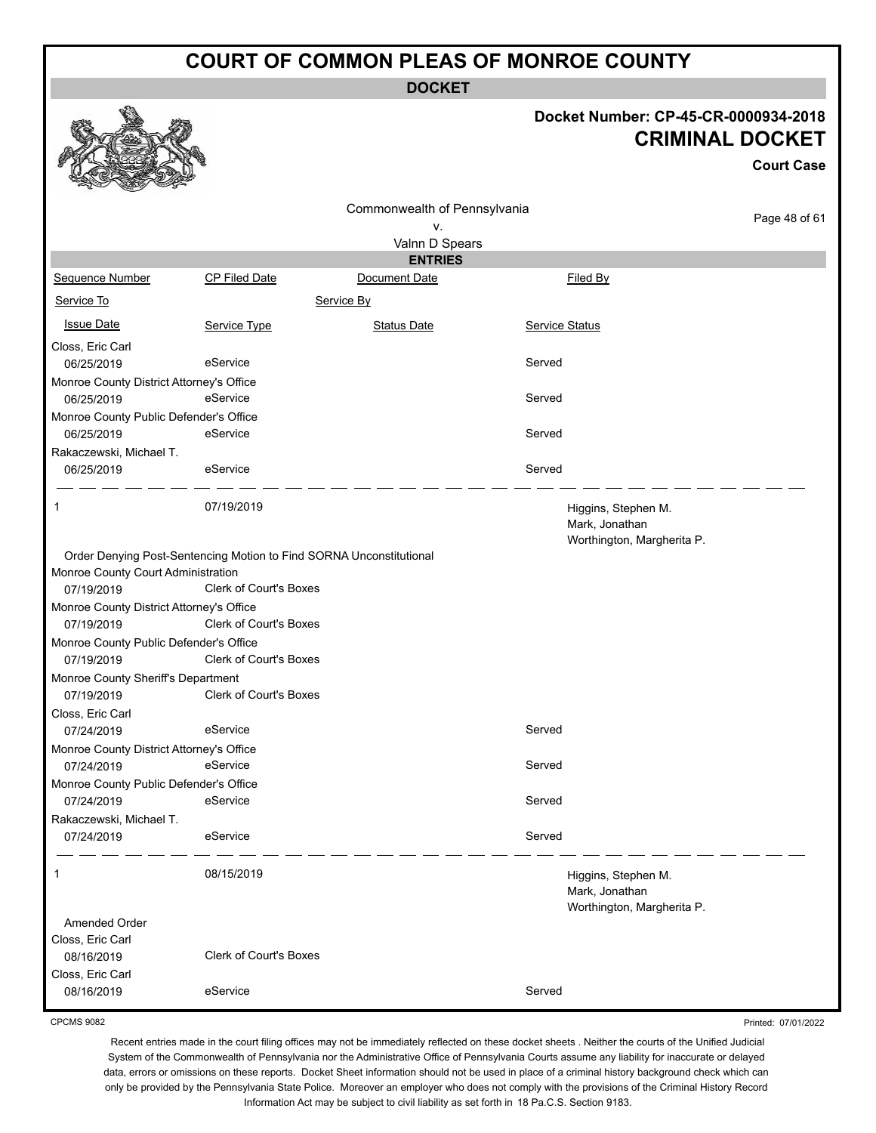**DOCKET**

#### **Docket Number: CP-45-CR-0000934-2018 CRIMINAL DOCKET**

Printed: 07/01/2022

|                                          |                                                                     |                              |                                                                     | <b>CRIMINAL DOCKET</b> |
|------------------------------------------|---------------------------------------------------------------------|------------------------------|---------------------------------------------------------------------|------------------------|
|                                          |                                                                     |                              |                                                                     | <b>Court Case</b>      |
|                                          |                                                                     | Commonwealth of Pennsylvania |                                                                     | Page 48 of 61          |
|                                          |                                                                     | ٧.                           |                                                                     |                        |
|                                          |                                                                     | Valnn D Spears               |                                                                     |                        |
|                                          |                                                                     | <b>ENTRIES</b>               |                                                                     |                        |
| <b>Sequence Number</b>                   | <b>CP Filed Date</b>                                                | Document Date                | Filed By                                                            |                        |
| Service To                               |                                                                     | Service By                   |                                                                     |                        |
| <b>Issue Date</b>                        | Service Type                                                        | <b>Status Date</b>           | <b>Service Status</b>                                               |                        |
| Closs, Eric Carl                         |                                                                     |                              |                                                                     |                        |
| 06/25/2019                               | eService                                                            |                              | Served                                                              |                        |
| Monroe County District Attorney's Office |                                                                     |                              |                                                                     |                        |
| 06/25/2019                               | eService                                                            |                              | Served                                                              |                        |
| Monroe County Public Defender's Office   |                                                                     |                              |                                                                     |                        |
| 06/25/2019                               | eService                                                            |                              | Served                                                              |                        |
| Rakaczewski, Michael T.                  |                                                                     |                              |                                                                     |                        |
| 06/25/2019                               | eService                                                            |                              | Served                                                              |                        |
| $\mathbf{1}$                             | 07/19/2019                                                          |                              | Higgins, Stephen M.<br>Mark, Jonathan<br>Worthington, Margherita P. |                        |
|                                          | Order Denying Post-Sentencing Motion to Find SORNA Unconstitutional |                              |                                                                     |                        |
| Monroe County Court Administration       |                                                                     |                              |                                                                     |                        |
| 07/19/2019                               | Clerk of Court's Boxes                                              |                              |                                                                     |                        |
| Monroe County District Attorney's Office |                                                                     |                              |                                                                     |                        |
| 07/19/2019                               | Clerk of Court's Boxes                                              |                              |                                                                     |                        |
| Monroe County Public Defender's Office   |                                                                     |                              |                                                                     |                        |
| 07/19/2019                               | Clerk of Court's Boxes                                              |                              |                                                                     |                        |
| Monroe County Sheriff's Department       |                                                                     |                              |                                                                     |                        |
| 07/19/2019                               | <b>Clerk of Court's Boxes</b>                                       |                              |                                                                     |                        |
| Closs, Eric Carl                         |                                                                     |                              |                                                                     |                        |
| 07/24/2019                               | eService                                                            |                              | Served                                                              |                        |
| Monroe County District Attorney's Office |                                                                     |                              |                                                                     |                        |
| 07/24/2019                               | eService                                                            |                              | Served                                                              |                        |
| Monroe County Public Defender's Office   |                                                                     |                              |                                                                     |                        |
| 07/24/2019                               | eService                                                            |                              | Served                                                              |                        |
| Rakaczewski, Michael T.                  |                                                                     |                              |                                                                     |                        |
| 07/24/2019                               | eService                                                            |                              | Served                                                              |                        |
| 1                                        | 08/15/2019                                                          |                              | Higgins, Stephen M.<br>Mark, Jonathan<br>Worthington, Margherita P. |                        |
| Amended Order                            |                                                                     |                              |                                                                     |                        |
| Closs, Eric Carl                         |                                                                     |                              |                                                                     |                        |
| 08/16/2019                               | <b>Clerk of Court's Boxes</b>                                       |                              |                                                                     |                        |
| Closs, Eric Carl                         |                                                                     |                              |                                                                     |                        |
| 08/16/2019                               | eService                                                            |                              | Served                                                              |                        |

CPCMS 9082

**RAA**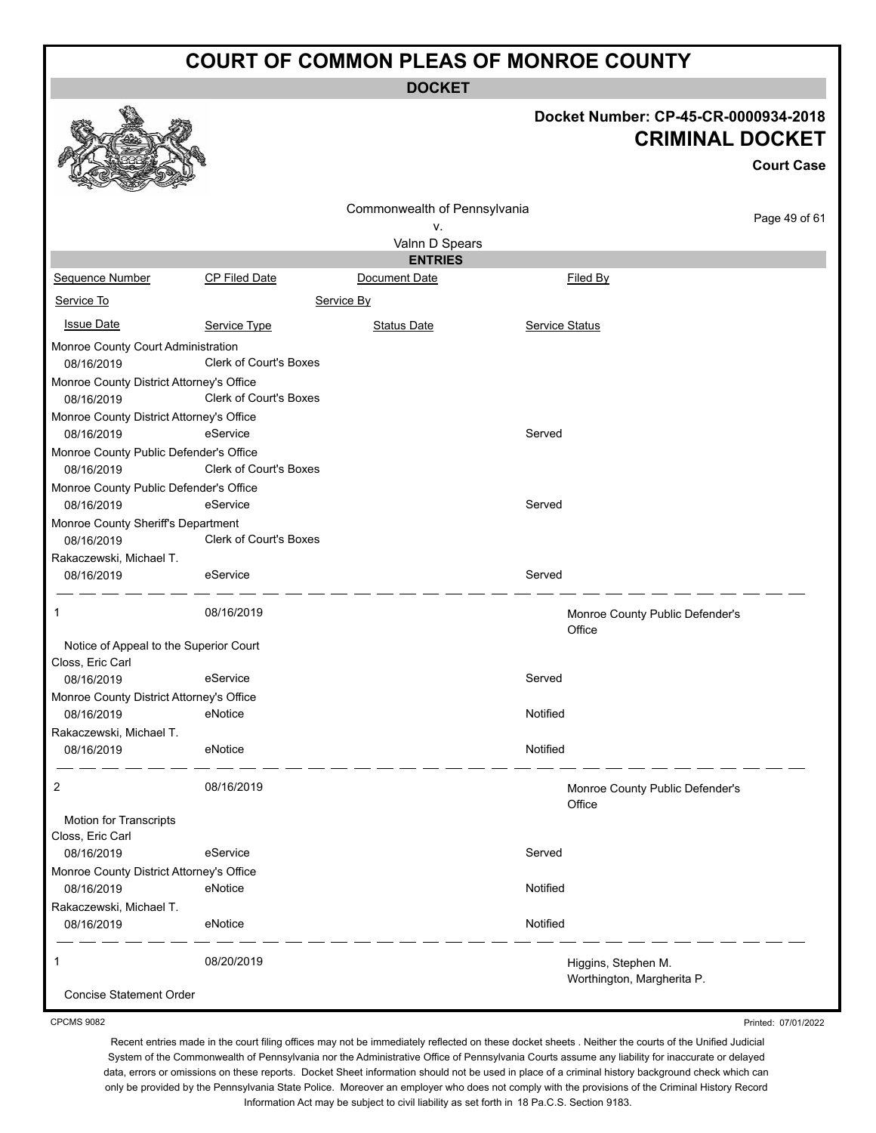**DOCKET**

# **Docket Number: CP-45-CR-0000934-2018**

|                                                            |                        |                              |                                                   | Docket Number: CP-45-CR-0000934-2018<br><b>CRIMINAL DOCKET</b> |
|------------------------------------------------------------|------------------------|------------------------------|---------------------------------------------------|----------------------------------------------------------------|
|                                                            |                        |                              |                                                   | <b>Court Case</b>                                              |
|                                                            |                        | Commonwealth of Pennsylvania |                                                   |                                                                |
|                                                            |                        | ۷.                           |                                                   | Page 49 of 61                                                  |
|                                                            |                        | Valnn D Spears               |                                                   |                                                                |
|                                                            |                        | <b>ENTRIES</b>               |                                                   |                                                                |
| Sequence Number                                            | <b>CP Filed Date</b>   | Document Date                | Filed By                                          |                                                                |
| Service To                                                 |                        | Service By                   |                                                   |                                                                |
| <b>Issue Date</b>                                          | Service Type           | <b>Status Date</b>           | Service Status                                    |                                                                |
| Monroe County Court Administration                         |                        |                              |                                                   |                                                                |
| 08/16/2019                                                 | Clerk of Court's Boxes |                              |                                                   |                                                                |
| Monroe County District Attorney's Office                   |                        |                              |                                                   |                                                                |
| 08/16/2019                                                 | Clerk of Court's Boxes |                              |                                                   |                                                                |
| Monroe County District Attorney's Office                   |                        |                              |                                                   |                                                                |
| 08/16/2019                                                 | eService               |                              | Served                                            |                                                                |
| Monroe County Public Defender's Office                     |                        |                              |                                                   |                                                                |
| 08/16/2019                                                 | Clerk of Court's Boxes |                              |                                                   |                                                                |
| Monroe County Public Defender's Office                     |                        |                              |                                                   |                                                                |
| 08/16/2019                                                 | eService               |                              | Served                                            |                                                                |
| Monroe County Sheriff's Department<br>08/16/2019           | Clerk of Court's Boxes |                              |                                                   |                                                                |
| Rakaczewski, Michael T.<br>08/16/2019                      | eService               |                              | Served                                            |                                                                |
| 1                                                          | 08/16/2019             |                              | Monroe County Public Defender's<br>Office         |                                                                |
| Notice of Appeal to the Superior Court<br>Closs, Eric Carl |                        |                              |                                                   |                                                                |
| 08/16/2019                                                 | eService               |                              | Served                                            |                                                                |
| Monroe County District Attorney's Office                   |                        |                              |                                                   |                                                                |
| 08/16/2019                                                 | eNotice                |                              | Notified                                          |                                                                |
| Rakaczewski, Michael T.                                    |                        |                              |                                                   |                                                                |
| 08/16/2019                                                 | eNotice                |                              | Notified                                          |                                                                |
| 2                                                          | 08/16/2019             |                              | Monroe County Public Defender's<br>Office         |                                                                |
| <b>Motion for Transcripts</b><br>Closs, Eric Carl          |                        |                              |                                                   |                                                                |
| 08/16/2019                                                 | eService               |                              | Served                                            |                                                                |
| Monroe County District Attorney's Office<br>08/16/2019     | eNotice                |                              | Notified                                          |                                                                |
| Rakaczewski, Michael T.<br>08/16/2019                      | eNotice                |                              | Notified                                          |                                                                |
|                                                            | 08/20/2019             |                              | Higgins, Stephen M.<br>Worthington, Margherita P. |                                                                |
| Conciso Statement Order                                    |                        |                              |                                                   |                                                                |

oncise Statement Order

 $\mathbb{Q}$ 

CPCMS 9082

Printed: 07/01/2022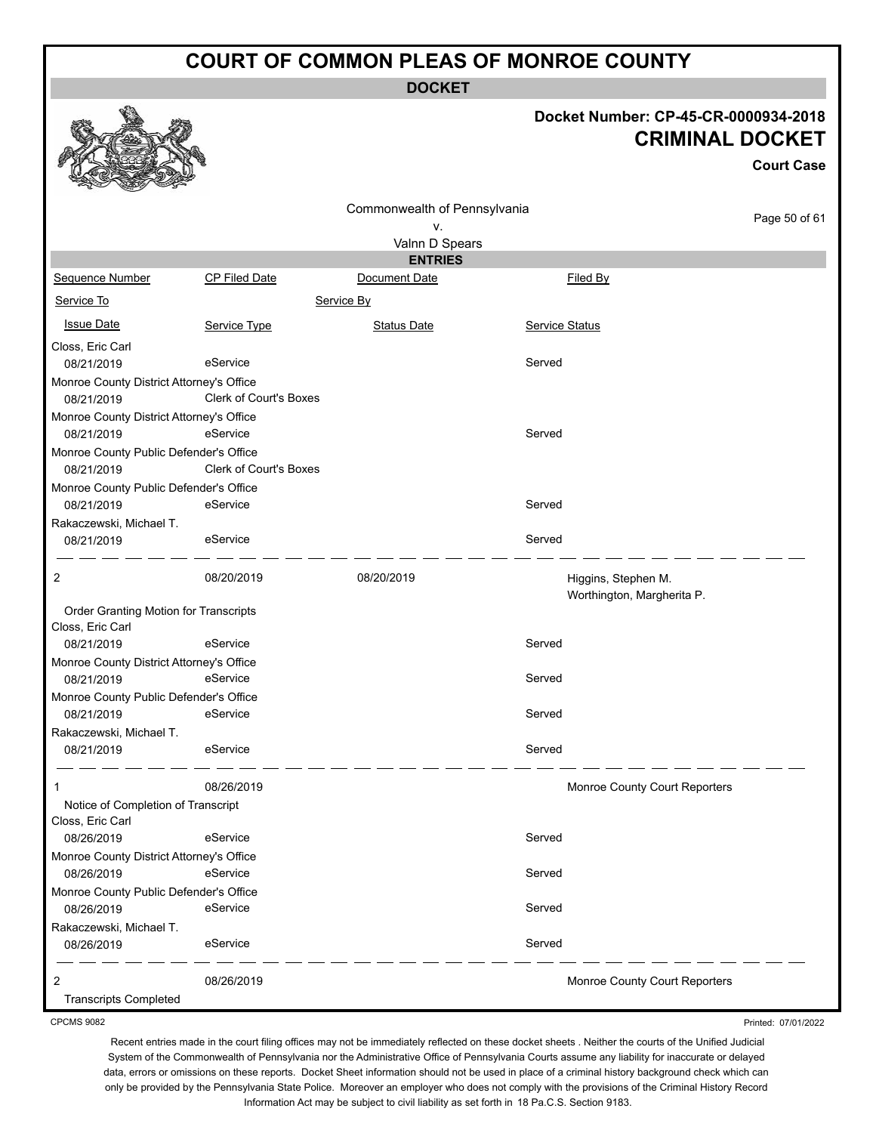**DOCKET**

#### **Docket Number: CP-45-CR-0000934-2018 CRIMINAL DOCKET**

**Court Case**

|                                          |                        | Commonwealth of Pennsylvania    |                |                                                   | Page 50 of 61 |
|------------------------------------------|------------------------|---------------------------------|----------------|---------------------------------------------------|---------------|
|                                          |                        | ν.                              |                |                                                   |               |
|                                          |                        | Valnn D Spears                  |                |                                                   |               |
| Sequence Number                          | CP Filed Date          | <b>ENTRIES</b><br>Document Date |                | Filed By                                          |               |
|                                          |                        |                                 |                |                                                   |               |
| Service To                               |                        | Service By                      |                |                                                   |               |
| <b>Issue Date</b>                        | Service Type           | <b>Status Date</b>              | Service Status |                                                   |               |
| Closs, Eric Carl                         |                        |                                 |                |                                                   |               |
| 08/21/2019                               | eService               |                                 | Served         |                                                   |               |
| Monroe County District Attorney's Office |                        |                                 |                |                                                   |               |
| 08/21/2019                               | Clerk of Court's Boxes |                                 |                |                                                   |               |
| Monroe County District Attorney's Office |                        |                                 |                |                                                   |               |
| 08/21/2019                               | eService               |                                 | Served         |                                                   |               |
| Monroe County Public Defender's Office   |                        |                                 |                |                                                   |               |
| 08/21/2019                               | Clerk of Court's Boxes |                                 |                |                                                   |               |
| Monroe County Public Defender's Office   |                        |                                 |                |                                                   |               |
| 08/21/2019                               | eService               |                                 | Served         |                                                   |               |
| Rakaczewski, Michael T.                  |                        |                                 |                |                                                   |               |
| 08/21/2019                               | eService               |                                 | Served         |                                                   |               |
| 2                                        | 08/20/2019             | 08/20/2019                      |                | Higgins, Stephen M.<br>Worthington, Margherita P. |               |
| Order Granting Motion for Transcripts    |                        |                                 |                |                                                   |               |
| Closs, Eric Carl                         |                        |                                 |                |                                                   |               |
| 08/21/2019                               | eService               |                                 | Served         |                                                   |               |
| Monroe County District Attorney's Office |                        |                                 |                |                                                   |               |
| 08/21/2019                               | eService               |                                 | Served         |                                                   |               |
| Monroe County Public Defender's Office   |                        |                                 |                |                                                   |               |
| 08/21/2019                               | eService               |                                 | Served         |                                                   |               |
| Rakaczewski, Michael T.                  |                        |                                 |                |                                                   |               |
| 08/21/2019                               | eService               |                                 | Served         |                                                   |               |
| 1                                        | 08/26/2019             |                                 |                | Monroe County Court Reporters                     |               |
| Notice of Completion of Transcript       |                        |                                 |                |                                                   |               |
| Closs, Eric Carl                         |                        |                                 |                |                                                   |               |
| 08/26/2019                               | eService               |                                 | Served         |                                                   |               |
| Monroe County District Attorney's Office |                        |                                 |                |                                                   |               |
| 08/26/2019                               | eService               |                                 | Served         |                                                   |               |
| Monroe County Public Defender's Office   |                        |                                 |                |                                                   |               |
| 08/26/2019                               | eService               |                                 | Served         |                                                   |               |
| Rakaczewski, Michael T.<br>08/26/2019    | eService               |                                 | Served         |                                                   |               |
| 2                                        | 08/26/2019             |                                 |                | Monroe County Court Reporters                     |               |
| <b>Transcripts Completed</b>             |                        |                                 |                |                                                   |               |

CPCMS 9082

Recent entries made in the court filing offices may not be immediately reflected on these docket sheets . Neither the courts of the Unified Judicial System of the Commonwealth of Pennsylvania nor the Administrative Office of Pennsylvania Courts assume any liability for inaccurate or delayed data, errors or omissions on these reports. Docket Sheet information should not be used in place of a criminal history background check which can only be provided by the Pennsylvania State Police. Moreover an employer who does not comply with the provisions of the Criminal History Record Information Act may be subject to civil liability as set forth in 18 Pa.C.S. Section 9183.

Printed: 07/01/2022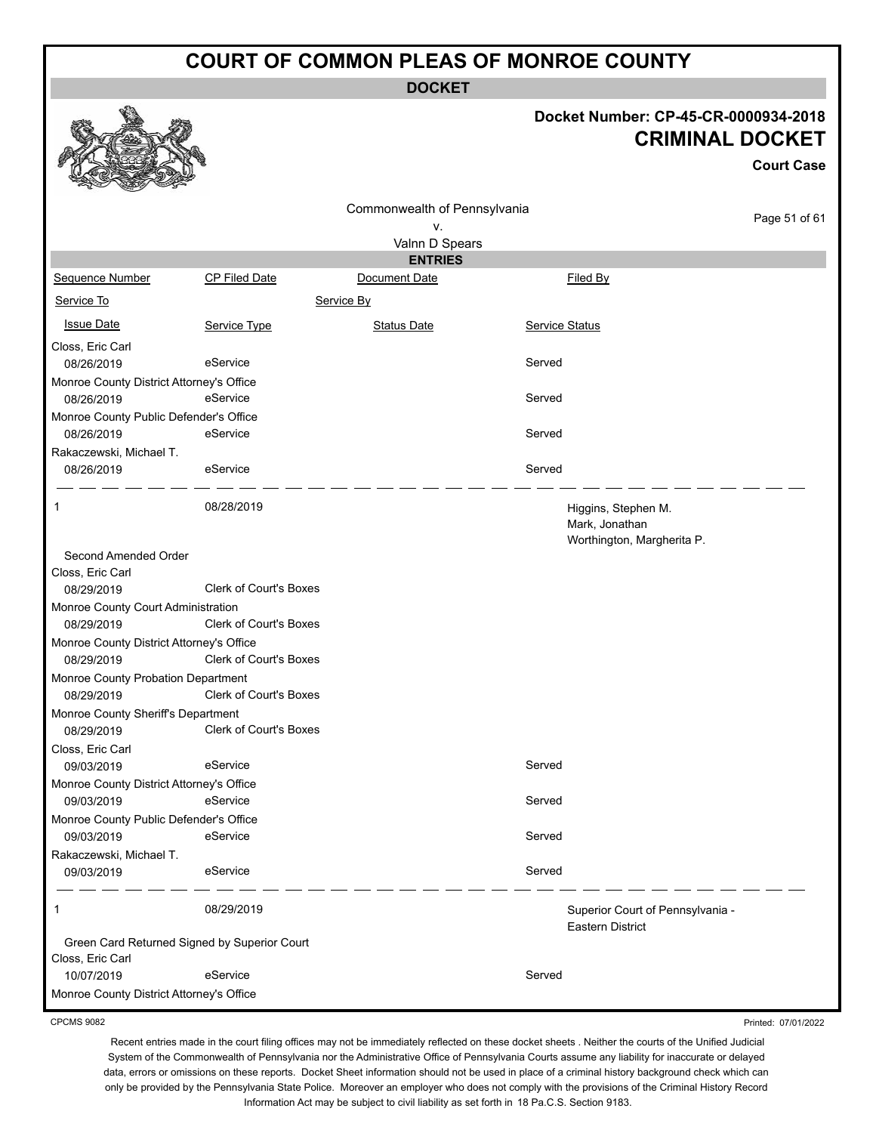**DOCKET**

#### **Docket Number: CP-45-CR-0000934-2018 CRIMINAL DOCKET**

|                                                      |                                              |                              | UNIIIIIIIAL DUUNE I                                                 |                   |  |  |
|------------------------------------------------------|----------------------------------------------|------------------------------|---------------------------------------------------------------------|-------------------|--|--|
|                                                      |                                              |                              |                                                                     | <b>Court Case</b> |  |  |
|                                                      |                                              | Commonwealth of Pennsylvania |                                                                     |                   |  |  |
|                                                      |                                              | ٧.                           |                                                                     | Page 51 of 61     |  |  |
|                                                      |                                              | Valnn D Spears               |                                                                     |                   |  |  |
|                                                      |                                              | <b>ENTRIES</b>               |                                                                     |                   |  |  |
| Sequence Number                                      | CP Filed Date                                | Document Date                | Filed By                                                            |                   |  |  |
| Service To                                           |                                              | Service By                   |                                                                     |                   |  |  |
| <b>Issue Date</b>                                    | Service Type                                 | <b>Status Date</b>           | Service Status                                                      |                   |  |  |
| Closs, Eric Carl                                     |                                              |                              |                                                                     |                   |  |  |
| 08/26/2019                                           | eService                                     |                              | Served                                                              |                   |  |  |
| Monroe County District Attorney's Office             |                                              |                              |                                                                     |                   |  |  |
| 08/26/2019                                           | eService                                     |                              | Served                                                              |                   |  |  |
| Monroe County Public Defender's Office               |                                              |                              |                                                                     |                   |  |  |
| 08/26/2019                                           | eService                                     |                              | Served                                                              |                   |  |  |
| Rakaczewski, Michael T.                              |                                              |                              |                                                                     |                   |  |  |
| 08/26/2019                                           | eService                                     |                              | Served                                                              |                   |  |  |
| 1                                                    | 08/28/2019                                   |                              | Higgins, Stephen M.<br>Mark, Jonathan<br>Worthington, Margherita P. |                   |  |  |
| Second Amended Order                                 |                                              |                              |                                                                     |                   |  |  |
| Closs, Eric Carl                                     |                                              |                              |                                                                     |                   |  |  |
| 08/29/2019                                           | <b>Clerk of Court's Boxes</b>                |                              |                                                                     |                   |  |  |
| Monroe County Court Administration                   |                                              |                              |                                                                     |                   |  |  |
| 08/29/2019                                           | Clerk of Court's Boxes                       |                              |                                                                     |                   |  |  |
| Monroe County District Attorney's Office             |                                              |                              |                                                                     |                   |  |  |
| 08/29/2019                                           | Clerk of Court's Boxes                       |                              |                                                                     |                   |  |  |
| Monroe County Probation Department<br>08/29/2019     | Clerk of Court's Boxes                       |                              |                                                                     |                   |  |  |
| Monroe County Sheriff's Department                   |                                              |                              |                                                                     |                   |  |  |
| 08/29/2019                                           | Clerk of Court's Boxes                       |                              |                                                                     |                   |  |  |
| Closs, Eric Carl                                     |                                              |                              |                                                                     |                   |  |  |
| 09/03/2019                                           | eService                                     |                              | Served                                                              |                   |  |  |
| Monroe County District Attorney's Office             |                                              |                              |                                                                     |                   |  |  |
| 09/03/2019                                           | eService                                     |                              | Served                                                              |                   |  |  |
| Monroe County Public Defender's Office<br>09/03/2019 | eService                                     |                              | Served                                                              |                   |  |  |
| Rakaczewski, Michael T.                              |                                              |                              |                                                                     |                   |  |  |
| 09/03/2019                                           | eService                                     |                              | Served                                                              |                   |  |  |
| 1                                                    | 08/29/2019                                   |                              | Superior Court of Pennsylvania -<br><b>Eastern District</b>         |                   |  |  |
|                                                      | Green Card Returned Signed by Superior Court |                              |                                                                     |                   |  |  |
| Closs, Eric Carl<br>10/07/2019                       | eService                                     |                              | Served                                                              |                   |  |  |
| Monroe County District Attorney's Office             |                                              |                              |                                                                     |                   |  |  |
|                                                      |                                              |                              |                                                                     |                   |  |  |

CPCMS 9082

农人为

Recent entries made in the court filing offices may not be immediately reflected on these docket sheets . Neither the courts of the Unified Judicial System of the Commonwealth of Pennsylvania nor the Administrative Office of Pennsylvania Courts assume any liability for inaccurate or delayed data, errors or omissions on these reports. Docket Sheet information should not be used in place of a criminal history background check which can only be provided by the Pennsylvania State Police. Moreover an employer who does not comply with the provisions of the Criminal History Record Information Act may be subject to civil liability as set forth in 18 Pa.C.S. Section 9183.

Printed: 07/01/2022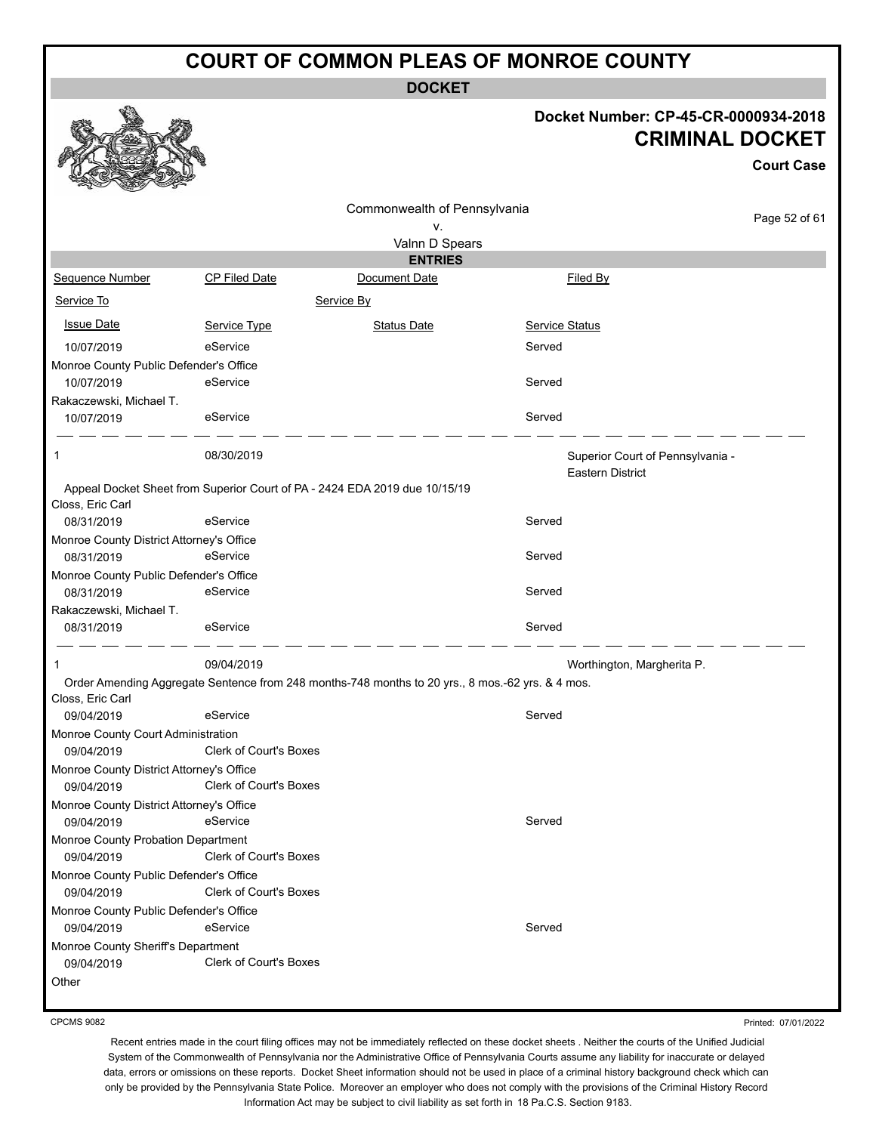**DOCKET**

#### **Docket Number: CP-45-CR-0000934-2018 CRIMINAL DOCKET**

**Court Case**

| Commonwealth of Pennsylvania                         |                               |                                                                                                  | Page 52 of 61                    |  |
|------------------------------------------------------|-------------------------------|--------------------------------------------------------------------------------------------------|----------------------------------|--|
|                                                      |                               | ٧.                                                                                               |                                  |  |
|                                                      |                               | Valnn D Spears                                                                                   |                                  |  |
|                                                      |                               | <b>ENTRIES</b>                                                                                   |                                  |  |
| Sequence Number                                      | <b>CP Filed Date</b>          | Document Date                                                                                    | Filed By                         |  |
| Service To                                           |                               | Service By                                                                                       |                                  |  |
| <b>Issue Date</b>                                    | Service Type                  | <b>Status Date</b>                                                                               | <b>Service Status</b>            |  |
| 10/07/2019                                           | eService                      |                                                                                                  | Served                           |  |
| Monroe County Public Defender's Office               |                               |                                                                                                  |                                  |  |
| 10/07/2019                                           | eService                      |                                                                                                  | Served                           |  |
| Rakaczewski, Michael T.                              |                               |                                                                                                  |                                  |  |
| 10/07/2019                                           | eService                      |                                                                                                  | Served                           |  |
| 1                                                    | 08/30/2019                    |                                                                                                  | Superior Court of Pennsylvania - |  |
|                                                      |                               |                                                                                                  | Eastern District                 |  |
|                                                      |                               | Appeal Docket Sheet from Superior Court of PA - 2424 EDA 2019 due 10/15/19                       |                                  |  |
| Closs, Eric Carl<br>08/31/2019                       | eService                      |                                                                                                  | Served                           |  |
| Monroe County District Attorney's Office             |                               |                                                                                                  |                                  |  |
| 08/31/2019                                           | eService                      |                                                                                                  | Served                           |  |
| Monroe County Public Defender's Office               |                               |                                                                                                  |                                  |  |
| 08/31/2019                                           | eService                      |                                                                                                  | Served                           |  |
| Rakaczewski, Michael T.                              |                               |                                                                                                  |                                  |  |
| 08/31/2019                                           | eService                      |                                                                                                  | Served                           |  |
| 1                                                    | 09/04/2019                    |                                                                                                  | Worthington, Margherita P.       |  |
|                                                      |                               | Order Amending Aggregate Sentence from 248 months-748 months to 20 yrs., 8 mos.-62 yrs. & 4 mos. |                                  |  |
| Closs, Eric Carl                                     |                               |                                                                                                  |                                  |  |
| 09/04/2019                                           | eService                      |                                                                                                  | Served                           |  |
| Monroe County Court Administration                   |                               |                                                                                                  |                                  |  |
| 09/04/2019                                           | <b>Clerk of Court's Boxes</b> |                                                                                                  |                                  |  |
| Monroe County District Attorney's Office             |                               |                                                                                                  |                                  |  |
| 09/04/2019                                           | <b>Clerk of Court's Boxes</b> |                                                                                                  |                                  |  |
| Monroe County District Attorney's Office             |                               |                                                                                                  |                                  |  |
| 09/04/2019                                           | eService                      |                                                                                                  | Served                           |  |
| Monroe County Probation Department<br>09/04/2019     | Clerk of Court's Boxes        |                                                                                                  |                                  |  |
|                                                      |                               |                                                                                                  |                                  |  |
| Monroe County Public Defender's Office<br>09/04/2019 | Clerk of Court's Boxes        |                                                                                                  |                                  |  |
| Monroe County Public Defender's Office               |                               |                                                                                                  |                                  |  |
| 09/04/2019                                           | eService                      |                                                                                                  | Served                           |  |
| Monroe County Sheriff's Department                   |                               |                                                                                                  |                                  |  |
| 09/04/2019                                           | <b>Clerk of Court's Boxes</b> |                                                                                                  |                                  |  |
| Other                                                |                               |                                                                                                  |                                  |  |
|                                                      |                               |                                                                                                  |                                  |  |

CPCMS 9082

Printed: 07/01/2022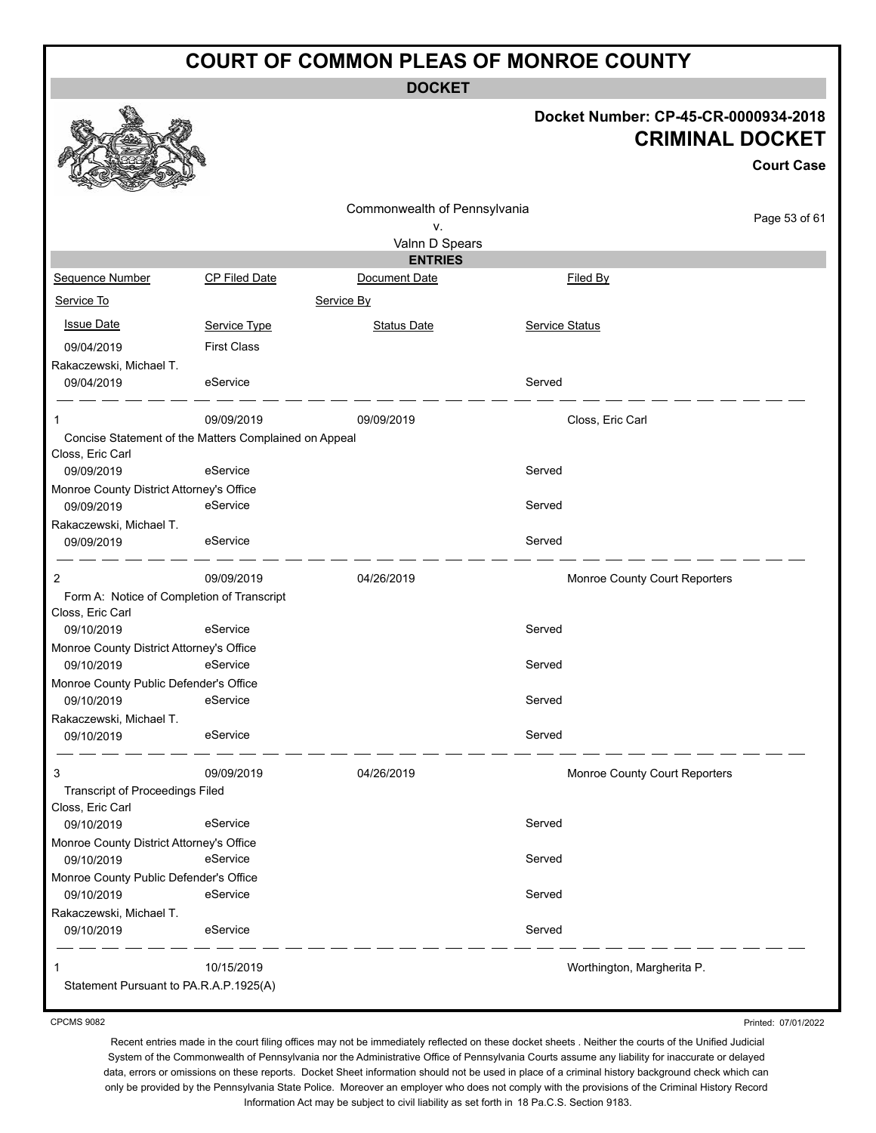**DOCKET**

#### **Docket Number: CP-45-CR-0000934-2018 CRIMINAL DOCKET**

**Court Case**

|                                                                           |                    | Commonwealth of Pennsylvania |                               |               |
|---------------------------------------------------------------------------|--------------------|------------------------------|-------------------------------|---------------|
|                                                                           |                    | ٧.                           |                               | Page 53 of 61 |
|                                                                           |                    | Valnn D Spears               |                               |               |
|                                                                           |                    | <b>ENTRIES</b>               |                               |               |
| Sequence Number                                                           | CP Filed Date      | Document Date                | Filed By                      |               |
| Service To                                                                |                    | Service By                   |                               |               |
| <b>Issue Date</b>                                                         | Service Type       | <b>Status Date</b>           | Service Status                |               |
| 09/04/2019                                                                | <b>First Class</b> |                              |                               |               |
| Rakaczewski, Michael T.                                                   |                    |                              |                               |               |
| 09/04/2019                                                                | eService           |                              | Served                        |               |
| 1                                                                         | 09/09/2019         | 09/09/2019                   | Closs, Eric Carl              |               |
| Concise Statement of the Matters Complained on Appeal<br>Closs, Eric Carl |                    |                              |                               |               |
| 09/09/2019                                                                | eService           |                              | Served                        |               |
| Monroe County District Attorney's Office                                  |                    |                              |                               |               |
| 09/09/2019                                                                | eService           |                              | Served                        |               |
| Rakaczewski, Michael T.                                                   |                    |                              |                               |               |
| 09/09/2019                                                                | eService           |                              | Served                        |               |
| 2                                                                         | 09/09/2019         | 04/26/2019                   | Monroe County Court Reporters |               |
| Form A: Notice of Completion of Transcript                                |                    |                              |                               |               |
| Closs, Eric Carl                                                          |                    |                              |                               |               |
| 09/10/2019                                                                | eService           |                              | Served                        |               |
| Monroe County District Attorney's Office                                  |                    |                              |                               |               |
| 09/10/2019                                                                | eService           |                              | Served                        |               |
| Monroe County Public Defender's Office                                    |                    |                              |                               |               |
| 09/10/2019                                                                | eService           |                              | Served                        |               |
| Rakaczewski, Michael T.                                                   |                    |                              |                               |               |
| 09/10/2019                                                                | eService           |                              | Served                        |               |
| 3                                                                         | 09/09/2019         | 04/26/2019                   | Monroe County Court Reporters |               |
| <b>Transcript of Proceedings Filed</b>                                    |                    |                              |                               |               |
| Closs, Eric Carl                                                          |                    |                              | Served                        |               |
| 09/10/2019<br>Monroe County District Attorney's Office                    | eService           |                              |                               |               |
| 09/10/2019                                                                | eService           |                              | Served                        |               |
| Monroe County Public Defender's Office                                    |                    |                              |                               |               |
| 09/10/2019                                                                | eService           |                              | Served                        |               |
| Rakaczewski, Michael T.                                                   |                    |                              |                               |               |
| 09/10/2019                                                                | eService           |                              | Served                        |               |
|                                                                           |                    |                              |                               |               |
|                                                                           | 10/15/2019         |                              | Worthington, Margherita P.    |               |
| Statement Pursuant to PA.R.A.P.1925(A)                                    |                    |                              |                               |               |

CPCMS 9082

Printed: 07/01/2022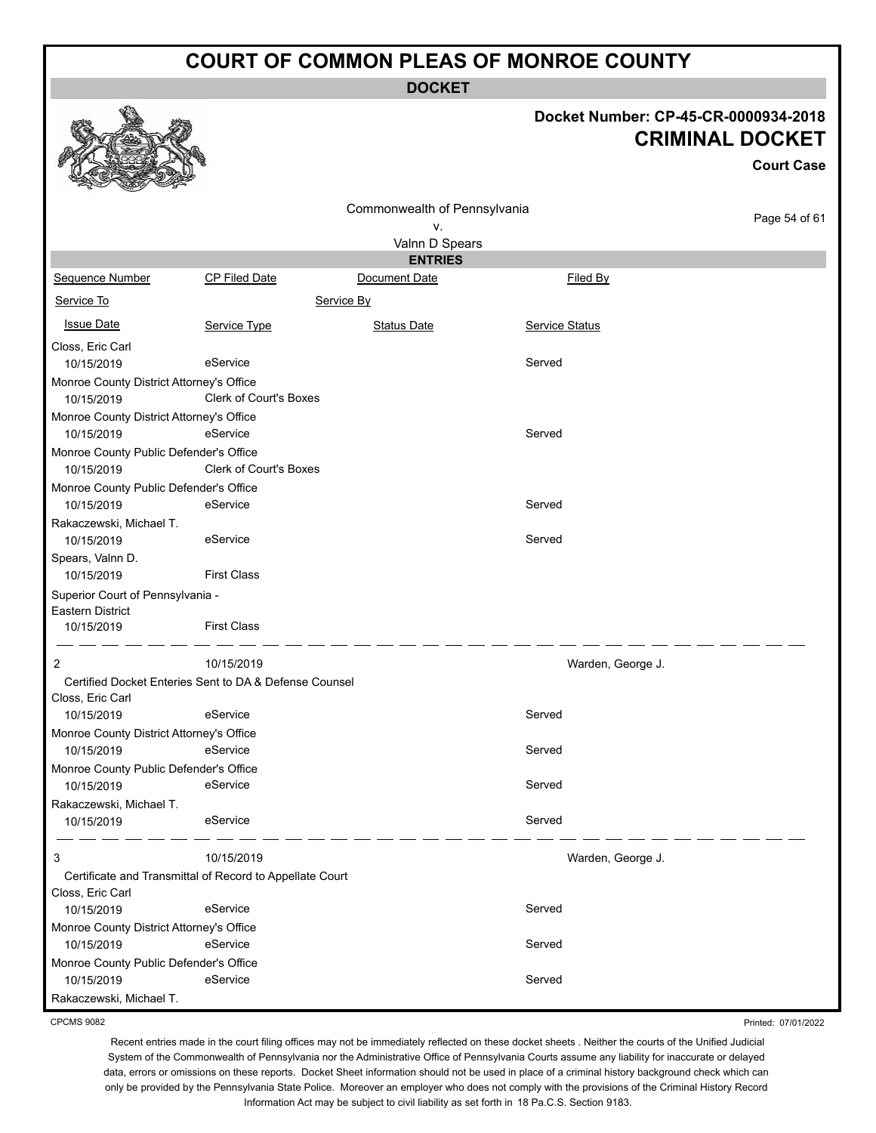**DOCKET**

#### **Docket Number: CP-45-CR-0000934-2018 CRIMINAL DOCKET**

**Court Case**

|                                                      |                                                          | Commonwealth of Pennsylvania |                   |               |
|------------------------------------------------------|----------------------------------------------------------|------------------------------|-------------------|---------------|
|                                                      |                                                          | ۷.                           |                   | Page 54 of 61 |
|                                                      |                                                          | Valnn D Spears               |                   |               |
|                                                      |                                                          | <b>ENTRIES</b>               |                   |               |
| Sequence Number                                      | <b>CP Filed Date</b>                                     | Document Date                | Filed By          |               |
| Service To                                           |                                                          | Service By                   |                   |               |
| <b>Issue Date</b>                                    | Service Type                                             | <b>Status Date</b>           | Service Status    |               |
| Closs, Eric Carl                                     |                                                          |                              |                   |               |
| 10/15/2019                                           | eService                                                 |                              | Served            |               |
| Monroe County District Attorney's Office             |                                                          |                              |                   |               |
| 10/15/2019                                           | Clerk of Court's Boxes                                   |                              |                   |               |
| Monroe County District Attorney's Office             |                                                          |                              |                   |               |
| 10/15/2019                                           | eService                                                 |                              | Served            |               |
| Monroe County Public Defender's Office               |                                                          |                              |                   |               |
| 10/15/2019                                           | Clerk of Court's Boxes                                   |                              |                   |               |
| Monroe County Public Defender's Office               |                                                          |                              |                   |               |
| 10/15/2019                                           | eService                                                 |                              | Served            |               |
| Rakaczewski, Michael T.                              |                                                          |                              |                   |               |
| 10/15/2019                                           | eService                                                 |                              | Served            |               |
| Spears, Valnn D.                                     | <b>First Class</b>                                       |                              |                   |               |
| 10/15/2019                                           |                                                          |                              |                   |               |
| Superior Court of Pennsylvania -<br>Eastern District |                                                          |                              |                   |               |
| 10/15/2019                                           | <b>First Class</b>                                       |                              |                   |               |
|                                                      |                                                          |                              |                   |               |
| $\overline{c}$                                       | 10/15/2019                                               |                              | Warden, George J. |               |
|                                                      | Certified Docket Enteries Sent to DA & Defense Counsel   |                              |                   |               |
| Closs, Eric Carl                                     |                                                          |                              |                   |               |
| 10/15/2019                                           | eService                                                 |                              | Served            |               |
| Monroe County District Attorney's Office             |                                                          |                              |                   |               |
| 10/15/2019                                           | eService                                                 |                              | Served            |               |
| Monroe County Public Defender's Office               |                                                          |                              |                   |               |
| 10/15/2019                                           | eService                                                 |                              | Served            |               |
| Rakaczewski, Michael T.                              |                                                          |                              |                   |               |
| 10/15/2019                                           | eService                                                 |                              | Served            |               |
| 3                                                    | 10/15/2019                                               |                              | Warden, George J. |               |
|                                                      | Certificate and Transmittal of Record to Appellate Court |                              |                   |               |
| Closs, Eric Carl                                     |                                                          |                              |                   |               |
| 10/15/2019                                           | eService                                                 |                              | Served            |               |
| Monroe County District Attorney's Office             |                                                          |                              |                   |               |
| 10/15/2019                                           | eService                                                 |                              | Served            |               |
| Monroe County Public Defender's Office               |                                                          |                              |                   |               |
| 10/15/2019                                           | eService                                                 |                              | Served            |               |
| Rakaczewski, Michael T.                              |                                                          |                              |                   |               |

CPCMS 9082

Printed: 07/01/2022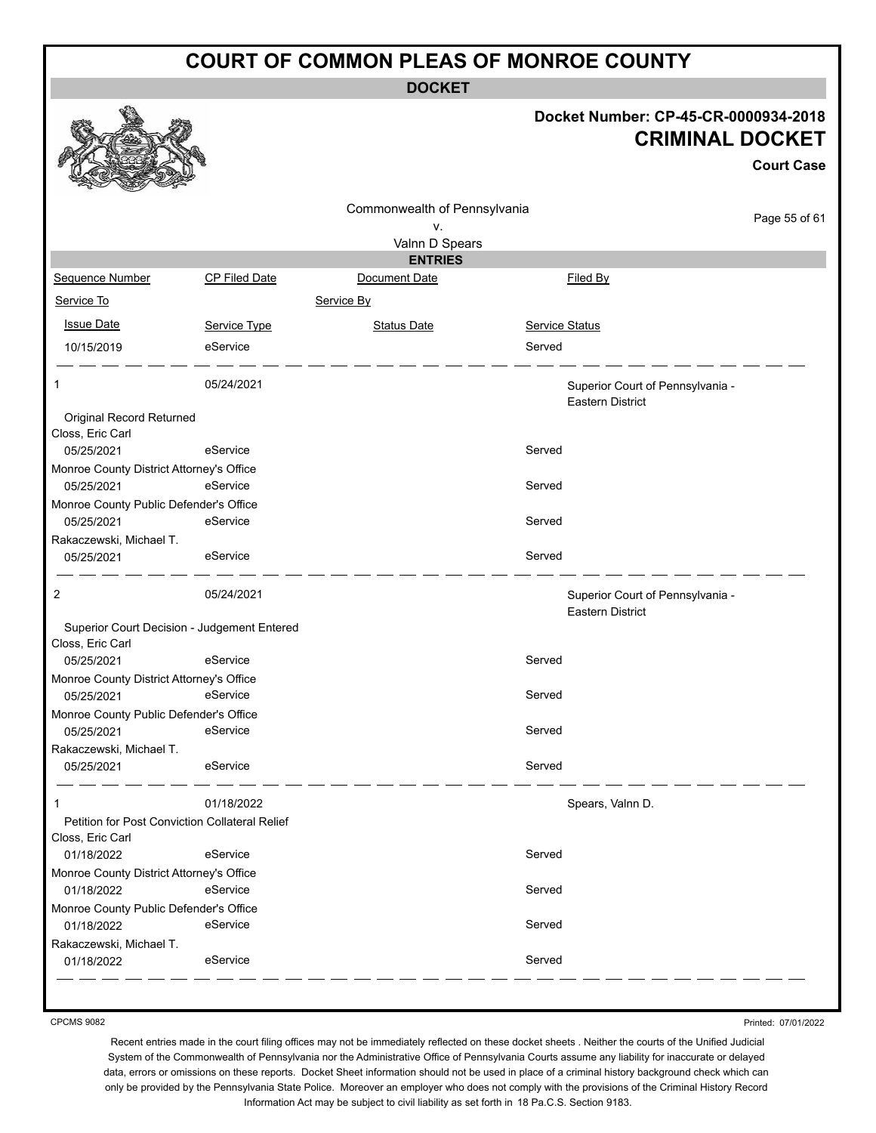**DOCKET**

#### **Docket Number: CP-45-CR-0000934-2018 CRIMINAL DOCKET**

**Court Case**

|                                                                 |               | Commonwealth of Pennsylvania<br>ν. |                |                                                             | Page 55 of 61 |
|-----------------------------------------------------------------|---------------|------------------------------------|----------------|-------------------------------------------------------------|---------------|
|                                                                 |               | Valnn D Spears                     |                |                                                             |               |
|                                                                 |               | <b>ENTRIES</b>                     |                |                                                             |               |
| Sequence Number                                                 | CP Filed Date | Document Date                      |                | Filed By                                                    |               |
| Service To                                                      |               | Service By                         |                |                                                             |               |
| <b>Issue Date</b>                                               | Service Type  | <b>Status Date</b>                 | Service Status |                                                             |               |
| 10/15/2019                                                      | eService      |                                    | Served         |                                                             |               |
| 1.                                                              | 05/24/2021    |                                    |                | Superior Court of Pennsylvania -<br><b>Eastern District</b> |               |
| Original Record Returned                                        |               |                                    |                |                                                             |               |
| Closs, Eric Carl                                                |               |                                    |                |                                                             |               |
| 05/25/2021                                                      | eService      |                                    | Served         |                                                             |               |
| Monroe County District Attorney's Office                        | eService      |                                    |                |                                                             |               |
| 05/25/2021<br>Monroe County Public Defender's Office            |               |                                    | Served         |                                                             |               |
| 05/25/2021<br>Rakaczewski, Michael T.                           | eService      |                                    | Served         |                                                             |               |
| 05/25/2021                                                      | eService      |                                    | Served         |                                                             |               |
| 2                                                               | 05/24/2021    |                                    |                | Superior Court of Pennsylvania -<br><b>Eastern District</b> |               |
| Superior Court Decision - Judgement Entered<br>Closs, Eric Carl |               |                                    |                |                                                             |               |
| 05/25/2021                                                      | eService      |                                    | Served         |                                                             |               |
| Monroe County District Attorney's Office                        |               |                                    |                |                                                             |               |
| 05/25/2021                                                      | eService      |                                    | Served         |                                                             |               |
| Monroe County Public Defender's Office                          |               |                                    |                |                                                             |               |
| 05/25/2021                                                      | eService      |                                    | Served         |                                                             |               |
| Rakaczewski, Michael T.                                         |               |                                    |                |                                                             |               |
| 05/25/2021                                                      | eService      |                                    | Served         |                                                             |               |
|                                                                 | 01/18/2022    |                                    |                | Spears, Valnn D.                                            |               |
| Petition for Post Conviction Collateral Relief                  |               |                                    |                |                                                             |               |
| Closs, Eric Carl<br>01/18/2022                                  | eService      |                                    | Served         |                                                             |               |
| Monroe County District Attorney's Office                        |               |                                    |                |                                                             |               |
| 01/18/2022                                                      | eService      |                                    | Served         |                                                             |               |
| Monroe County Public Defender's Office                          |               |                                    |                |                                                             |               |
| 01/18/2022                                                      | eService      |                                    | Served         |                                                             |               |
| Rakaczewski, Michael T.<br>01/18/2022                           | eService      |                                    | Served         |                                                             |               |
|                                                                 |               |                                    |                |                                                             |               |

CPCMS 9082

Printed: 07/01/2022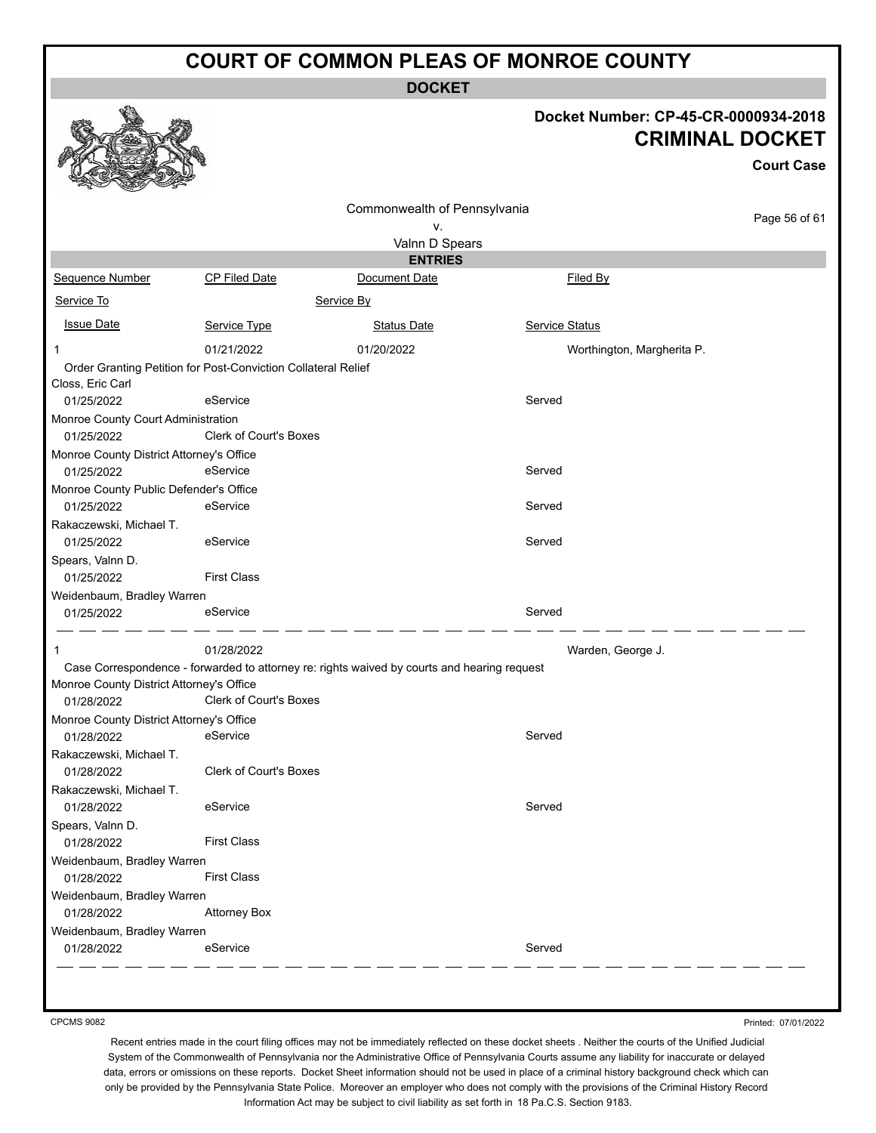**DOCKET**

Commonwealth of Pennsylvania v.

#### **Docket Number: CP-45-CR-0000934-2018 CRIMINAL DOCKET**

**Court Case**

Page 56 of 61

| Sequence Number                                    | CP Filed Date |   |
|----------------------------------------------------|---------------|---|
| Service To                                         |               | š |
| <b>Issue Date</b>                                  | Service Type  |   |
|                                                    | 01/21/2022    |   |
| Order Crapting Petition for Poet Conviction Collet |               |   |

|                                          |                                                                                             | Valnn D Spears     |                |                            |
|------------------------------------------|---------------------------------------------------------------------------------------------|--------------------|----------------|----------------------------|
|                                          |                                                                                             | <b>ENTRIES</b>     |                |                            |
| Sequence Number                          | CP Filed Date                                                                               | Document Date      |                | <b>Filed By</b>            |
| Service To                               | Service By                                                                                  |                    |                |                            |
| <b>Issue Date</b>                        | Service Type                                                                                | <b>Status Date</b> | Service Status |                            |
| 1                                        | 01/21/2022                                                                                  | 01/20/2022         |                | Worthington, Margherita P. |
|                                          | Order Granting Petition for Post-Conviction Collateral Relief                               |                    |                |                            |
| Closs, Eric Carl                         |                                                                                             |                    |                |                            |
| 01/25/2022                               | eService                                                                                    |                    | Served         |                            |
| Monroe County Court Administration       |                                                                                             |                    |                |                            |
| 01/25/2022                               | <b>Clerk of Court's Boxes</b>                                                               |                    |                |                            |
| Monroe County District Attorney's Office |                                                                                             |                    |                |                            |
| 01/25/2022                               | eService                                                                                    |                    | Served         |                            |
| Monroe County Public Defender's Office   |                                                                                             |                    |                |                            |
| 01/25/2022                               | eService                                                                                    |                    | Served         |                            |
| Rakaczewski, Michael T.                  |                                                                                             |                    |                |                            |
| 01/25/2022                               | eService                                                                                    |                    | Served         |                            |
| Spears, Valnn D.                         |                                                                                             |                    |                |                            |
| 01/25/2022                               | <b>First Class</b>                                                                          |                    |                |                            |
| Weidenbaum, Bradley Warren               |                                                                                             |                    |                |                            |
| 01/25/2022                               | eService                                                                                    |                    | Served         |                            |
| 1                                        | 01/28/2022                                                                                  |                    |                | Warden, George J.          |
|                                          | Case Correspondence - forwarded to attorney re: rights waived by courts and hearing request |                    |                |                            |
| Monroe County District Attorney's Office |                                                                                             |                    |                |                            |
| 01/28/2022                               | Clerk of Court's Boxes                                                                      |                    |                |                            |
| Monroe County District Attorney's Office | eService                                                                                    |                    |                |                            |
| 01/28/2022                               |                                                                                             |                    | Served         |                            |
| Rakaczewski, Michael T.                  | <b>Clerk of Court's Boxes</b>                                                               |                    |                |                            |
| 01/28/2022                               |                                                                                             |                    |                |                            |
| Rakaczewski, Michael T.                  | eService                                                                                    |                    | Served         |                            |
| 01/28/2022                               |                                                                                             |                    |                |                            |
| Spears, Valnn D.<br>01/28/2022           | <b>First Class</b>                                                                          |                    |                |                            |
| Weidenbaum, Bradley Warren               |                                                                                             |                    |                |                            |
| 01/28/2022                               | <b>First Class</b>                                                                          |                    |                |                            |
| Weidenbaum, Bradley Warren               |                                                                                             |                    |                |                            |
| 01/28/2022                               | <b>Attorney Box</b>                                                                         |                    |                |                            |
| Weidenbaum, Bradley Warren               |                                                                                             |                    |                |                            |
| 01/28/2022                               | eService                                                                                    |                    | Served         |                            |
|                                          |                                                                                             |                    |                |                            |

CPCMS 9082

Printed: 07/01/2022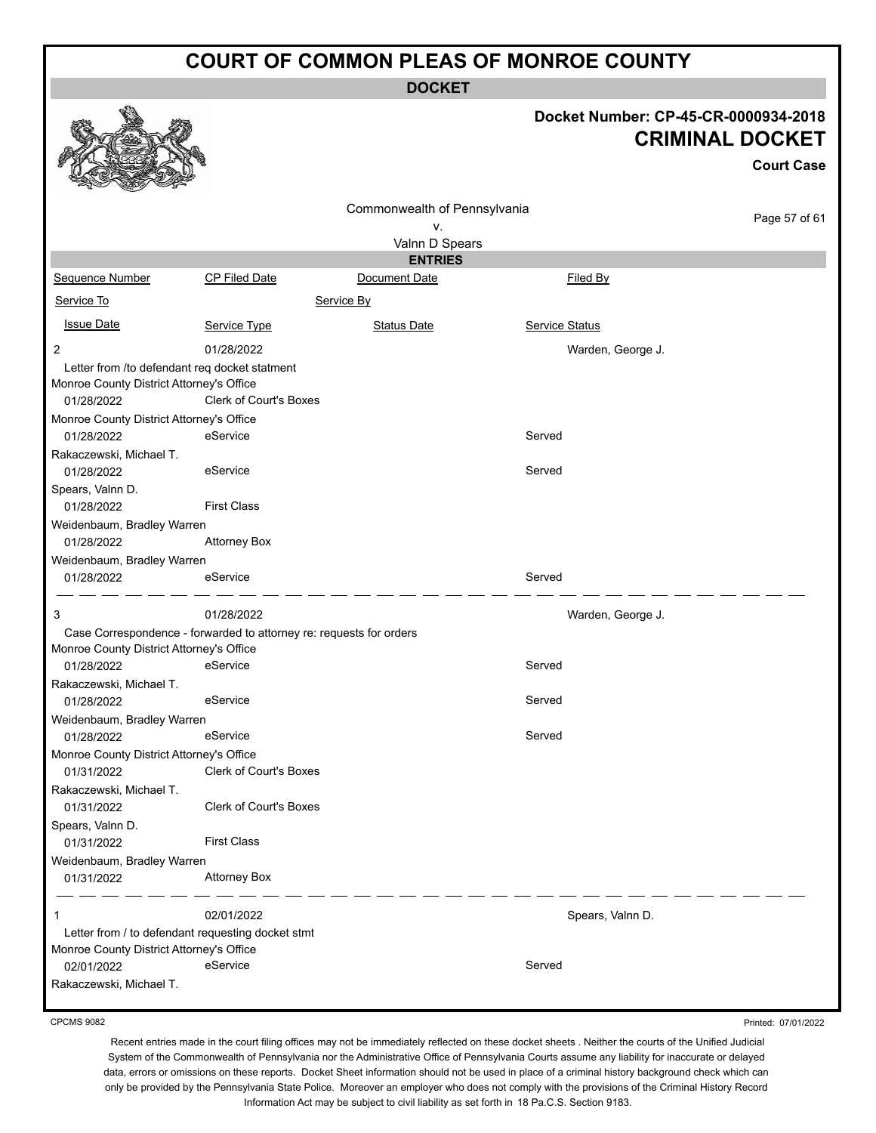**DOCKET**

# **Docket Number: CP-45-CR-0000934-2018**

|                                                                                           |                                                                     |                              | י ושעוווועקו. שו<br>טטט-טוע-טי<br><b>CRIMINAL DOCKET</b> |                   |  |  |
|-------------------------------------------------------------------------------------------|---------------------------------------------------------------------|------------------------------|----------------------------------------------------------|-------------------|--|--|
|                                                                                           |                                                                     |                              |                                                          | <b>Court Case</b> |  |  |
|                                                                                           |                                                                     | Commonwealth of Pennsylvania |                                                          | Page 57 of 61     |  |  |
|                                                                                           |                                                                     | ٧.                           |                                                          |                   |  |  |
|                                                                                           |                                                                     | Valnn D Spears               |                                                          |                   |  |  |
|                                                                                           |                                                                     | <b>ENTRIES</b>               |                                                          |                   |  |  |
| Sequence Number                                                                           | <b>CP Filed Date</b>                                                | Document Date                | Filed By                                                 |                   |  |  |
| Service To                                                                                |                                                                     | Service By                   |                                                          |                   |  |  |
| <b>Issue Date</b>                                                                         | Service Type                                                        | <b>Status Date</b>           | Service Status                                           |                   |  |  |
| $\overline{2}$                                                                            | 01/28/2022                                                          |                              | Warden, George J.                                        |                   |  |  |
| Letter from /to defendant reg docket statment<br>Monroe County District Attorney's Office |                                                                     |                              |                                                          |                   |  |  |
| 01/28/2022                                                                                | Clerk of Court's Boxes                                              |                              |                                                          |                   |  |  |
| Monroe County District Attorney's Office                                                  |                                                                     |                              |                                                          |                   |  |  |
| 01/28/2022                                                                                | eService                                                            |                              | Served                                                   |                   |  |  |
| Rakaczewski, Michael T.                                                                   |                                                                     |                              |                                                          |                   |  |  |
| 01/28/2022                                                                                | eService                                                            |                              | Served                                                   |                   |  |  |
| Spears, Valnn D.                                                                          | <b>First Class</b>                                                  |                              |                                                          |                   |  |  |
| 01/28/2022                                                                                |                                                                     |                              |                                                          |                   |  |  |
| Weidenbaum, Bradley Warren<br>01/28/2022                                                  | <b>Attorney Box</b>                                                 |                              |                                                          |                   |  |  |
| Weidenbaum, Bradley Warren                                                                |                                                                     |                              |                                                          |                   |  |  |
| 01/28/2022                                                                                | eService                                                            |                              | Served                                                   |                   |  |  |
| 3                                                                                         | 01/28/2022                                                          |                              | Warden, George J.                                        |                   |  |  |
|                                                                                           | Case Correspondence - forwarded to attorney re: requests for orders |                              |                                                          |                   |  |  |
| Monroe County District Attorney's Office                                                  |                                                                     |                              |                                                          |                   |  |  |
| 01/28/2022                                                                                | eService                                                            |                              | Served                                                   |                   |  |  |
| Rakaczewski, Michael T.                                                                   |                                                                     |                              |                                                          |                   |  |  |
| 01/28/2022                                                                                | eService                                                            |                              | Served                                                   |                   |  |  |
| Weidenbaum, Bradley Warren<br>01/28/2022                                                  | eService                                                            |                              | Served                                                   |                   |  |  |
| Monroe County District Attorney's Office                                                  |                                                                     |                              |                                                          |                   |  |  |
| 01/31/2022                                                                                | Clerk of Court's Boxes                                              |                              |                                                          |                   |  |  |
| Rakaczewski, Michael T.                                                                   |                                                                     |                              |                                                          |                   |  |  |
| 01/31/2022                                                                                | Clerk of Court's Boxes                                              |                              |                                                          |                   |  |  |
| Spears, Valnn D.                                                                          |                                                                     |                              |                                                          |                   |  |  |
| 01/31/2022                                                                                | <b>First Class</b>                                                  |                              |                                                          |                   |  |  |
| Weidenbaum, Bradley Warren                                                                |                                                                     |                              |                                                          |                   |  |  |
| 01/31/2022                                                                                | <b>Attorney Box</b>                                                 |                              |                                                          |                   |  |  |
| 1                                                                                         | 02/01/2022                                                          |                              | Spears, Valnn D.                                         |                   |  |  |
|                                                                                           | Letter from / to defendant requesting docket stmt                   |                              |                                                          |                   |  |  |
| Monroe County District Attorney's Office                                                  | eService                                                            |                              | Served                                                   |                   |  |  |
| 02/01/2022<br>Rakaczewski, Michael T.                                                     |                                                                     |                              |                                                          |                   |  |  |
|                                                                                           |                                                                     |                              |                                                          |                   |  |  |

CPCMS 9082

**B**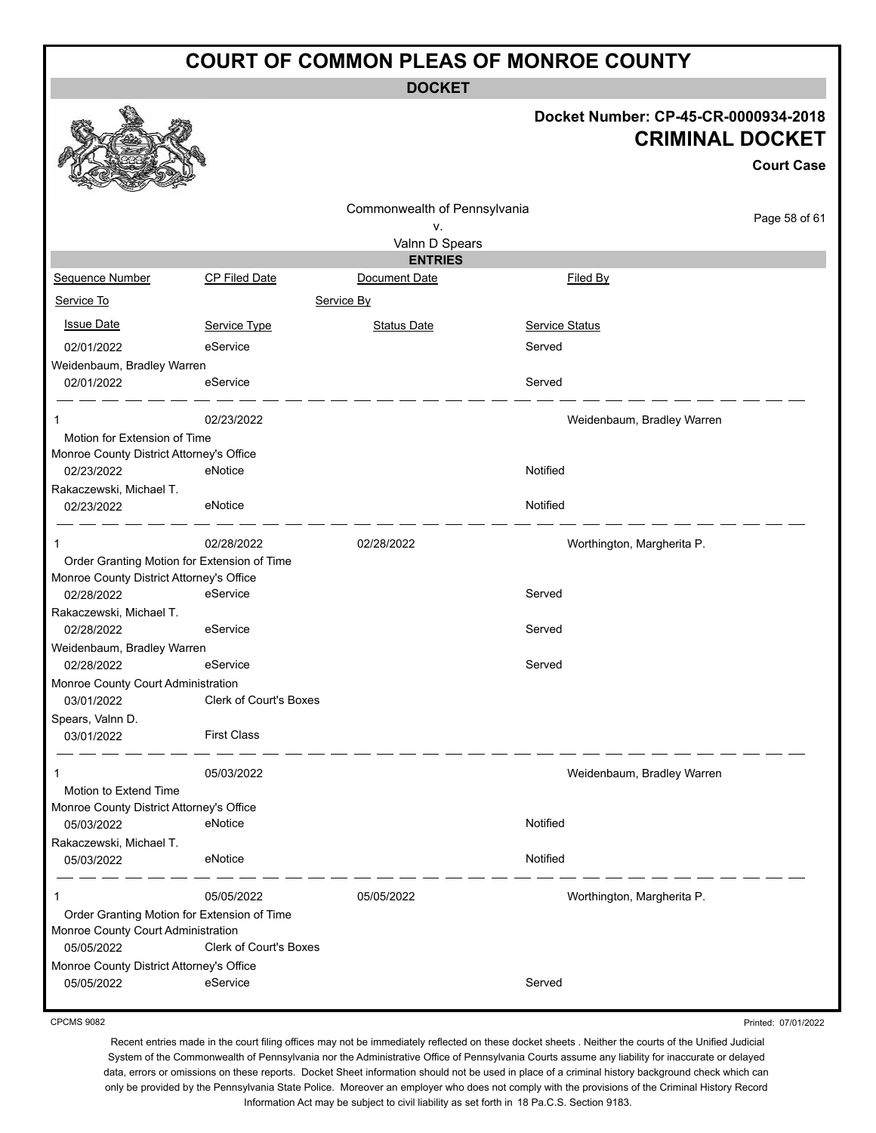**DOCKET**

#### **Docket Number: CP-45-CR-0000934-2018 CRIMINAL DOCKET**

**Court Case** Commonwealth of Pennsylvania Page 58 of 61 v. Valnn D Spears **ENTRIES** Sequence Number CP Filed Date Document Date **Document Date** Filed By Service To Service By **Issue Date Service Type** Service Type Status Date Service Status Date Service Status Service Status **Service Status** 02/01/2022 eService entertainment of the Served Weidenbaum, Bradley Warren 02/01/2022 eService exercises and the Served 1 02/23/2022 Weidenbaum, Bradley Warren Motion for Extension of Time Monroe County District Attorney's Office 02/23/2022 eNotice environmental environmental environmental environmental environmental environmental environmental environmental environmental environmental environmental environmental environmental environmental environ Rakaczewski, Michael T. 02/23/2022 eNotice enterprise enterprise that the Notified \_\_\_\_\_\_ 1 02/28/2022 02/28/2022 Worthington, Margherita P. Order Granting Motion for Extension of Time Monroe County District Attorney's Office 02/28/2022 eService exercises and the Served Rakaczewski, Michael T. 02/28/2022 eService exervice Served Weidenbaum, Bradley Warren 02/28/2022 eService exercises and the Served Monroe County Court Administration 03/01/2022 Clerk of Court's Boxes Spears, Valnn D. 03/01/2022 First Class 1 05/03/2022 Weidenbaum, Bradley Warren Motion to Extend Time Monroe County District Attorney's Office 05/03/2022 eNotice Notified Rakaczewski, Michael T. 05/03/2022 eNotice Notified 1 05/05/2022 05/05/2022 Worthington, Margherita P. Order Granting Motion for Extension of Time Monroe County Court Administration 05/05/2022 Clerk of Court's Boxes Monroe County District Attorney's Office 05/05/2022 eService exercises and the Served

CPCMS 9082

Printed: 07/01/2022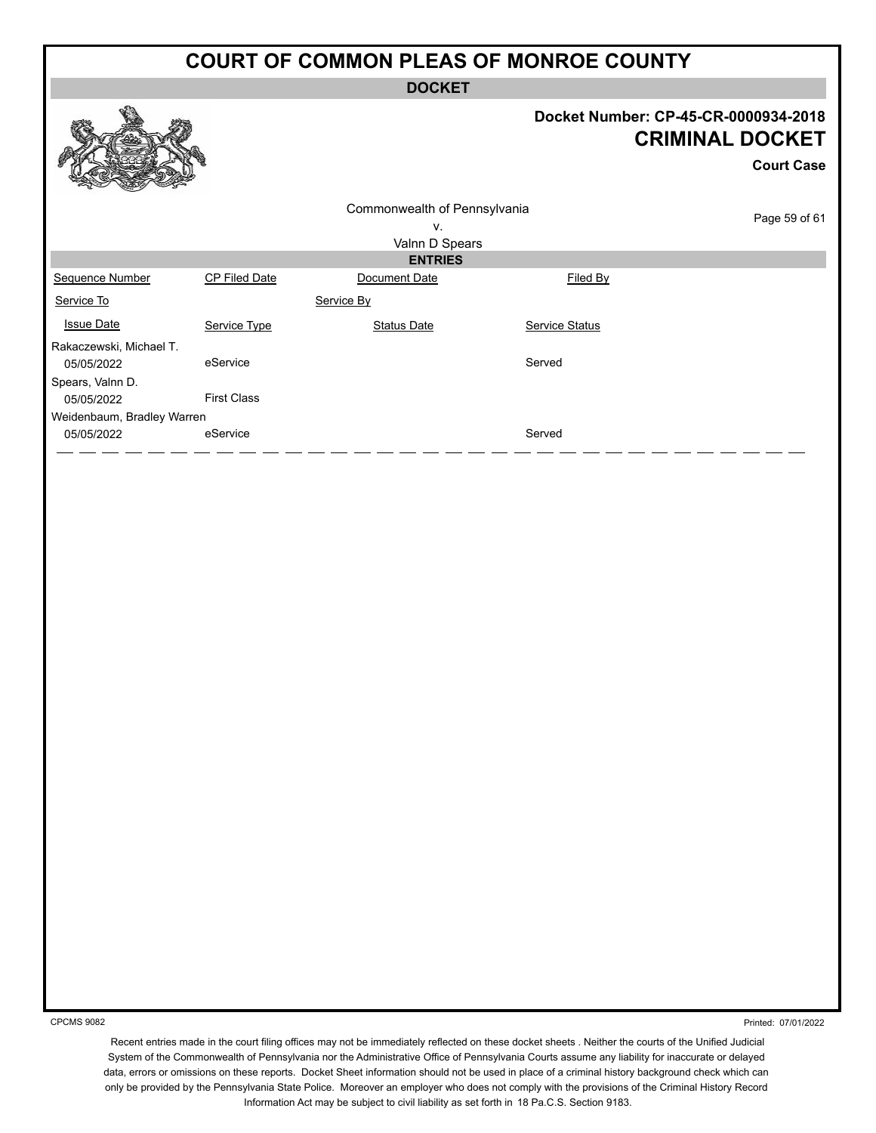**DOCKET**

#### **Docket Number: CP-45-CR-0000934-2018 CRIMINAL DOCKET**

**Court Case**

| SA CRASS 200               |                    |                              |                       |               |
|----------------------------|--------------------|------------------------------|-----------------------|---------------|
|                            |                    | Commonwealth of Pennsylvania |                       |               |
|                            |                    | ٧.                           |                       | Page 59 of 61 |
|                            |                    | Valnn D Spears               |                       |               |
|                            |                    | <b>ENTRIES</b>               |                       |               |
| Sequence Number            | CP Filed Date      | Document Date                | Filed By              |               |
| Service To                 |                    | Service By                   |                       |               |
| <b>Issue Date</b>          | Service Type       | Status Date                  | <b>Service Status</b> |               |
| Rakaczewski, Michael T.    |                    |                              |                       |               |
| 05/05/2022                 | eService           |                              | Served                |               |
| Spears, Valnn D.           |                    |                              |                       |               |
| 05/05/2022                 | <b>First Class</b> |                              |                       |               |
| Weidenbaum, Bradley Warren |                    |                              |                       |               |
| 05/05/2022                 | eService           |                              | Served                |               |
|                            |                    |                              |                       |               |

CPCMS 9082

Printed: 07/01/2022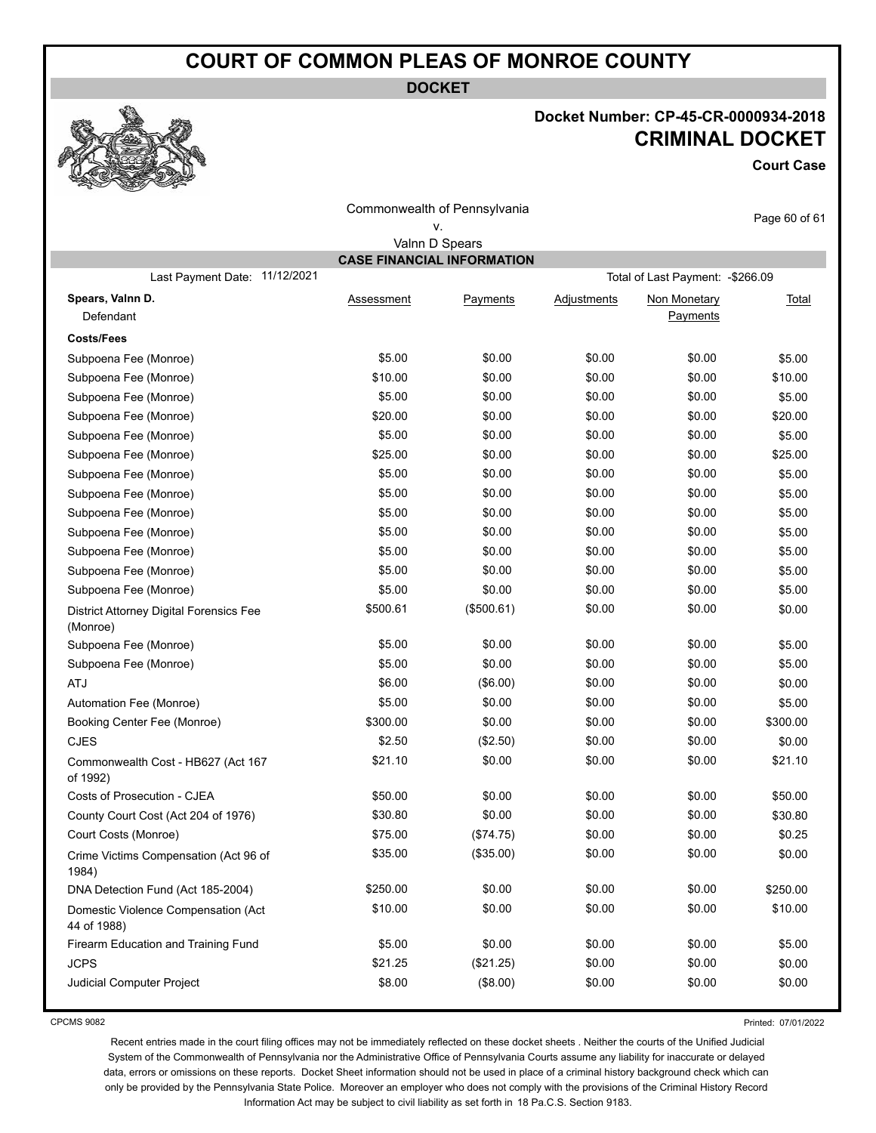**DOCKET**

#### **Docket Number: CP-45-CR-0000934-2018 CRIMINAL DOCKET**

**Court Case**

| Commonwealth of Pennsylvania<br>٧.                  |                                   |                |                    |                                   | Page 60 of 61 |
|-----------------------------------------------------|-----------------------------------|----------------|--------------------|-----------------------------------|---------------|
|                                                     |                                   | Valnn D Spears |                    |                                   |               |
|                                                     | <b>CASE FINANCIAL INFORMATION</b> |                |                    |                                   |               |
| Last Payment Date: 11/12/2021                       |                                   |                |                    | Total of Last Payment: - \$266.09 |               |
| Spears, Valnn D.<br>Defendant                       | <b>Assessment</b>                 | Payments       | <b>Adjustments</b> | Non Monetary<br>Payments          | <b>Total</b>  |
| <b>Costs/Fees</b>                                   |                                   |                |                    |                                   |               |
| Subpoena Fee (Monroe)                               | \$5.00                            | \$0.00         | \$0.00             | \$0.00                            | \$5.00        |
| Subpoena Fee (Monroe)                               | \$10.00                           | \$0.00         | \$0.00             | \$0.00                            | \$10.00       |
| Subpoena Fee (Monroe)                               | \$5.00                            | \$0.00         | \$0.00             | \$0.00                            | \$5.00        |
| Subpoena Fee (Monroe)                               | \$20.00                           | \$0.00         | \$0.00             | \$0.00                            | \$20.00       |
| Subpoena Fee (Monroe)                               | \$5.00                            | \$0.00         | \$0.00             | \$0.00                            | \$5.00        |
| Subpoena Fee (Monroe)                               | \$25.00                           | \$0.00         | \$0.00             | \$0.00                            | \$25.00       |
| Subpoena Fee (Monroe)                               | \$5.00                            | \$0.00         | \$0.00             | \$0.00                            | \$5.00        |
| Subpoena Fee (Monroe)                               | \$5.00                            | \$0.00         | \$0.00             | \$0.00                            | \$5.00        |
| Subpoena Fee (Monroe)                               | \$5.00                            | \$0.00         | \$0.00             | \$0.00                            | \$5.00        |
| Subpoena Fee (Monroe)                               | \$5.00                            | \$0.00         | \$0.00             | \$0.00                            | \$5.00        |
| Subpoena Fee (Monroe)                               | \$5.00                            | \$0.00         | \$0.00             | \$0.00                            | \$5.00        |
| Subpoena Fee (Monroe)                               | \$5.00                            | \$0.00         | \$0.00             | \$0.00                            | \$5.00        |
| Subpoena Fee (Monroe)                               | \$5.00                            | \$0.00         | \$0.00             | \$0.00                            | \$5.00        |
| District Attorney Digital Forensics Fee<br>(Monroe) | \$500.61                          | (\$500.61)     | \$0.00             | \$0.00                            | \$0.00        |
| Subpoena Fee (Monroe)                               | \$5.00                            | \$0.00         | \$0.00             | \$0.00                            | \$5.00        |
| Subpoena Fee (Monroe)                               | \$5.00                            | \$0.00         | \$0.00             | \$0.00                            | \$5.00        |
| <b>ATJ</b>                                          | \$6.00                            | (\$6.00)       | \$0.00             | \$0.00                            | \$0.00        |
| Automation Fee (Monroe)                             | \$5.00                            | \$0.00         | \$0.00             | \$0.00                            | \$5.00        |
| Booking Center Fee (Monroe)                         | \$300.00                          | \$0.00         | \$0.00             | \$0.00                            | \$300.00      |
| <b>CJES</b>                                         | \$2.50                            | (\$2.50)       | \$0.00             | \$0.00                            | \$0.00        |
| Commonwealth Cost - HB627 (Act 167<br>of 1992)      | \$21.10                           | \$0.00         | \$0.00             | \$0.00                            | \$21.10       |
| Costs of Prosecution - CJEA                         | \$50.00                           | \$0.00         | \$0.00             | \$0.00                            | \$50.00       |
| County Court Cost (Act 204 of 1976)                 | \$30.80                           | \$0.00         | \$0.00             | \$0.00                            | \$30.80       |
| Court Costs (Monroe)                                | \$75.00                           | (\$74.75)      | \$0.00             | \$0.00                            | \$0.25        |
| Crime Victims Compensation (Act 96 of<br>1984)      | \$35.00                           | (\$35.00)      | \$0.00             | \$0.00                            | \$0.00        |
| DNA Detection Fund (Act 185-2004)                   | \$250.00                          | \$0.00         | \$0.00             | \$0.00                            | \$250.00      |
| Domestic Violence Compensation (Act<br>44 of 1988)  | \$10.00                           | \$0.00         | \$0.00             | \$0.00                            | \$10.00       |
| Firearm Education and Training Fund                 | \$5.00                            | \$0.00         | \$0.00             | \$0.00                            | \$5.00        |
| <b>JCPS</b>                                         | \$21.25                           | (\$21.25)      | \$0.00             | \$0.00                            | \$0.00        |
| Judicial Computer Project                           | \$8.00                            | (\$8.00)       | \$0.00             | \$0.00                            | \$0.00        |

CPCMS 9082

Printed: 07/01/2022